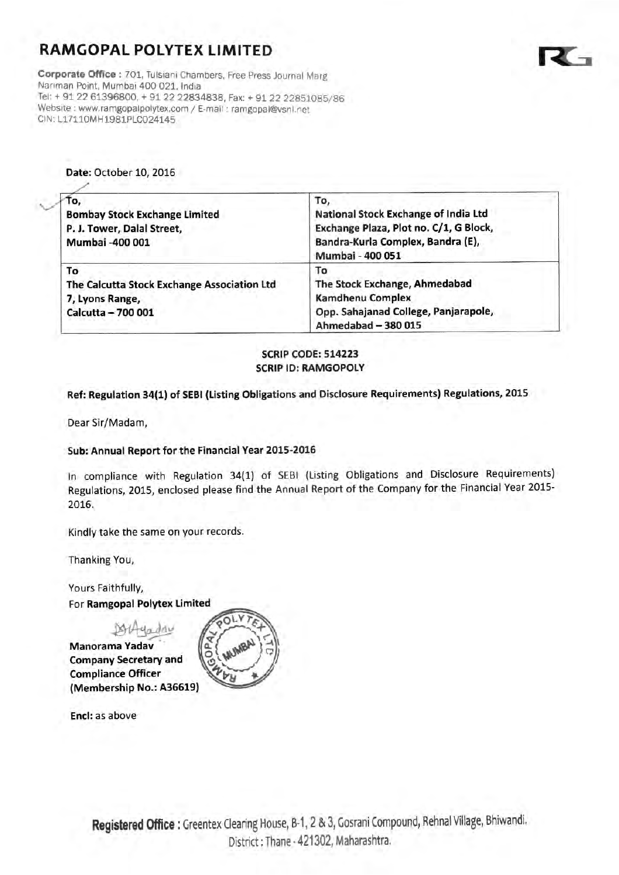# RAMGOPAL POLYTEX LIMITED

Corporate Office : 701, Tulsiani Chambers, Free Press Journal Marg Nariman Point, Mumbai 400 021, India Tel: + 91 22 61396800, + 91 22 22834838, Fax: + 91 22 22851085/86 Website: www.ramgopalpolytex.com / E-mail: ramgopal@vsnl.net CIN: L17110MH1981PLC024145

# Date: October 10, 2016

| To.                                         | To.                                    |
|---------------------------------------------|----------------------------------------|
| <b>Bombay Stock Exchange Limited</b>        | National Stock Exchange of India Ltd   |
| P. J. Tower, Dalal Street,                  | Exchange Plaza, Plot no. C/1, G Block, |
| Mumbai -400 001                             | Bandra-Kurla Complex, Bandra (E),      |
|                                             | Mumbai - 400 051                       |
| To                                          | To                                     |
| The Calcutta Stock Exchange Association Ltd | The Stock Exchange, Ahmedabad          |
| 7, Lyons Range,                             | <b>Kamdhenu Complex</b>                |
| Calcutta - 700 001                          | Opp. Sahajanad College, Panjarapole,   |
|                                             | Ahmedabad - 380 015                    |

# **SCRIP CODE: 514223 SCRIP ID: RAMGOPOLY**

# Ref: Regulation 34(1) of SEBI (Listing Obligations and Disclosure Requirements) Regulations, 2015

Dear Sir/Madam,

# Sub: Annual Report for the Financial Year 2015-2016

In compliance with Regulation 34(1) of SEBI (Listing Obligations and Disclosure Requirements) Regulations, 2015, enclosed please find the Annual Report of the Company for the Financial Year 2015-2016.

Kindly take the same on your records.

Thanking You,

Yours Faithfully, For Ramgopal Polytex Limited

 $18144a$  drue

Manorama Yadav **Company Secretary and Compliance Officer** (Membership No.: A36619)



Encl: as above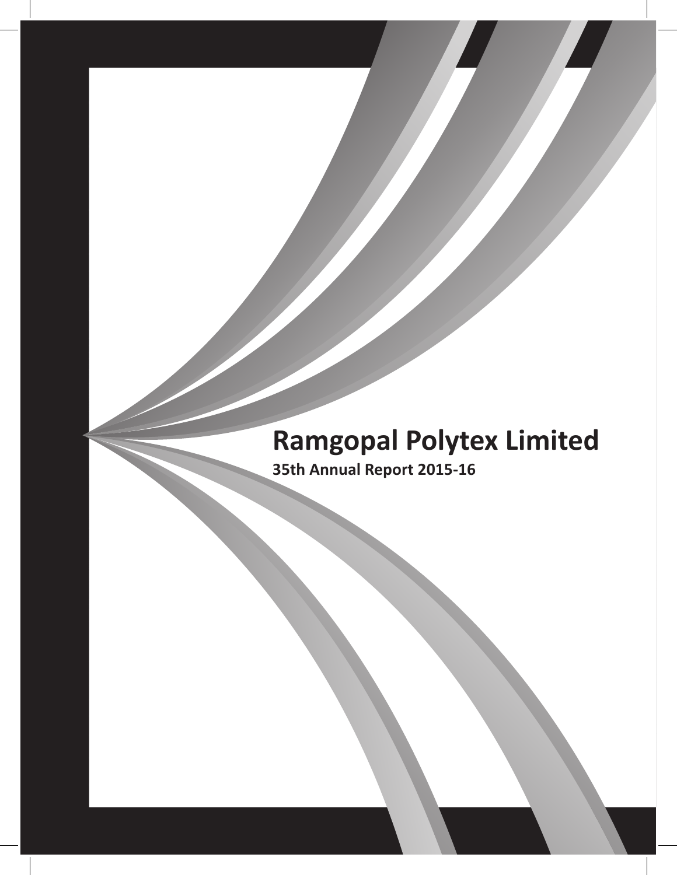# **Ramgopal Polytex Limited**

**35th Annual Report 2015-16**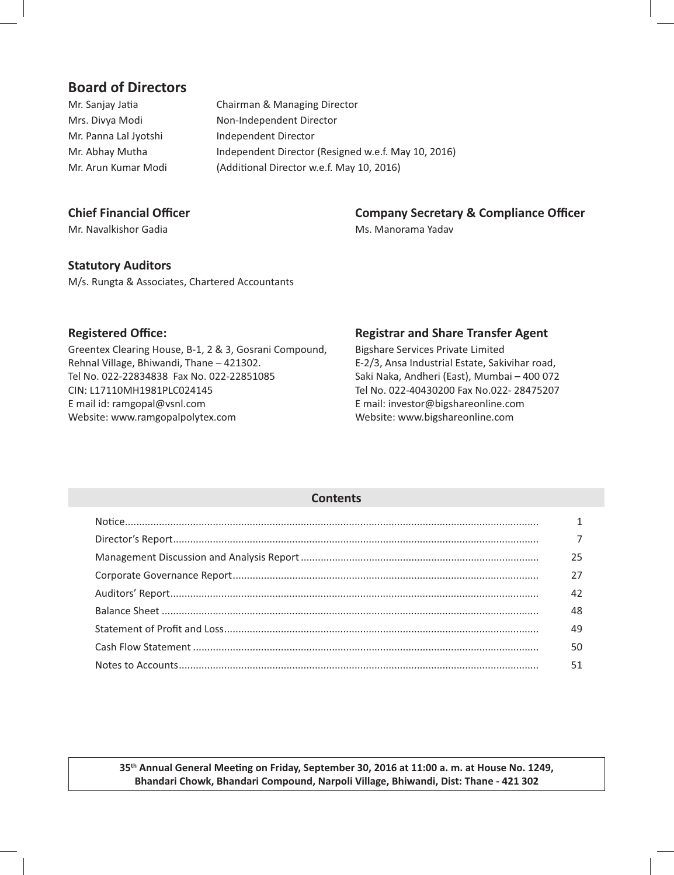# **Board of Directors**

Mr. Sanjay Jatia Mr. Panna Lal Jyotshi Independent Director Mr. Arun Kumar Modi

Chairman & Managing Director Mrs. Divya Modi Non-Independent Director Mr. Abhay Mutha Independent Director (Resigned w.e.f. May 10, 2016) (Additional Director w.e.f. May 10, 2016)

# **Chief Financial Officer**

Mr. Navalkishor Gadia

# **Company Secretary & Compliance Officer**

Ms. Manorama Yadav

# **Statutory Auditors**

M/s. Rungta & Associates, Chartered Accountants

# **Registered Office:**

Greentex Clearing House, B-1, 2 & 3, Gosrani Compound, Rehnal Village, Bhiwandi, Thane – 421302. Tel No. 022-22834838 Fax No. 022-22851085 CIN: L17110MH1981PLC024145 E mail id: ramgopal@vsnl.com Website: www.ramgopalpolytex.com

# **Registrar and Share Transfer Agent**

Bigshare Services Private Limited E-2/3, Ansa Industrial Estate, Sakivihar road, Saki Naka, Andheri (East), Mumbai – 400 072 Tel No. 022-40430200 Fax No.022- 28475207 E mail: investor@bigshareonline.com Website: www.bigshareonline.com

# **Contents**

| 7  |
|----|
| 25 |
|    |
| 42 |
| 48 |
| 49 |
| 50 |
| 51 |

35<sup>th</sup> Annual General Meeting on Friday, September 30, 2016 at 11:00 a. m. at House No. 1249, **Bhandari Chowk, Bhandari Compound, Narpoli Village, Bhiwandi, Dist: Thane - 421 302**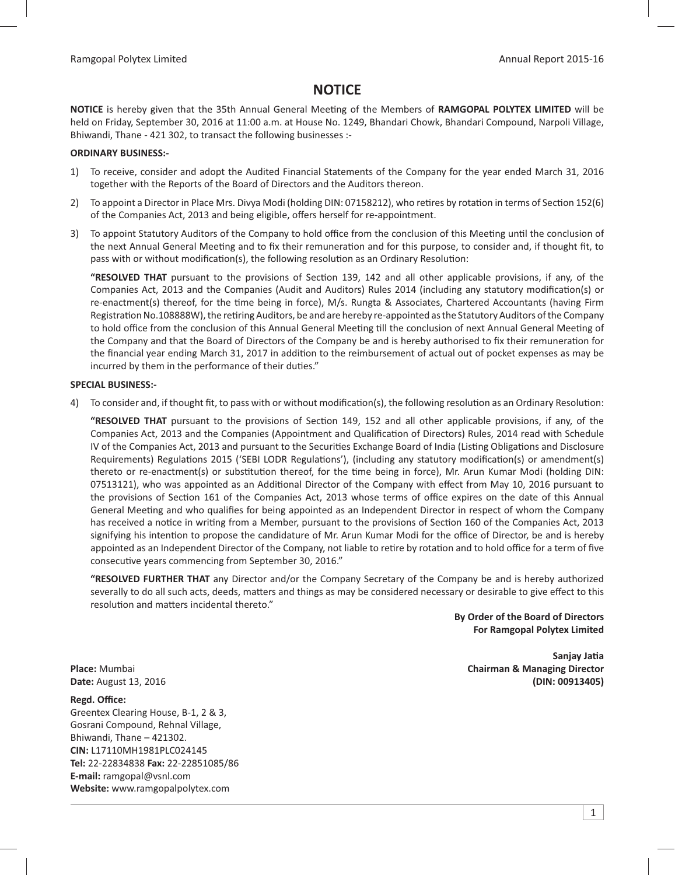# **NOTICE**

NOTICE is hereby given that the 35th Annual General Meeting of the Members of RAMGOPAL POLYTEX LIMITED will be held on Friday, September 30, 2016 at 11:00 a.m. at House No. 1249, Bhandari Chowk, Bhandari Compound, Narpoli Village, Bhiwandi, Thane - 421 302, to transact the following businesses :-

#### **ORDINARY BUSINESS:-**

- 1) To receive, consider and adopt the Audited Financial Statements of the Company for the year ended March 31, 2016 together with the Reports of the Board of Directors and the Auditors thereon.
- 2) To appoint a Director in Place Mrs. Divya Modi (holding DIN: 07158212), who retires by rotation in terms of Section 152(6) of the Companies Act, 2013 and being eligible, offers herself for re-appointment.
- 3) To appoint Statutory Auditors of the Company to hold office from the conclusion of this Meeting until the conclusion of the next Annual General Meeting and to fix their remuneration and for this purpose, to consider and, if thought fit, to pass with or without modification(s), the following resolution as an Ordinary Resolution:

"RESOLVED THAT pursuant to the provisions of Section 139, 142 and all other applicable provisions, if any, of the Companies Act, 2013 and the Companies (Audit and Auditors) Rules 2014 (including any statutory modification(s) or re-enactment(s) thereof, for the time being in force), M/s. Rungta & Associates, Chartered Accountants (having Firm Registration No.108888W), the retiring Auditors, be and are hereby re-appointed as the Statutory Auditors of the Company to hold office from the conclusion of this Annual General Meeting till the conclusion of next Annual General Meeting of the Company and that the Board of Directors of the Company be and is hereby authorised to fix their remuneration for the financial year ending March 31, 2017 in addition to the reimbursement of actual out of pocket expenses as may be incurred by them in the performance of their duties."

### **SPECIAL BUSINESS:-**

4) To consider and, if thought fit, to pass with or without modification(s), the following resolution as an Ordinary Resolution:

"RESOLVED THAT pursuant to the provisions of Section 149, 152 and all other applicable provisions, if any, of the Companies Act, 2013 and the Companies (Appointment and Qualification of Directors) Rules, 2014 read with Schedule IV of the Companies Act, 2013 and pursuant to the Securities Exchange Board of India (Listing Obligations and Disclosure Requirements) Regulations 2015 ('SEBI LODR Regulations'), (including any statutory modification(s) or amendment(s) thereto or re-enactment(s) or substitution thereof, for the time being in force), Mr. Arun Kumar Modi (holding DIN: 07513121), who was appointed as an Additional Director of the Company with effect from May 10, 2016 pursuant to the provisions of Section 161 of the Companies Act, 2013 whose terms of office expires on the date of this Annual General Meeting and who qualifies for being appointed as an Independent Director in respect of whom the Company has received a notice in writing from a Member, pursuant to the provisions of Section 160 of the Companies Act, 2013 signifying his intention to propose the candidature of Mr. Arun Kumar Modi for the office of Director, be and is hereby appointed as an Independent Director of the Company, not liable to retire by rotation and to hold office for a term of five consecutive years commencing from September 30, 2016."

 **"RESOLVED FURTHER THAT** any Director and/or the Company Secretary of the Company be and is hereby authorized severally to do all such acts, deeds, matters and things as may be considered necessary or desirable to give effect to this resolution and matters incidental thereto."

> **By Order of the Board of Directors For Ramgopal Polytex Limited**

Sanjay Jatia **Place:** Mumbai **Chairman & Managing Director Date:** August 13, 2016 **(DIN: 00913405)**

### **Regd. Office:**

Greentex Clearing House, B-1, 2 & 3, Gosrani Compound, Rehnal Village, Bhiwandi, Thane – 421302. **CIN:** L17110MH1981PLC024145 **Tel:** 22-22834838 **Fax:** 22-22851085/86 **E-mail:** ramgopal@vsnl.com **Website:** www.ramgopalpolytex.com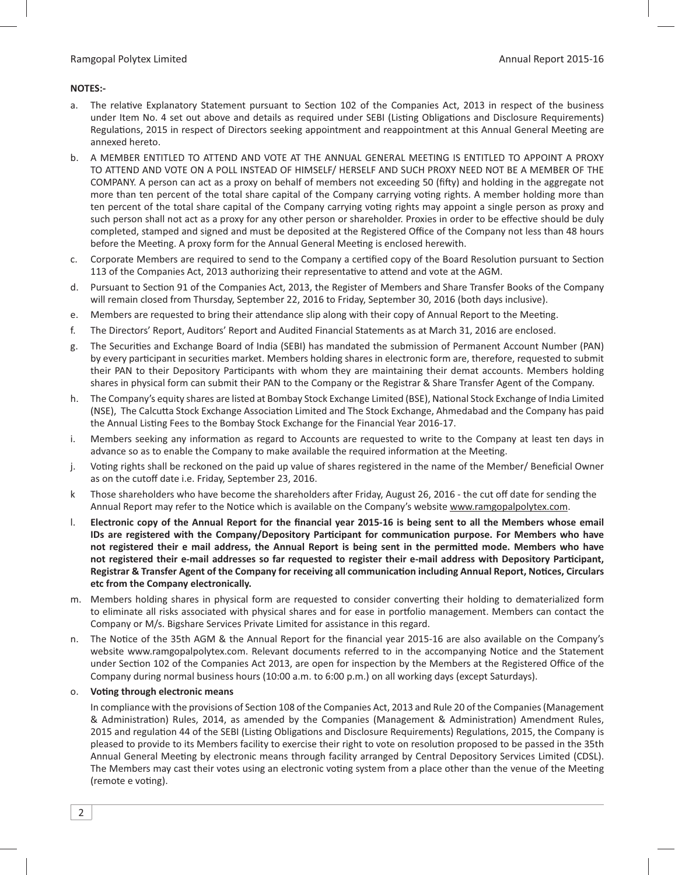### **NOTES:-**

- a. The relative Explanatory Statement pursuant to Section 102 of the Companies Act, 2013 in respect of the business under Item No. 4 set out above and details as required under SEBI (Listing Obligations and Disclosure Requirements) Regulations, 2015 in respect of Directors seeking appointment and reappointment at this Annual General Meeting are annexed hereto.
- b. A MEMBER ENTITLED TO ATTEND AND VOTE AT THE ANNUAL GENERAL MEETING IS ENTITLED TO APPOINT A PROXY TO ATTEND AND VOTE ON A POLL INSTEAD OF HIMSELF/ HERSELF AND SUCH PROXY NEED NOT BE A MEMBER OF THE COMPANY. A person can act as a proxy on behalf of members not exceeding 50 (fifty) and holding in the aggregate not more than ten percent of the total share capital of the Company carrying voting rights. A member holding more than ten percent of the total share capital of the Company carrying voting rights may appoint a single person as proxy and such person shall not act as a proxy for any other person or shareholder. Proxies in order to be effective should be duly completed, stamped and signed and must be deposited at the Registered Office of the Company not less than 48 hours before the Meeting. A proxy form for the Annual General Meeting is enclosed herewith.
- c. Corporate Members are required to send to the Company a certified copy of the Board Resolution pursuant to Section 113 of the Companies Act, 2013 authorizing their representative to attend and vote at the AGM.
- d. Pursuant to Section 91 of the Companies Act, 2013, the Register of Members and Share Transfer Books of the Company will remain closed from Thursday, September 22, 2016 to Friday, September 30, 2016 (both days inclusive).
- e. Members are requested to bring their attendance slip along with their copy of Annual Report to the Meeting.
- f. The Directors' Report, Auditors' Report and Audited Financial Statements as at March 31, 2016 are enclosed.
- g. The Securities and Exchange Board of India (SEBI) has mandated the submission of Permanent Account Number (PAN) by every participant in securities market. Members holding shares in electronic form are, therefore, requested to submit their PAN to their Depository Participants with whom they are maintaining their demat accounts. Members holding shares in physical form can submit their PAN to the Company or the Registrar & Share Transfer Agent of the Company.
- h. The Company's equity shares are listed at Bombay Stock Exchange Limited (BSE), National Stock Exchange of India Limited (NSE), The Calcutta Stock Exchange Association Limited and The Stock Exchange, Ahmedabad and the Company has paid the Annual Listing Fees to the Bombay Stock Exchange for the Financial Year 2016-17.
- i. Members seeking any information as regard to Accounts are requested to write to the Company at least ten days in advance so as to enable the Company to make available the required information at the Meeting.
- j. Voting rights shall be reckoned on the paid up value of shares registered in the name of the Member/ Beneficial Owner as on the cutoff date i.e. Friday, September 23, 2016.
- k Those shareholders who have become the shareholders after Friday, August 26, 2016 the cut off date for sending the Annual Report may refer to the Notice which is available on the Company's website www.ramgopalpolytex.com.
- l. Electronic copy of the Annual Report for the financial year 2015-16 is being sent to all the Members whose email IDs are registered with the Company/Depository Participant for communication purpose. For Members who have not registered their e mail address, the Annual Report is being sent in the permitted mode. Members who have not registered their e-mail addresses so far requested to register their e-mail address with Depository Participant, Registrar & Transfer Agent of the Company for receiving all communication including Annual Report, Notices, Circulars **etc from the Company electronically.**
- m. Members holding shares in physical form are requested to consider converting their holding to dematerialized form to eliminate all risks associated with physical shares and for ease in portfolio management. Members can contact the Company or M/s. Bigshare Services Private Limited for assistance in this regard.
- n. The Notice of the 35th AGM & the Annual Report for the financial year 2015-16 are also available on the Company's website www.ramgopalpolytex.com. Relevant documents referred to in the accompanying Notice and the Statement under Section 102 of the Companies Act 2013, are open for inspection by the Members at the Registered Office of the Company during normal business hours (10:00 a.m. to 6:00 p.m.) on all working days (except Saturdays).

### $o.$  Voting through electronic means

In compliance with the provisions of Section 108 of the Companies Act, 2013 and Rule 20 of the Companies (Management & Administration) Rules, 2014, as amended by the Companies (Management & Administration) Amendment Rules, 2015 and regulation 44 of the SEBI (Listing Obligations and Disclosure Requirements) Regulations, 2015, the Company is pleased to provide to its Members facility to exercise their right to vote on resolution proposed to be passed in the 35th Annual General Meeting by electronic means through facility arranged by Central Depository Services Limited (CDSL). The Members may cast their votes using an electronic voting system from a place other than the venue of the Meeting (remote e voting).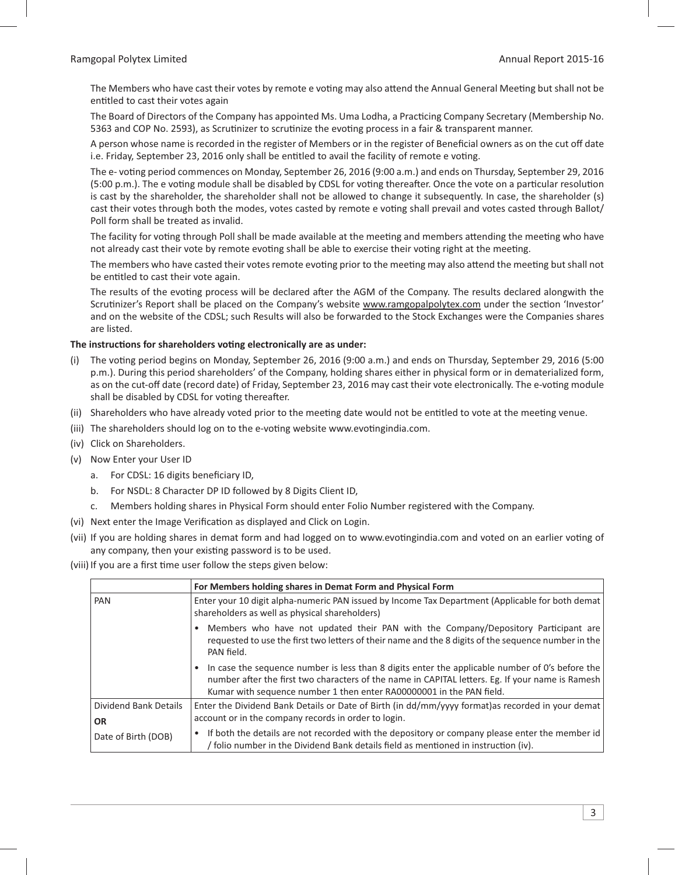The Members who have cast their votes by remote e voting may also attend the Annual General Meeting but shall not be entitled to cast their votes again

The Board of Directors of the Company has appointed Ms. Uma Lodha, a Practicing Company Secretary (Membership No. 5363 and COP No. 2593), as Scrutinizer to scrutinize the evoting process in a fair & transparent manner.

A person whose name is recorded in the register of Members or in the register of Beneficial owners as on the cut off date i.e. Friday, September 23, 2016 only shall be entitled to avail the facility of remote e voting.

The e- voting period commences on Monday, September 26, 2016 (9:00 a.m.) and ends on Thursday, September 29, 2016 (5:00 p.m.). The e voting module shall be disabled by CDSL for voting thereafter. Once the vote on a particular resolution is cast by the shareholder, the shareholder shall not be allowed to change it subsequently. In case, the shareholder (s) cast their votes through both the modes, votes casted by remote e voting shall prevail and votes casted through Ballot/ Poll form shall be treated as invalid.

The facility for voting through Poll shall be made available at the meeting and members attending the meeting who have not already cast their vote by remote evoting shall be able to exercise their voting right at the meeting.

The members who have casted their votes remote evoting prior to the meeting may also attend the meeting but shall not be entitled to cast their vote again.

The results of the evoting process will be declared after the AGM of the Company. The results declared alongwith the Scrutinizer's Report shall be placed on the Company's website www.ramgopalpolytex.com under the section 'Investor' and on the website of the CDSL; such Results will also be forwarded to the Stock Exchanges were the Companies shares are listed.

### **The instructions for shareholders voting electronically are as under:**

- (i) The voting period begins on Monday, September 26, 2016 (9:00 a.m.) and ends on Thursday, September 29, 2016 (5:00 p.m.). During this period shareholders' of the Company, holding shares either in physical form or in dematerialized form, as on the cut-off date (record date) of Friday, September 23, 2016 may cast their vote electronically. The e-voting module shall be disabled by CDSL for voting thereafter.
- (ii) Shareholders who have already voted prior to the meeting date would not be entitled to vote at the meeting venue.
- (iii) The shareholders should log on to the e-voting website www.evotingindia.com.
- (iv) Click on Shareholders.
- (v) Now Enter your User ID
	- a. For CDSL: 16 digits beneficiary ID,
	- b. For NSDL: 8 Character DP ID followed by 8 Digits Client ID,
	- c. Members holding shares in Physical Form should enter Folio Number registered with the Company.
- (vi) Next enter the Image Verification as displayed and Click on Login.
- (vii) If you are holding shares in demat form and had logged on to www.evotingindia.com and voted on an earlier voting of any company, then your existing password is to be used.
- (viii) If you are a first time user follow the steps given below:

|                             | For Members holding shares in Demat Form and Physical Form                                                                                                                                                                                                                  |
|-----------------------------|-----------------------------------------------------------------------------------------------------------------------------------------------------------------------------------------------------------------------------------------------------------------------------|
| <b>PAN</b>                  | Enter your 10 digit alpha-numeric PAN issued by Income Tax Department (Applicable for both demat<br>shareholders as well as physical shareholders)                                                                                                                          |
|                             | Members who have not updated their PAN with the Company/Depository Participant are<br>$\bullet$<br>requested to use the first two letters of their name and the 8 digits of the sequence number in the<br>PAN field.                                                        |
|                             | In case the sequence number is less than 8 digits enter the applicable number of 0's before the<br>number after the first two characters of the name in CAPITAL letters. Eg. If your name is Ramesh<br>Kumar with sequence number 1 then enter RA00000001 in the PAN field. |
| Dividend Bank Details<br>ΟR | Enter the Dividend Bank Details or Date of Birth (in dd/mm/yyyy format) as recorded in your demat<br>account or in the company records in order to login.                                                                                                                   |
| Date of Birth (DOB)         | If both the details are not recorded with the depository or company please enter the member id<br>$\bullet$<br>/ folio number in the Dividend Bank details field as mentioned in instruction (iv).                                                                          |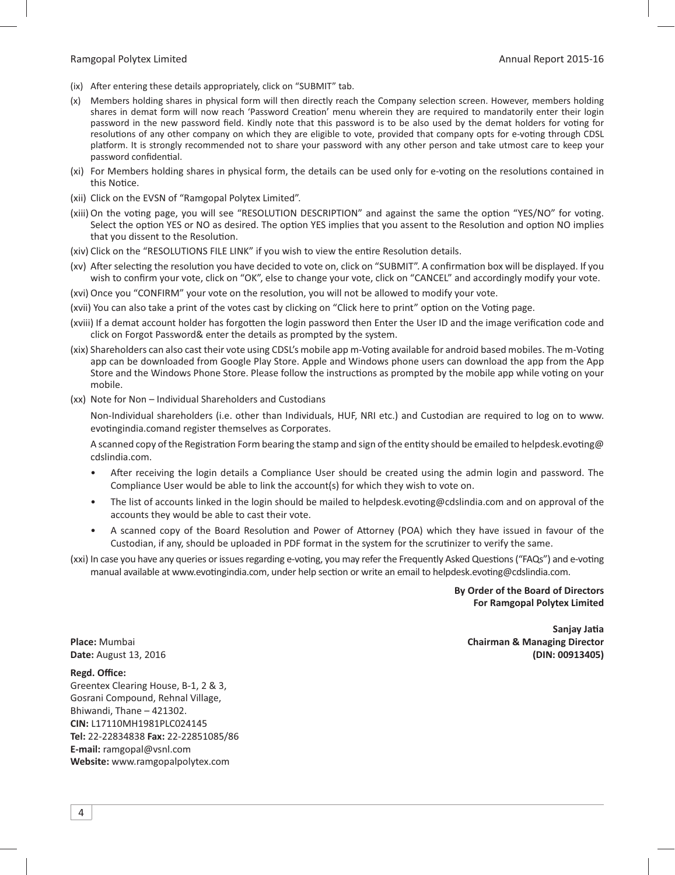- (ix) After entering these details appropriately, click on "SUBMIT" tab.
- (x) Members holding shares in physical form will then directly reach the Company selection screen. However, members holding shares in demat form will now reach 'Password Creation' menu wherein they are required to mandatorily enter their login password in the new password field. Kindly note that this password is to be also used by the demat holders for voting for resolutions of any other company on which they are eligible to vote, provided that company opts for e-voting through CDSL platform. It is strongly recommended not to share your password with any other person and take utmost care to keep your password confidential.
- (xi) For Members holding shares in physical form, the details can be used only for e-voting on the resolutions contained in this Notice.
- (xii) Click on the EVSN of "Ramgopal Polytex Limited".
- (xiii) On the voting page, you will see "RESOLUTION DESCRIPTION" and against the same the option "YES/NO" for voting. Select the option YES or NO as desired. The option YES implies that you assent to the Resolution and option NO implies that you dissent to the Resolution.
- (xiv) Click on the "RESOLUTIONS FILE LINK" if you wish to view the entire Resolution details.
- (xv) After selecting the resolution you have decided to vote on, click on "SUBMIT". A confirmation box will be displayed. If you wish to confirm your vote, click on "OK", else to change your vote, click on "CANCEL" and accordingly modify your vote.
- (xvi) Once you "CONFIRM" your vote on the resolution, you will not be allowed to modify your vote.
- (xvii) You can also take a print of the votes cast by clicking on "Click here to print" option on the Voting page.
- (xviii) If a demat account holder has forgotten the login password then Enter the User ID and the image verification code and click on Forgot Password& enter the details as prompted by the system.
- (xix) Shareholders can also cast their vote using CDSL's mobile app m-Voting available for android based mobiles. The m-Voting app can be downloaded from Google Play Store. Apple and Windows phone users can download the app from the App Store and the Windows Phone Store. Please follow the instructions as prompted by the mobile app while voting on your mobile.
- (xx) Note for Non Individual Shareholders and Custodians

 Non-Individual shareholders (i.e. other than Individuals, HUF, NRI etc.) and Custodian are required to log on to www. evotingindia.comand register themselves as Corporates.

A scanned copy of the Registration Form bearing the stamp and sign of the entity should be emailed to helpdesk.evoting@ cdslindia.com.

- After receiving the login details a Compliance User should be created using the admin login and password. The Compliance User would be able to link the account(s) for which they wish to vote on.
- The list of accounts linked in the login should be mailed to helpdesk.evoting@cdslindia.com and on approval of the accounts they would be able to cast their vote.
- A scanned copy of the Board Resolution and Power of Attorney (POA) which they have issued in favour of the Custodian, if any, should be uploaded in PDF format in the system for the scrutinizer to verify the same.

(xxi) In case you have any queries or issues regarding e-voting, you may refer the Frequently Asked Questions ("FAQs") and e-voting manual available at www.evotingindia.com, under help section or write an email to helpdesk.evoting@cdslindia.com.

> **By Order of the Board of Directors For Ramgopal Polytex Limited**

Sanjay Jatia **Place:** Mumbai **Chairman & Managing Director Date:** August 13, 2016 **(DIN: 00913405)**

**Regd. Office:** 

Greentex Clearing House, B-1, 2 & 3, Gosrani Compound, Rehnal Village, Bhiwandi, Thane – 421302. **CIN:** L17110MH1981PLC024145 **Tel:** 22-22834838 **Fax:** 22-22851085/86 **E-mail:** ramgopal@vsnl.com **Website:** www.ramgopalpolytex.com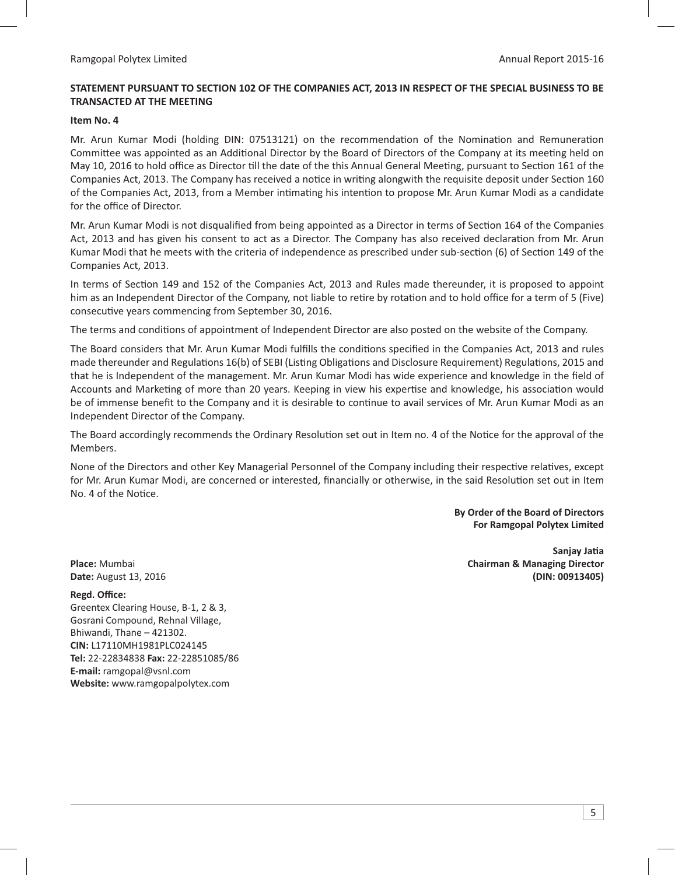# **STATEMENT PURSUANT TO SECTION 102 OF THE COMPANIES ACT, 2013 IN RESPECT OF THE SPECIAL BUSINESS TO BE TRANSACTED AT THE MEETING**

### **Item No. 4**

Mr. Arun Kumar Modi (holding DIN: 07513121) on the recommendation of the Nomination and Remuneration Committee was appointed as an Additional Director by the Board of Directors of the Company at its meeting held on May 10, 2016 to hold office as Director till the date of the this Annual General Meeting, pursuant to Section 161 of the Companies Act, 2013. The Company has received a notice in writing alongwith the requisite deposit under Section 160 of the Companies Act, 2013, from a Member intimating his intention to propose Mr. Arun Kumar Modi as a candidate for the office of Director.

Mr. Arun Kumar Modi is not disqualified from being appointed as a Director in terms of Section 164 of the Companies Act, 2013 and has given his consent to act as a Director. The Company has also received declaration from Mr. Arun Kumar Modi that he meets with the criteria of independence as prescribed under sub-section (6) of Section 149 of the Companies Act, 2013.

In terms of Section 149 and 152 of the Companies Act, 2013 and Rules made thereunder, it is proposed to appoint him as an Independent Director of the Company, not liable to retire by rotation and to hold office for a term of 5 (Five) consecutive years commencing from September 30, 2016.

The terms and conditions of appointment of Independent Director are also posted on the website of the Company.

The Board considers that Mr. Arun Kumar Modi fulfills the conditions specified in the Companies Act, 2013 and rules made thereunder and Regulations 16(b) of SEBI (Listing Obligations and Disclosure Requirement) Regulations, 2015 and that he is Independent of the management. Mr. Arun Kumar Modi has wide experience and knowledge in the field of Accounts and Marketing of more than 20 years. Keeping in view his expertise and knowledge, his association would be of immense benefit to the Company and it is desirable to continue to avail services of Mr. Arun Kumar Modi as an Independent Director of the Company.

The Board accordingly recommends the Ordinary Resolution set out in Item no. 4 of the Notice for the approval of the Members.

None of the Directors and other Key Managerial Personnel of the Company including their respective relatives, except for Mr. Arun Kumar Modi, are concerned or interested, financially or otherwise, in the said Resolution set out in Item No. 4 of the Notice.

> **By Order of the Board of Directors For Ramgopal Polytex Limited**

### **Regd. Office:**

Greentex Clearing House, B-1, 2 & 3, Gosrani Compound, Rehnal Village, Bhiwandi, Thane – 421302. **CIN:** L17110MH1981PLC024145 **Tel:** 22-22834838 **Fax:** 22-22851085/86 **E-mail:** ramgopal@vsnl.com **Website:** www.ramgopalpolytex.com

Sanjay Jatia **Place:** Mumbai **Chairman & Managing Director Date:** August 13, 2016 **(DIN: 00913405)**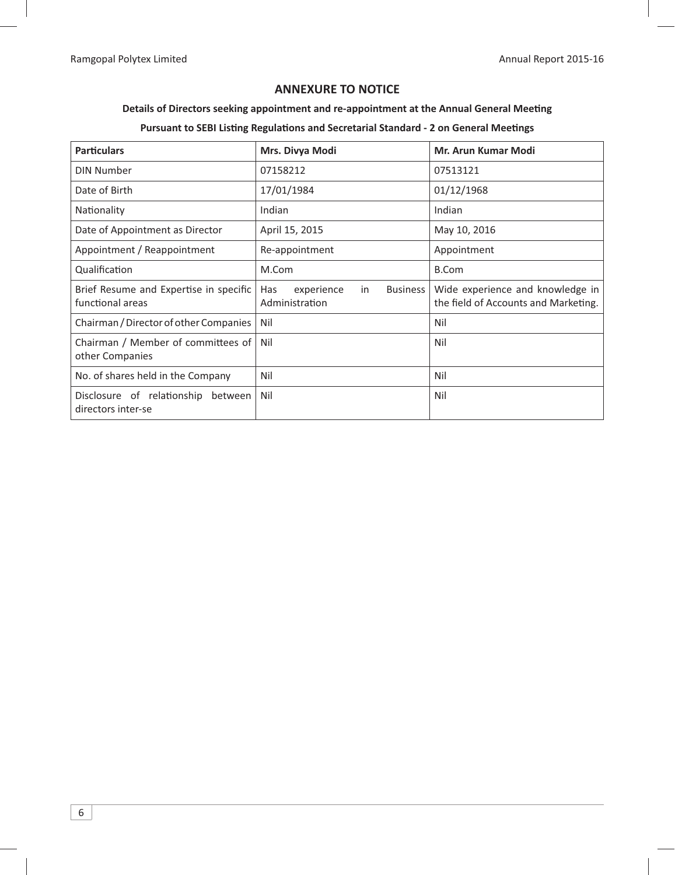# **ANNEXURE TO NOTICE**

### **Details of Directors seeking appointment and re-appointment at the Annual General Meeting**

### Pursuant to SEBI Listing Regulations and Secretarial Standard - 2 on General Meetings

| <b>Particulars</b>                                         | Mrs. Divya Modi                                              | <b>Mr. Arun Kumar Modi</b>                                               |  |
|------------------------------------------------------------|--------------------------------------------------------------|--------------------------------------------------------------------------|--|
| DIN Number                                                 | 07158212                                                     | 07513121                                                                 |  |
| Date of Birth                                              | 17/01/1984                                                   | 01/12/1968                                                               |  |
| Nationality                                                | Indian                                                       | Indian                                                                   |  |
| Date of Appointment as Director                            | April 15, 2015                                               | May 10, 2016                                                             |  |
| Appointment / Reappointment                                | Re-appointment                                               | Appointment                                                              |  |
| Qualification                                              | M.Com                                                        | <b>B.Com</b>                                                             |  |
| Brief Resume and Expertise in specific<br>functional areas | <b>Business</b><br>experience<br>Has<br>in<br>Administration | Wide experience and knowledge in<br>the field of Accounts and Marketing. |  |
| Chairman / Director of other Companies                     | Nil                                                          | Nil                                                                      |  |
| Chairman / Member of committees of<br>other Companies      | Nil                                                          | Nil                                                                      |  |
| No. of shares held in the Company                          | Nil                                                          | Nil                                                                      |  |
| Disclosure of relationship between<br>directors inter-se   | Nil                                                          | Nil                                                                      |  |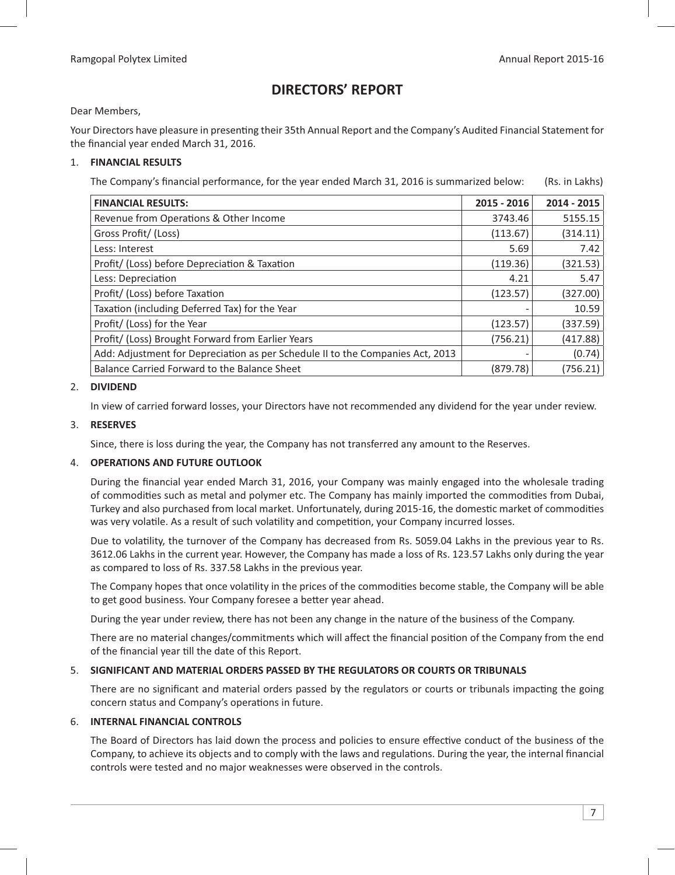# **DIRECTORS' REPORT**

Dear Members,

Your Directors have pleasure in presenting their 35th Annual Report and the Company's Audited Financial Statement for the financial year ended March 31, 2016.

# 1. **FINANCIAL RESULTS**

The Company's financial performance, for the year ended March 31, 2016 is summarized below: (Rs. in Lakhs)

| <b>FINANCIAL RESULTS:</b>                                                      | 2015 - 2016 | 2014 - 2015 |
|--------------------------------------------------------------------------------|-------------|-------------|
| Revenue from Operations & Other Income                                         | 3743.46     | 5155.15     |
| Gross Profit/ (Loss)                                                           | (113.67)    | (314.11)    |
| Less: Interest                                                                 | 5.69        | 7.42        |
| Profit/ (Loss) before Depreciation & Taxation                                  | (119.36)    | (321.53)    |
| Less: Depreciation                                                             | 4.21        | 5.47        |
| Profit/ (Loss) before Taxation                                                 | (123.57)    | (327.00)    |
| Taxation (including Deferred Tax) for the Year                                 |             | 10.59       |
| Profit/ (Loss) for the Year                                                    | (123.57)    | (337.59)    |
| Profit/ (Loss) Brought Forward from Earlier Years                              | (756.21)    | (417.88)    |
| Add: Adjustment for Depreciation as per Schedule II to the Companies Act, 2013 |             | (0.74)      |
| Balance Carried Forward to the Balance Sheet                                   | (879.78)    | (756.21)    |

# 2. **DIVIDEND**

In view of carried forward losses, your Directors have not recommended any dividend for the year under review.

### 3. **RESERVES**

Since, there is loss during the year, the Company has not transferred any amount to the Reserves.

# 4. **OPERATIONS AND FUTURE OUTLOOK**

During the financial year ended March 31, 2016, your Company was mainly engaged into the wholesale trading of commodities such as metal and polymer etc. The Company has mainly imported the commodities from Dubai, Turkey and also purchased from local market. Unfortunately, during 2015-16, the domestic market of commodities was very volatile. As a result of such volatility and competition, your Company incurred losses.

Due to volatility, the turnover of the Company has decreased from Rs. 5059.04 Lakhs in the previous year to Rs. 3612.06 Lakhs in the current year. However, the Company has made a loss of Rs. 123.57 Lakhs only during the year as compared to loss of Rs. 337.58 Lakhs in the previous year.

The Company hopes that once volatility in the prices of the commodities become stable, the Company will be able to get good business. Your Company foresee a better year ahead.

During the year under review, there has not been any change in the nature of the business of the Company.

There are no material changes/commitments which will affect the financial position of the Company from the end of the financial year till the date of this Report.

# 5. **SIGNIFICANT AND MATERIAL ORDERS PASSED BY THE REGULATORS OR COURTS OR TRIBUNALS**

There are no significant and material orders passed by the regulators or courts or tribunals impacting the going concern status and Company's operations in future.

### 6. **INTERNAL FINANCIAL CONTROLS**

The Board of Directors has laid down the process and policies to ensure effective conduct of the business of the Company, to achieve its objects and to comply with the laws and regulations. During the year, the internal financial controls were tested and no major weaknesses were observed in the controls.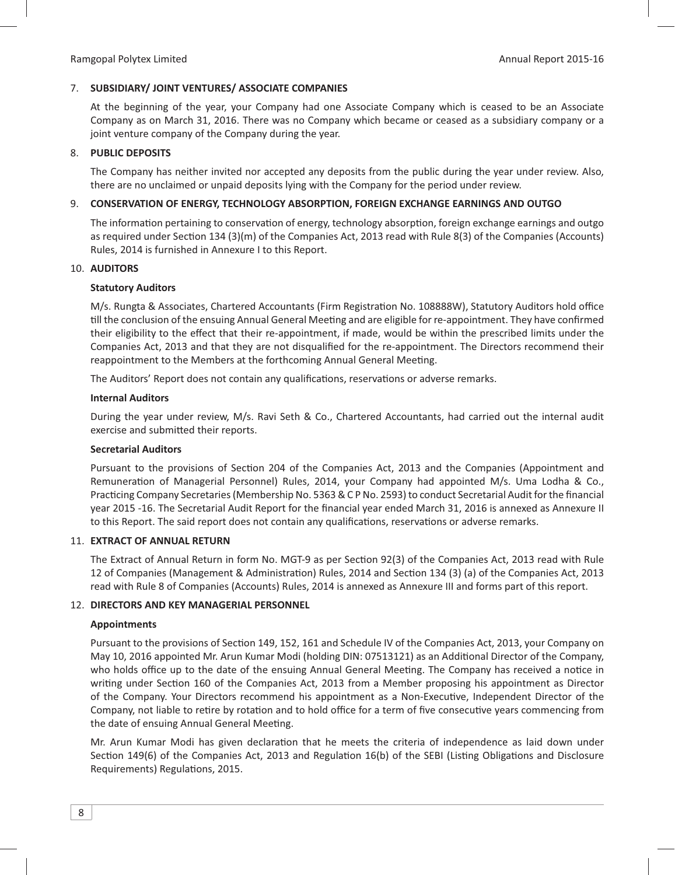# 7. **SUBSIDIARY/ JOINT VENTURES/ ASSOCIATE COMPANIES**

 At the beginning of the year, your Company had one Associate Company which is ceased to be an Associate Company as on March 31, 2016. There was no Company which became or ceased as a subsidiary company or a joint venture company of the Company during the year.

### 8. **PUBLIC DEPOSITS**

 The Company has neither invited nor accepted any deposits from the public during the year under review. Also, there are no unclaimed or unpaid deposits lying with the Company for the period under review.

### 9. **CONSERVATION OF ENERGY, TECHNOLOGY ABSORPTION, FOREIGN EXCHANGE EARNINGS AND OUTGO**

The information pertaining to conservation of energy, technology absorption, foreign exchange earnings and outgo as required under Section 134 (3)(m) of the Companies Act, 2013 read with Rule 8(3) of the Companies (Accounts) Rules, 2014 is furnished in Annexure I to this Report.

### 10. **AUDITORS**

### **Statutory Auditors**

M/s. Rungta & Associates, Chartered Accountants (Firm Registration No. 108888W), Statutory Auditors hold office till the conclusion of the ensuing Annual General Meeting and are eligible for re-appointment. They have confirmed their eligibility to the effect that their re-appointment, if made, would be within the prescribed limits under the Companies Act, 2013 and that they are not disqualified for the re-appointment. The Directors recommend their reappointment to the Members at the forthcoming Annual General Meeting.

The Auditors' Report does not contain any qualifications, reservations or adverse remarks.

### **Internal Auditors**

 During the year under review, M/s. Ravi Seth & Co., Chartered Accountants, had carried out the internal audit exercise and submitted their reports.

### **Secretarial Auditors**

Pursuant to the provisions of Section 204 of the Companies Act, 2013 and the Companies (Appointment and Remuneration of Managerial Personnel) Rules, 2014, your Company had appointed M/s. Uma Lodha & Co., Practicing Company Secretaries (Membership No. 5363 & C P No. 2593) to conduct Secretarial Audit for the financial year 2015 -16. The Secretarial Audit Report for the financial year ended March 31, 2016 is annexed as Annexure II to this Report. The said report does not contain any qualifications, reservations or adverse remarks.

# 11. **EXTRACT OF ANNUAL RETURN**

The Extract of Annual Return in form No. MGT-9 as per Section 92(3) of the Companies Act, 2013 read with Rule 12 of Companies (Management & Administration) Rules, 2014 and Section 134 (3) (a) of the Companies Act, 2013 read with Rule 8 of Companies (Accounts) Rules, 2014 is annexed as Annexure III and forms part of this report.

# 12. **DIRECTORS AND KEY MANAGERIAL PERSONNEL**

### **Appointments**

Pursuant to the provisions of Section 149, 152, 161 and Schedule IV of the Companies Act, 2013, your Company on May 10, 2016 appointed Mr. Arun Kumar Modi (holding DIN: 07513121) as an Additional Director of the Company, who holds office up to the date of the ensuing Annual General Meeting. The Company has received a notice in writing under Section 160 of the Companies Act, 2013 from a Member proposing his appointment as Director of the Company. Your Directors recommend his appointment as a Non-Executive, Independent Director of the Company, not liable to retire by rotation and to hold office for a term of five consecutive years commencing from the date of ensuing Annual General Meeting.

Mr. Arun Kumar Modi has given declaration that he meets the criteria of independence as laid down under Section 149(6) of the Companies Act, 2013 and Regulation 16(b) of the SEBI (Listing Obligations and Disclosure Requirements) Regulations, 2015.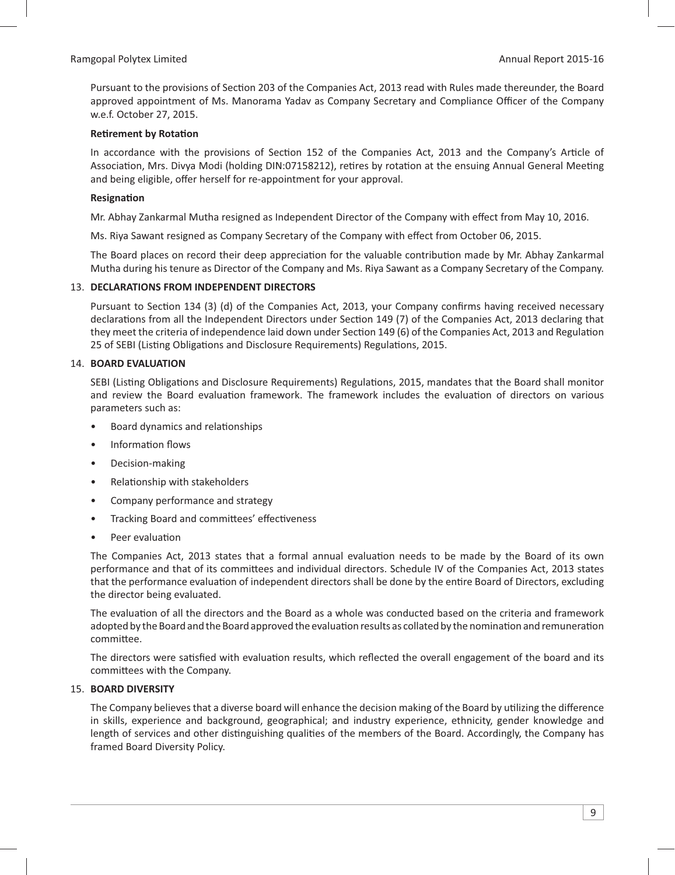Pursuant to the provisions of Section 203 of the Companies Act, 2013 read with Rules made thereunder, the Board approved appointment of Ms. Manorama Yadav as Company Secretary and Compliance Officer of the Company w.e.f. October 27, 2015.

### **Retirement by Rotation**

In accordance with the provisions of Section 152 of the Companies Act, 2013 and the Company's Article of Association, Mrs. Divya Modi (holding DIN:07158212), retires by rotation at the ensuing Annual General Meeting and being eligible, offer herself for re-appointment for your approval.

# **Resignation**

Mr. Abhay Zankarmal Mutha resigned as Independent Director of the Company with effect from May 10, 2016.

Ms. Riya Sawant resigned as Company Secretary of the Company with effect from October 06, 2015.

The Board places on record their deep appreciation for the valuable contribution made by Mr. Abhay Zankarmal Mutha during his tenure as Director of the Company and Ms. Riya Sawant as a Company Secretary of the Company.

### 13. **DECLARATIONS FROM INDEPENDENT DIRECTORS**

Pursuant to Section 134 (3) (d) of the Companies Act, 2013, your Company confirms having received necessary declarations from all the Independent Directors under Section 149 (7) of the Companies Act, 2013 declaring that they meet the criteria of independence laid down under Section 149 (6) of the Companies Act, 2013 and Regulation 25 of SEBI (Listing Obligations and Disclosure Requirements) Regulations, 2015.

### 14. **BOARD EVALUATION**

SEBI (Listing Obligations and Disclosure Requirements) Regulations, 2015, mandates that the Board shall monitor and review the Board evaluation framework. The framework includes the evaluation of directors on various parameters such as:

- Board dynamics and relationships
- Information flows
- Decision-making
- Relationship with stakeholders
- Company performance and strategy
- Tracking Board and committees' effectiveness
- Peer evaluation

The Companies Act, 2013 states that a formal annual evaluation needs to be made by the Board of its own performance and that of its committees and individual directors. Schedule IV of the Companies Act, 2013 states that the performance evaluation of independent directors shall be done by the entire Board of Directors, excluding the director being evaluated.

The evaluation of all the directors and the Board as a whole was conducted based on the criteria and framework adopted by the Board and the Board approved the evaluation results as collated by the nomination and remuneration committee

The directors were satisfied with evaluation results, which reflected the overall engagement of the board and its committees with the Company.

### 15. **BOARD DIVERSITY**

The Company believes that a diverse board will enhance the decision making of the Board by utilizing the difference in skills, experience and background, geographical; and industry experience, ethnicity, gender knowledge and length of services and other distinguishing qualities of the members of the Board. Accordingly, the Company has framed Board Diversity Policy.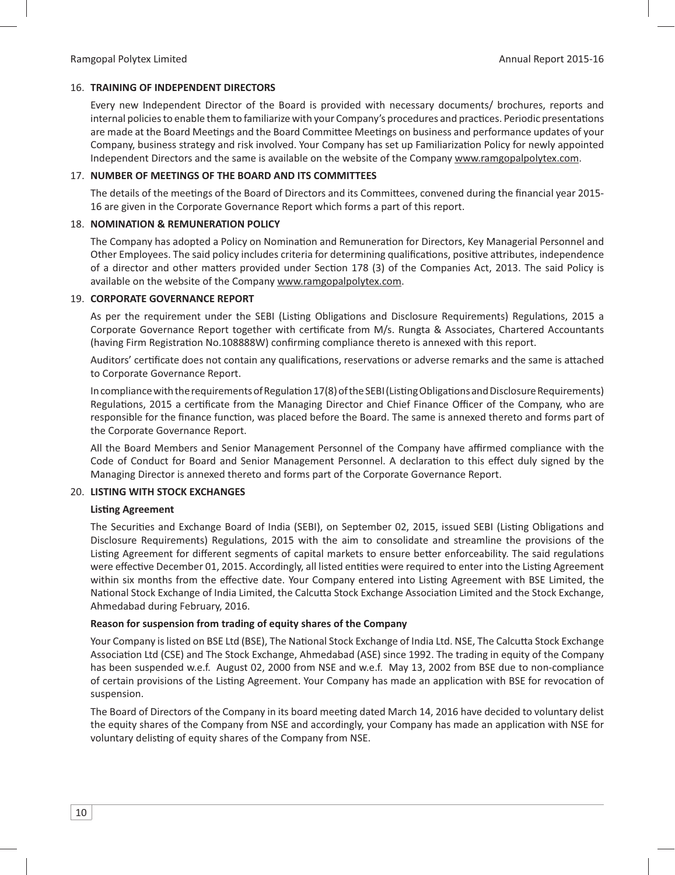# 16. **TRAINING OF INDEPENDENT DIRECTORS**

 Every new Independent Director of the Board is provided with necessary documents/ brochures, reports and internal policies to enable them to familiarize with your Company's procedures and practices. Periodic presentations are made at the Board Meetings and the Board Committee Meetings on business and performance updates of your Company, business strategy and risk involved. Your Company has set up Familiarization Policy for newly appointed Independent Directors and the same is available on the website of the Company www.ramgopalpolytex.com.

### 17. **NUMBER OF MEETINGS OF THE BOARD AND ITS COMMITTEES**

The details of the meetings of the Board of Directors and its Committees, convened during the financial year 2015-16 are given in the Corporate Governance Report which forms a part of this report.

### 18. **NOMINATION & REMUNERATION POLICY**

The Company has adopted a Policy on Nomination and Remuneration for Directors, Key Managerial Personnel and Other Employees. The said policy includes criteria for determining qualifications, positive attributes, independence of a director and other matters provided under Section 178 (3) of the Companies Act, 2013. The said Policy is available on the website of the Company www.ramgopalpolytex.com.

### 19. **CORPORATE GOVERNANCE REPORT**

As per the requirement under the SEBI (Listing Obligations and Disclosure Requirements) Regulations, 2015 a Corporate Governance Report together with certificate from M/s. Rungta & Associates, Chartered Accountants (having Firm Registration No.108888W) confirming compliance thereto is annexed with this report.

Auditors' certificate does not contain any qualifications, reservations or adverse remarks and the same is attached to Corporate Governance Report.

In compliance with the requirements of Regulation 17(8) of the SEBI (Listing Obligations and Disclosure Requirements) Regulations, 2015 a certificate from the Managing Director and Chief Finance Officer of the Company, who are responsible for the finance function, was placed before the Board. The same is annexed thereto and forms part of the Corporate Governance Report.

All the Board Members and Senior Management Personnel of the Company have affirmed compliance with the Code of Conduct for Board and Senior Management Personnel. A declaration to this effect duly signed by the Managing Director is annexed thereto and forms part of the Corporate Governance Report.

# 20. **LISTING WITH STOCK EXCHANGES**

# **Listing Agreement**

The Securities and Exchange Board of India (SEBI), on September 02, 2015, issued SEBI (Listing Obligations and Disclosure Requirements) Regulations, 2015 with the aim to consolidate and streamline the provisions of the Listing Agreement for different segments of capital markets to ensure better enforceability. The said regulations were effective December 01, 2015. Accordingly, all listed entities were required to enter into the Listing Agreement within six months from the effective date. Your Company entered into Listing Agreement with BSE Limited, the National Stock Exchange of India Limited, the Calcutta Stock Exchange Association Limited and the Stock Exchange, Ahmedabad during February, 2016.

# **Reason for suspension from trading of equity shares of the Company**

Your Company is listed on BSE Ltd (BSE), The National Stock Exchange of India Ltd. NSE, The Calcutta Stock Exchange Association Ltd (CSE) and The Stock Exchange, Ahmedabad (ASE) since 1992. The trading in equity of the Company has been suspended w.e.f. August 02, 2000 from NSE and w.e.f. May 13, 2002 from BSE due to non-compliance of certain provisions of the Listing Agreement. Your Company has made an application with BSE for revocation of suspension.

The Board of Directors of the Company in its board meeting dated March 14, 2016 have decided to voluntary delist the equity shares of the Company from NSE and accordingly, your Company has made an application with NSE for voluntary delisting of equity shares of the Company from NSE.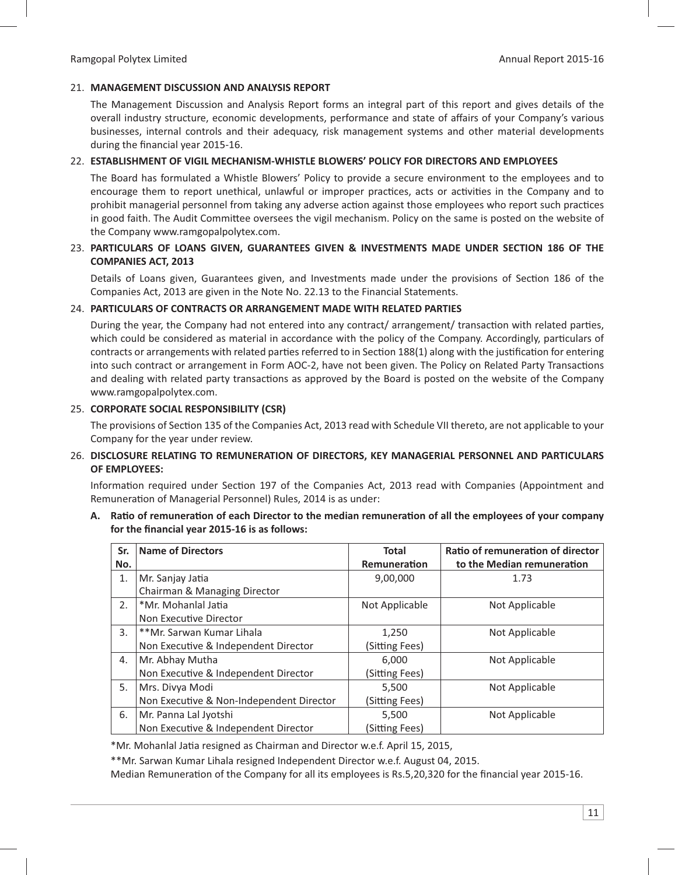### 21. **MANAGEMENT DISCUSSION AND ANALYSIS REPORT**

 The Management Discussion and Analysis Report forms an integral part of this report and gives details of the overall industry structure, economic developments, performance and state of affairs of your Company's various businesses, internal controls and their adequacy, risk management systems and other material developments during the financial year 2015-16.

### 22. **ESTABLISHMENT OF VIGIL MECHANISM-WHISTLE BLOWERS' POLICY FOR DIRECTORS AND EMPLOYEES**

 The Board has formulated a Whistle Blowers' Policy to provide a secure environment to the employees and to encourage them to report unethical, unlawful or improper practices, acts or activities in the Company and to prohibit managerial personnel from taking any adverse action against those employees who report such practices in good faith. The Audit Committee oversees the vigil mechanism. Policy on the same is posted on the website of the Company www.ramgopalpolytex.com.

### 23. **PARTICULARS OF LOANS GIVEN, GUARANTEES GIVEN & INVESTMENTS MADE UNDER SECTION 186 OF THE COMPANIES ACT, 2013**

Details of Loans given, Guarantees given, and Investments made under the provisions of Section 186 of the Companies Act, 2013 are given in the Note No. 22.13 to the Financial Statements.

### 24. **PARTICULARS OF CONTRACTS OR ARRANGEMENT MADE WITH RELATED PARTIES**

During the year, the Company had not entered into any contract/ arrangement/ transaction with related parties, which could be considered as material in accordance with the policy of the Company. Accordingly, particulars of contracts or arrangements with related parties referred to in Section 188(1) along with the justification for entering into such contract or arrangement in Form AOC-2, have not been given. The Policy on Related Party Transactions and dealing with related party transactions as approved by the Board is posted on the website of the Company www.ramgopalpolytex.com.

### 25. **CORPORATE SOCIAL RESPONSIBILITY (CSR)**

The provisions of Section 135 of the Companies Act, 2013 read with Schedule VII thereto, are not applicable to your Company for the year under review.

# 26. **DISCLOSURE RELATING TO REMUNERATION OF DIRECTORS, KEY MANAGERIAL PERSONNEL AND PARTICULARS OF EMPLOYEES:**

Information required under Section 197 of the Companies Act, 2013 read with Companies (Appointment and Remuneration of Managerial Personnel) Rules, 2014 is as under:

A. Ratio of remuneration of each Director to the median remuneration of all the employees of your company for the financial year 2015-16 is as follows:

| Sr. | <b>Name of Directors</b>                 | <b>Total</b>   | Ratio of remuneration of director |
|-----|------------------------------------------|----------------|-----------------------------------|
| No. |                                          | Remuneration   | to the Median remuneration        |
| 1.  | Mr. Sanjay Jatia                         | 9,00,000       | 1.73                              |
|     | Chairman & Managing Director             |                |                                   |
| 2.  | *Mr. Mohanlal Jatia                      | Not Applicable | Not Applicable                    |
|     | Non Executive Director                   |                |                                   |
| 3.  | **Mr. Sarwan Kumar Lihala                | 1.250          | Not Applicable                    |
|     | Non Executive & Independent Director     | (Sitting Fees) |                                   |
| 4.  | Mr. Abhay Mutha                          | 6.000          | Not Applicable                    |
|     | Non Executive & Independent Director     | (Sitting Fees) |                                   |
| 5.  | Mrs. Divya Modi                          | 5.500          | Not Applicable                    |
|     | Non Executive & Non-Independent Director | (Sitting Fees) |                                   |
| 6.  | Mr. Panna Lal Jyotshi                    | 5,500          | Not Applicable                    |
|     | Non Executive & Independent Director     | (Sitting Fees) |                                   |

\*Mr. Mohanlal Jatia resigned as Chairman and Director w.e.f. April 15, 2015,

\*\*Mr. Sarwan Kumar Lihala resigned Independent Director w.e.f. August 04, 2015.

Median Remuneration of the Company for all its employees is Rs.5,20,320 for the financial year 2015-16.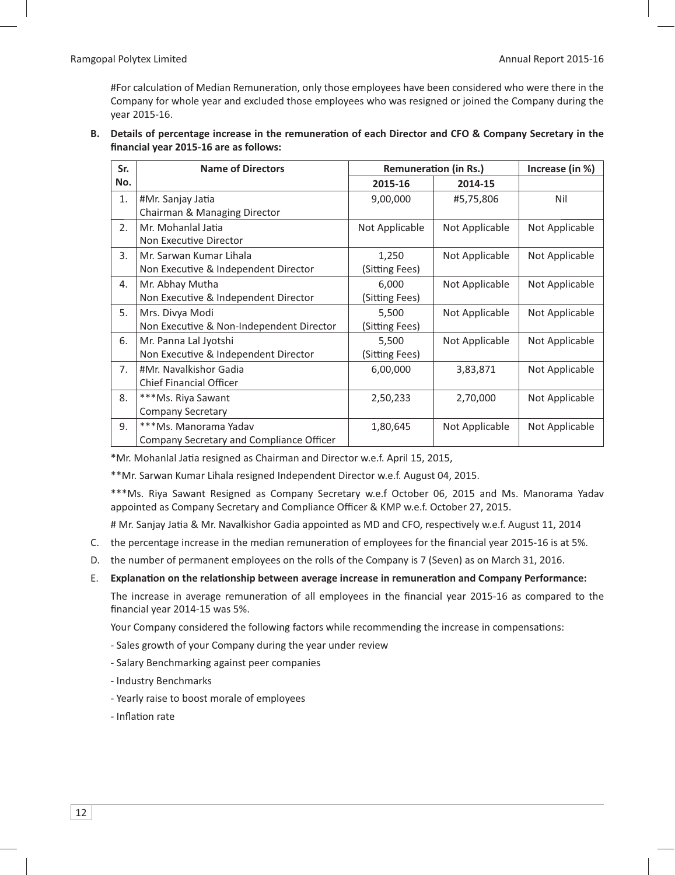#For calculation of Median Remuneration, only those employees have been considered who were there in the Company for whole year and excluded those employees who was resigned or joined the Company during the year 2015-16.

B. Details of percentage increase in the remuneration of each Director and CFO & Company Secretary in the **fi nancial year 2015-16 are as follows:**

| Sr.            | <b>Name of Directors</b>                 | <b>Remuneration (in Rs.)</b> | Increase (in %) |                |
|----------------|------------------------------------------|------------------------------|-----------------|----------------|
| No.            |                                          | 2015-16                      | 2014-15         |                |
| 1.             | #Mr. Sanjay Jatia                        | 9,00,000                     | #5,75,806       | Nil            |
|                | Chairman & Managing Director             |                              |                 |                |
| 2.             | Mr. Mohanlal Jatia                       | Not Applicable               | Not Applicable  | Not Applicable |
|                | Non Executive Director                   |                              |                 |                |
| $\mathbf{3}$ . | Mr. Sarwan Kumar Lihala                  | 1,250                        | Not Applicable  | Not Applicable |
|                | Non Executive & Independent Director     | (Sitting Fees)               |                 |                |
| 4.             | Mr. Abhay Mutha                          | 6,000                        | Not Applicable  | Not Applicable |
|                | Non Executive & Independent Director     | (Sitting Fees)               |                 |                |
| 5.             | Mrs. Divya Modi                          | 5,500                        | Not Applicable  | Not Applicable |
|                | Non Executive & Non-Independent Director | (Sitting Fees)               |                 |                |
| 6.             | Mr. Panna Lal Jyotshi                    | 5,500                        | Not Applicable  | Not Applicable |
|                | Non Executive & Independent Director     | (Sitting Fees)               |                 |                |
| 7.             | #Mr. Navalkishor Gadia                   | 6,00,000                     | 3,83,871        | Not Applicable |
|                | <b>Chief Financial Officer</b>           |                              |                 |                |
| 8.             | ***Ms. Riya Sawant                       | 2,50,233                     | 2,70,000        | Not Applicable |
|                | <b>Company Secretary</b>                 |                              |                 |                |
| 9.             | ***Ms. Manorama Yadav                    | 1,80,645                     | Not Applicable  | Not Applicable |
|                | Company Secretary and Compliance Officer |                              |                 |                |

\*Mr. Mohanlal Jatia resigned as Chairman and Director w.e.f. April 15, 2015,

\*\*Mr. Sarwan Kumar Lihala resigned Independent Director w.e.f. August 04, 2015.

 \*\*\*Ms. Riya Sawant Resigned as Company Secretary w.e.f October 06, 2015 and Ms. Manorama Yadav appointed as Company Secretary and Compliance Officer & KMP w.e.f. October 27, 2015.

# Mr. Sanjay Jatia & Mr. Navalkishor Gadia appointed as MD and CFO, respectively w.e.f. August 11, 2014

- C. the percentage increase in the median remuneration of employees for the financial year 2015-16 is at 5%.
- D. the number of permanent employees on the rolls of the Company is 7 (Seven) as on March 31, 2016.
- E. Explanation on the relationship between average increase in remuneration and Company Performance:

The increase in average remuneration of all employees in the financial year 2015-16 as compared to the financial year 2014-15 was 5%.

Your Company considered the following factors while recommending the increase in compensations:

- Sales growth of your Company during the year under review
- Salary Benchmarking against peer companies
- Industry Benchmarks
- Yearly raise to boost morale of employees
- Inflation rate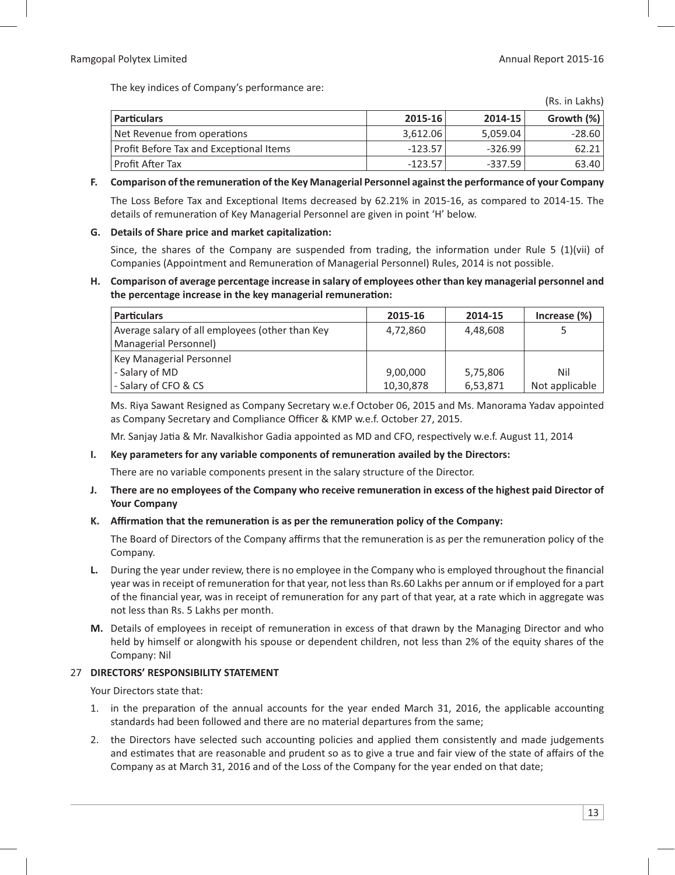The key indices of Company's performance are:

(Rs. in Lakhs)

| <b>Particulars</b>                      | 2015-16   | 2014-15   | Growth (%) |
|-----------------------------------------|-----------|-----------|------------|
| Net Revenue from operations             | 3,612.06  | 5.059.04  | $-28.60$   |
| Profit Before Tax and Exceptional Items | $-123.57$ | $-326.99$ | 62.21      |
| Profit After Tax                        | $-123.57$ | $-337.59$ | 63.40      |

### F. Comparison of the remuneration of the Key Managerial Personnel against the performance of your Company

The Loss Before Tax and Exceptional Items decreased by 62.21% in 2015-16, as compared to 2014-15. The details of remuneration of Key Managerial Personnel are given in point 'H' below.

### **G.** Details of Share price and market capitalization:

Since, the shares of the Company are suspended from trading, the information under Rule 5 (1)(vii) of Companies (Appointment and Remuneration of Managerial Personnel) Rules, 2014 is not possible.

### **H. Comparison of average percentage increase in salary of employees other than key managerial personnel and**  the percentage increase in the key managerial remuneration:

| <b>Particulars</b>                              | 2015-16   | 2014-15  | Increase (%)   |
|-------------------------------------------------|-----------|----------|----------------|
| Average salary of all employees (other than Key | 4,72,860  | 4,48,608 |                |
| Managerial Personnel)                           |           |          |                |
| Key Managerial Personnel                        |           |          |                |
| - Salary of MD                                  | 9,00,000  | 5,75,806 | Nil            |
| - Salary of CFO & CS                            | 10,30,878 | 6,53,871 | Not applicable |

Ms. Riya Sawant Resigned as Company Secretary w.e.f October 06, 2015 and Ms. Manorama Yadav appointed as Company Secretary and Compliance Officer & KMP w.e.f. October 27, 2015.

Mr. Sanjay Jatia & Mr. Navalkishor Gadia appointed as MD and CFO, respectively w.e.f. August 11, 2014

# **I.** Key parameters for any variable components of remuneration availed by the Directors:

There are no variable components present in the salary structure of the Director.

### **J.** There are no employees of the Company who receive remuneration in excess of the highest paid Director of **Your Company**

# K. Affirmation that the remuneration is as per the remuneration policy of the Company:

The Board of Directors of the Company affirms that the remuneration is as per the remuneration policy of the Company.

- **L.** During the year under review, there is no employee in the Company who is employed throughout the financial year was in receipt of remuneration for that year, not less than Rs.60 Lakhs per annum or if employed for a part of the financial year, was in receipt of remuneration for any part of that year, at a rate which in aggregate was not less than Rs. 5 Lakhs per month.
- M. Details of employees in receipt of remuneration in excess of that drawn by the Managing Director and who held by himself or alongwith his spouse or dependent children, not less than 2% of the equity shares of the Company: Nil

# 27 **DIRECTORS' RESPONSIBILITY STATEMENT**

Your Directors state that:

- 1. in the preparation of the annual accounts for the year ended March 31, 2016, the applicable accounting standards had been followed and there are no material departures from the same;
- 2. the Directors have selected such accounting policies and applied them consistently and made judgements and estimates that are reasonable and prudent so as to give a true and fair view of the state of affairs of the Company as at March 31, 2016 and of the Loss of the Company for the year ended on that date;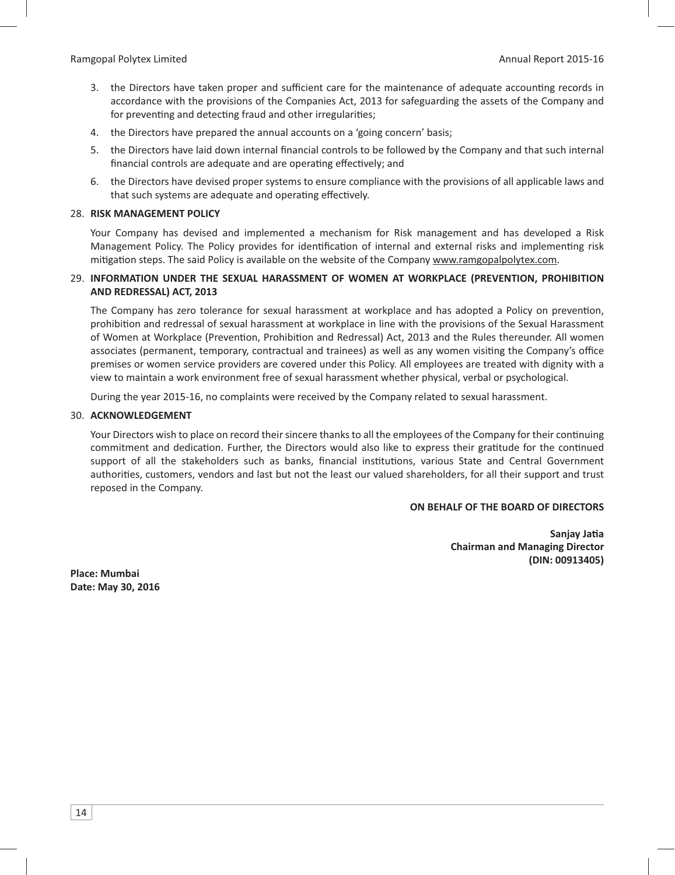- 3. the Directors have taken proper and sufficient care for the maintenance of adequate accounting records in accordance with the provisions of the Companies Act, 2013 for safeguarding the assets of the Company and for preventing and detecting fraud and other irregularities;
- 4. the Directors have prepared the annual accounts on a 'going concern' basis;
- 5. the Directors have laid down internal financial controls to be followed by the Company and that such internal financial controls are adequate and are operating effectively; and
- 6. the Directors have devised proper systems to ensure compliance with the provisions of all applicable laws and that such systems are adequate and operating effectively.

### 28. **RISK MANAGEMENT POLICY**

 Your Company has devised and implemented a mechanism for Risk management and has developed a Risk Management Policy. The Policy provides for identification of internal and external risks and implementing risk mitigation steps. The said Policy is available on the website of the Company www.ramgopalpolytex.com.

# 29. **INFORMATION UNDER THE SEXUAL HARASSMENT OF WOMEN AT WORKPLACE (PREVENTION, PROHIBITION AND REDRESSAL) ACT, 2013**

The Company has zero tolerance for sexual harassment at workplace and has adopted a Policy on prevention, prohibition and redressal of sexual harassment at workplace in line with the provisions of the Sexual Harassment of Women at Workplace (Prevention, Prohibition and Redressal) Act, 2013 and the Rules thereunder. All women associates (permanent, temporary, contractual and trainees) as well as any women visiting the Company's office premises or women service providers are covered under this Policy. All employees are treated with dignity with a view to maintain a work environment free of sexual harassment whether physical, verbal or psychological.

During the year 2015-16, no complaints were received by the Company related to sexual harassment.

### 30. **ACKNOWLEDGEMENT**

Your Directors wish to place on record their sincere thanks to all the employees of the Company for their continuing commitment and dedication. Further, the Directors would also like to express their gratitude for the continued support of all the stakeholders such as banks, financial institutions, various State and Central Government authorities, customers, vendors and last but not the least our valued shareholders, for all their support and trust reposed in the Company.

# **ON BEHALF OF THE BOARD OF DIRECTORS**

Sanjay Jatia  **Chairman and Managing Director (DIN: 00913405)**

**Place: Mumbai Date: May 30, 2016**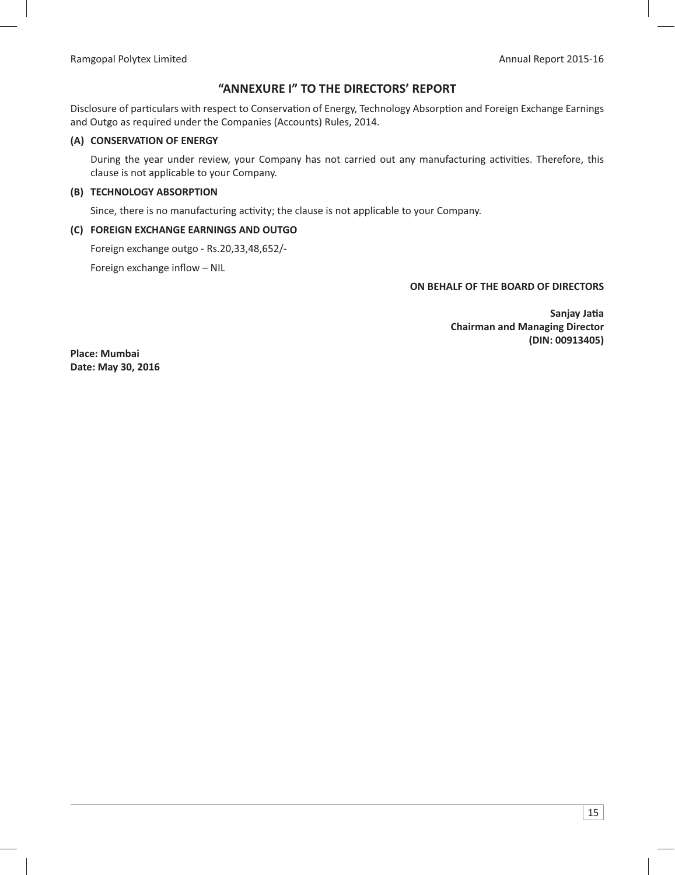# **"ANNEXURE I" TO THE DIRECTORS' REPORT**

Disclosure of particulars with respect to Conservation of Energy, Technology Absorption and Foreign Exchange Earnings and Outgo as required under the Companies (Accounts) Rules, 2014.

### **(A) CONSERVATION OF ENERGY**

During the year under review, your Company has not carried out any manufacturing activities. Therefore, this clause is not applicable to your Company.

### **(B) TECHNOLOGY ABSORPTION**

Since, there is no manufacturing activity; the clause is not applicable to your Company.

# **(C) FOREIGN EXCHANGE EARNINGS AND OUTGO**

Foreign exchange outgo - Rs.20,33,48,652/-

Foreign exchange inflow  $-$  NIL

### **ON BEHALF OF THE BOARD OF DIRECTORS**

Sanjay Jatia  **Chairman and Managing Director (DIN: 00913405)**

**Place: Mumbai Date: May 30, 2016**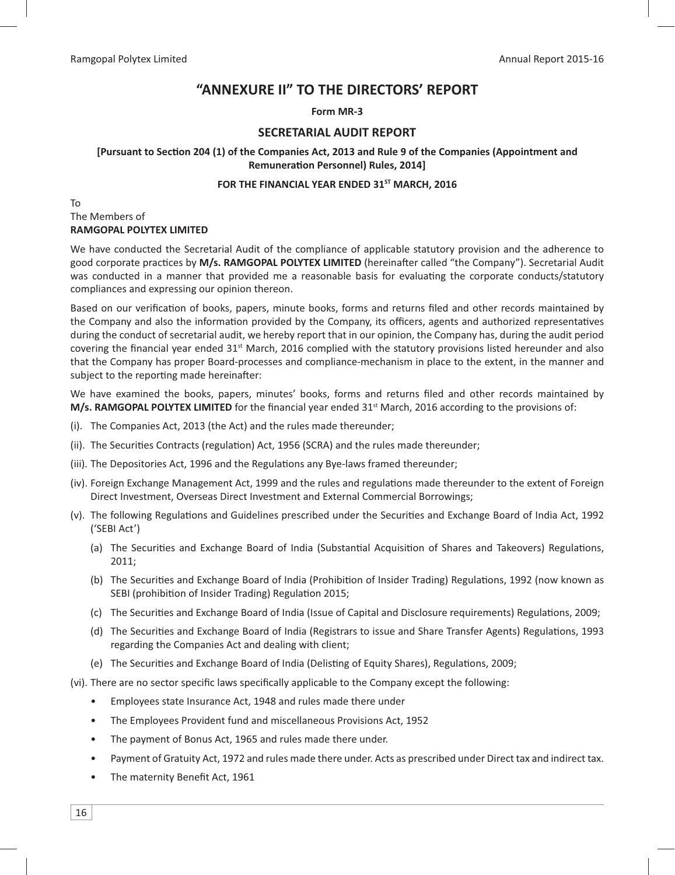# **"ANNEXURE II" TO THE DIRECTORS' REPORT**

### **Form MR-3**

# **SECRETARIAL AUDIT REPORT**

# [Pursuant to Section 204 (1) of the Companies Act, 2013 and Rule 9 of the Companies (Appointment and **Remuneration Personnel) Rules, 2014]**

### FOR THE FINANCIAL YEAR ENDED 31<sup>ST</sup> MARCH, 2016

To The Members of **RAMGOPAL POLYTEX LIMITED**

We have conducted the Secretarial Audit of the compliance of applicable statutory provision and the adherence to good corporate practices by M/s. RAMGOPAL POLYTEX LIMITED (hereinafter called "the Company"). Secretarial Audit was conducted in a manner that provided me a reasonable basis for evaluating the corporate conducts/statutory compliances and expressing our opinion thereon.

Based on our verification of books, papers, minute books, forms and returns filed and other records maintained by the Company and also the information provided by the Company, its officers, agents and authorized representatives during the conduct of secretarial audit, we hereby report that in our opinion, the Company has, during the audit period covering the financial year ended  $31<sup>st</sup>$  March, 2016 complied with the statutory provisions listed hereunder and also that the Company has proper Board-processes and compliance-mechanism in place to the extent, in the manner and subject to the reporting made hereinafter:

We have examined the books, papers, minutes' books, forms and returns filed and other records maintained by **M/s. RAMGOPAL POLYTEX LIMITED** for the financial year ended 31<sup>st</sup> March, 2016 according to the provisions of:

- (i). The Companies Act, 2013 (the Act) and the rules made thereunder;
- (ii). The Securities Contracts (regulation) Act, 1956 (SCRA) and the rules made thereunder;
- (iii). The Depositories Act, 1996 and the Regulations any Bye-laws framed thereunder;
- (iv). Foreign Exchange Management Act, 1999 and the rules and regulations made thereunder to the extent of Foreign Direct Investment, Overseas Direct Investment and External Commercial Borrowings;
- (v). The following Regulations and Guidelines prescribed under the Securities and Exchange Board of India Act, 1992 ('SEBI Act')
	- (a) The Securities and Exchange Board of India (Substantial Acquisition of Shares and Takeovers) Regulations, 2011;
	- (b) The Securities and Exchange Board of India (Prohibition of Insider Trading) Regulations, 1992 (now known as SEBI (prohibition of Insider Trading) Regulation 2015;
	- (c) The Securities and Exchange Board of India (Issue of Capital and Disclosure requirements) Regulations, 2009;
	- (d) The Securities and Exchange Board of India (Registrars to issue and Share Transfer Agents) Regulations, 1993 regarding the Companies Act and dealing with client;
	- (e) The Securities and Exchange Board of India (Delisting of Equity Shares), Regulations, 2009;
- (vi). There are no sector specific laws specifically applicable to the Company except the following:
	- Employees state Insurance Act, 1948 and rules made there under
	- The Employees Provident fund and miscellaneous Provisions Act, 1952
	- The payment of Bonus Act, 1965 and rules made there under.
	- Payment of Gratuity Act, 1972 and rules made there under. Acts as prescribed under Direct tax and indirect tax.
	- The maternity Benefit Act, 1961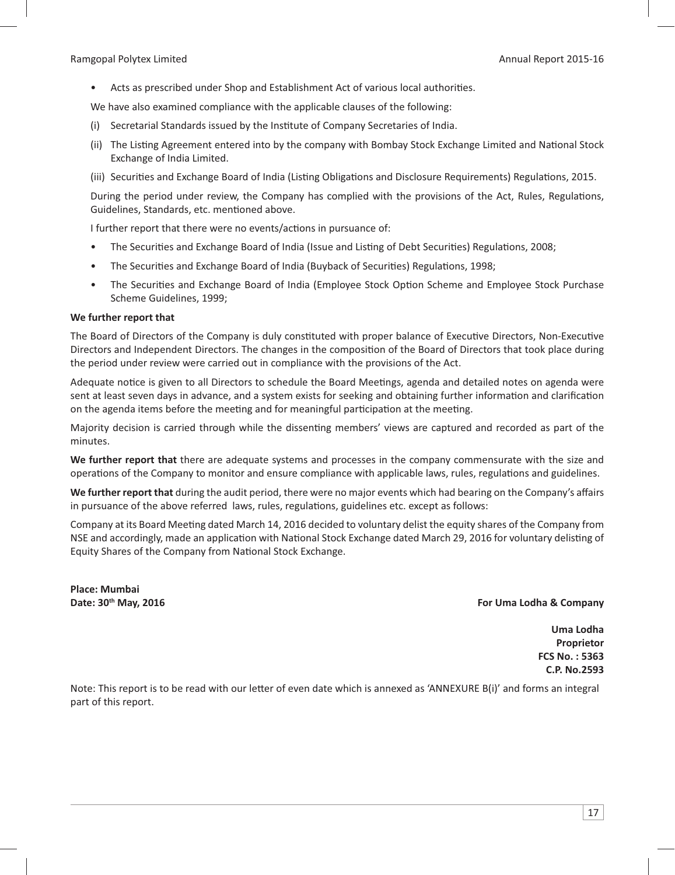• Acts as prescribed under Shop and Establishment Act of various local authorities.

We have also examined compliance with the applicable clauses of the following:

- (i) Secretarial Standards issued by the Institute of Company Secretaries of India.
- (ii) The Listing Agreement entered into by the company with Bombay Stock Exchange Limited and National Stock Exchange of India Limited.
- (iii) Securities and Exchange Board of India (Listing Obligations and Disclosure Requirements) Regulations, 2015.

During the period under review, the Company has complied with the provisions of the Act, Rules, Regulations, Guidelines, Standards, etc. mentioned above.

I further report that there were no events/actions in pursuance of:

- The Securities and Exchange Board of India (Issue and Listing of Debt Securities) Regulations, 2008;
- The Securities and Exchange Board of India (Buyback of Securities) Regulations, 1998;
- The Securities and Exchange Board of India (Employee Stock Option Scheme and Employee Stock Purchase Scheme Guidelines, 1999;

### **We further report that**

The Board of Directors of the Company is duly constituted with proper balance of Executive Directors, Non-Executive Directors and Independent Directors. The changes in the composition of the Board of Directors that took place during the period under review were carried out in compliance with the provisions of the Act.

Adequate notice is given to all Directors to schedule the Board Meetings, agenda and detailed notes on agenda were sent at least seven days in advance, and a system exists for seeking and obtaining further information and clarification on the agenda items before the meeting and for meaningful participation at the meeting.

Majority decision is carried through while the dissenting members' views are captured and recorded as part of the minutes.

**We further report that** there are adequate systems and processes in the company commensurate with the size and operations of the Company to monitor and ensure compliance with applicable laws, rules, regulations and guidelines.

We further report that during the audit period, there were no major events which had bearing on the Company's affairs in pursuance of the above referred laws, rules, regulations, guidelines etc. except as follows:

Company at its Board Meeting dated March 14, 2016 decided to voluntary delist the equity shares of the Company from NSE and accordingly, made an application with National Stock Exchange dated March 29, 2016 for voluntary delisting of Equity Shares of the Company from National Stock Exchange.

**Place: Mumbai**

**Date: 30<sup>th</sup> May, 2016 Company Company Company For Uma Lodha & Company** 

**Uma Lodha Proprietor FCS No. : 5363 C.P. No.2593**

Note: This report is to be read with our letter of even date which is annexed as 'ANNEXURE B(i)' and forms an integral part of this report.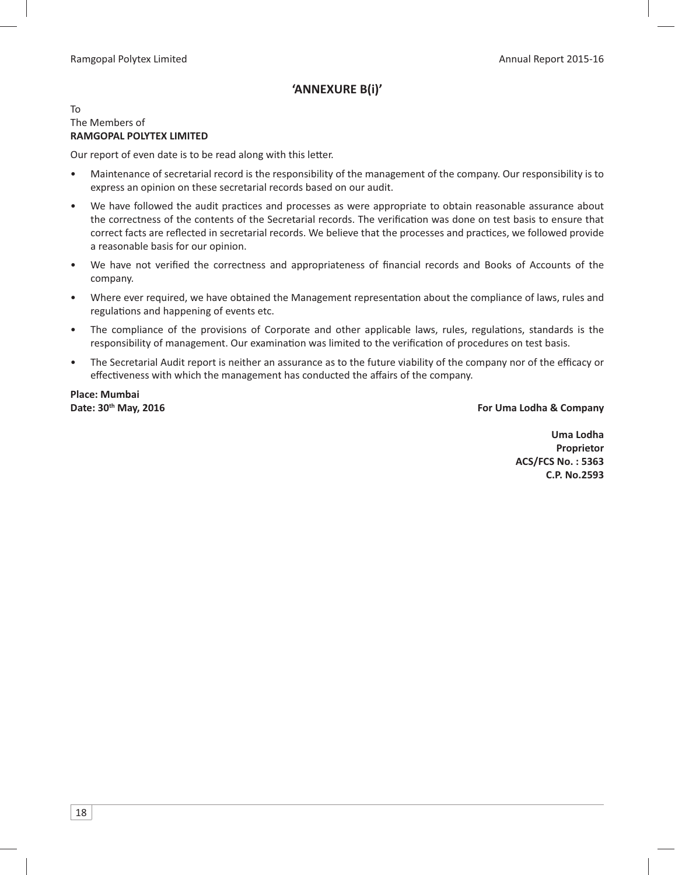# **'ANNEXURE B(i)'**

### To The Members of **RAMGOPAL POLYTEX LIMITED**

Our report of even date is to be read along with this letter.

- Maintenance of secretarial record is the responsibility of the management of the company. Our responsibility is to express an opinion on these secretarial records based on our audit.
- We have followed the audit practices and processes as were appropriate to obtain reasonable assurance about the correctness of the contents of the Secretarial records. The verification was done on test basis to ensure that correct facts are reflected in secretarial records. We believe that the processes and practices, we followed provide a reasonable basis for our opinion.
- We have not verified the correctness and appropriateness of financial records and Books of Accounts of the company.
- Where ever required, we have obtained the Management representation about the compliance of laws, rules and regulations and happening of events etc.
- The compliance of the provisions of Corporate and other applicable laws, rules, regulations, standards is the responsibility of management. Our examination was limited to the verification of procedures on test basis.
- The Secretarial Audit report is neither an assurance as to the future viability of the company nor of the efficacy or effectiveness with which the management has conducted the affairs of the company.

**Place: Mumbai** 

**Date: 30<sup>th</sup> May, 2016 For Uma Lodha & Company For Uma Lodha & Company** 

 **Uma Lodha Proprietor ACS/FCS No. : 5363 C.P. No.2593**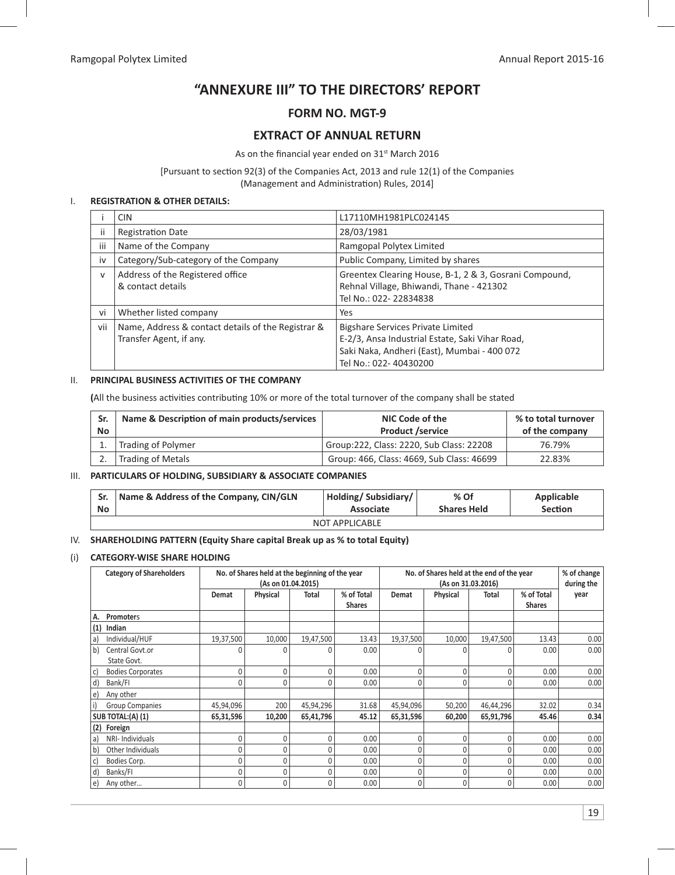# **"ANNEXURE III" TO THE DIRECTORS' REPORT**

# **FORM NO. MGT-9**

# **EXTRACT OF ANNUAL RETURN**

As on the financial year ended on  $31<sup>st</sup>$  March 2016

[Pursuant to section 92(3) of the Companies Act, 2013 and rule 12(1) of the Companies (Management and Administration) Rules, 2014]

### I. **REGISTRATION & OTHER DETAILS:**

|              | <b>CIN</b>                                                                    | L17110MH1981PLC024145                                                                                                                                        |
|--------------|-------------------------------------------------------------------------------|--------------------------------------------------------------------------------------------------------------------------------------------------------------|
| ii           | <b>Registration Date</b>                                                      | 28/03/1981                                                                                                                                                   |
| iii          | Name of the Company                                                           | Ramgopal Polytex Limited                                                                                                                                     |
| iv           | Category/Sub-category of the Company                                          | Public Company, Limited by shares                                                                                                                            |
| $\mathsf{V}$ | Address of the Registered office<br>& contact details                         | Greentex Clearing House, B-1, 2 & 3, Gosrani Compound,<br>Rehnal Village, Bhiwandi, Thane - 421302<br>Tel No.: 022-22834838                                  |
| Vİ           | Whether listed company                                                        | Yes                                                                                                                                                          |
| vii          | Name, Address & contact details of the Registrar &<br>Transfer Agent, if any. | Bigshare Services Private Limited<br>E-2/3, Ansa Industrial Estate, Saki Vihar Road,<br>Saki Naka, Andheri (East), Mumbai - 400 072<br>Tel No.: 022-40430200 |

#### II. **PRINCIPAL BUSINESS ACTIVITIES OF THE COMPANY**

(All the business activities contributing 10% or more of the total turnover of the company shall be stated

| Sr.<br><b>No</b> | Name & Description of main products/services | NIC Code of the<br><b>Product /service</b> | % to total turnover<br>of the company |
|------------------|----------------------------------------------|--------------------------------------------|---------------------------------------|
|                  | Trading of Polymer                           | Group:222, Class: 2220, Sub Class: 22208   | 76.79%                                |
|                  | <b>Trading of Metals</b>                     | Group: 466, Class: 4669, Sub Class: 46699  | 22.83%                                |

### III. **PARTICULARS OF HOLDING, SUBSIDIARY & ASSOCIATE COMPANIES**

| No                    | Name & Address of the Company, CIN/GLN | Holding/Subsidiary/<br>Associate | $%$ Of<br><b>Shares Held</b> | <b>Applicable</b><br>Section |
|-----------------------|----------------------------------------|----------------------------------|------------------------------|------------------------------|
| <b>NOT APPLICABLE</b> |                                        |                                  |                              |                              |

### IV. **SHAREHOLDING PATTERN (Equity Share capital Break up as % to total Equity)**

### (i) **CATEGORY-WISE SHARE HOLDING**

| <b>Category of Shareholders</b> | No. of Shares held at the beginning of the year |                    |           | No. of Shares held at the end of the year |           |                    |           | % of change   |            |
|---------------------------------|-------------------------------------------------|--------------------|-----------|-------------------------------------------|-----------|--------------------|-----------|---------------|------------|
|                                 |                                                 | (As on 01.04.2015) |           |                                           |           | (As on 31.03.2016) |           |               | during the |
|                                 | Demat                                           | Physical           | Total     | % of Total                                | Demat     | Physical           | Total     | % of Total    | year       |
|                                 |                                                 |                    |           | <b>Shares</b>                             |           |                    |           | <b>Shares</b> |            |
| <b>Promoters</b><br>А.          |                                                 |                    |           |                                           |           |                    |           |               |            |
| (1)<br>Indian                   |                                                 |                    |           |                                           |           |                    |           |               |            |
| Individual/HUF<br>a)            | 19,37,500                                       | 10,000             | 19,47,500 | 13.43                                     | 19,37,500 | 10,000             | 19,47,500 | 13.43         | 0.00       |
| Central Govt.or<br>b)           |                                                 | 0                  | 0         | 0.00                                      |           | 0                  | 0         | 0.00          | 0.00       |
| State Govt.                     |                                                 |                    |           |                                           |           |                    |           |               |            |
| <b>Bodies Corporates</b><br>C)  |                                                 | 0                  | 0         | 0.00                                      | $\Omega$  | 0                  | U         | 0.00          | 0.00       |
| d)<br>Bank/FI                   |                                                 | 0                  | 0         | 0.00                                      | $\Omega$  | 0                  | Λ         | 0.00          | 0.00       |
| Any other<br>e)                 |                                                 |                    |           |                                           |           |                    |           |               |            |
| <b>Group Companies</b>          | 45,94,096                                       | 200                | 45,94,296 | 31.68                                     | 45,94,096 | 50,200             | 46,44,296 | 32.02         | 0.34       |
| SUB TOTAL:(A) (1)               | 65,31,596                                       | 10,200             | 65,41,796 | 45.12                                     | 65,31,596 | 60,200             | 65,91,796 | 45.46         | 0.34       |
| Foreign<br>(2)                  |                                                 |                    |           |                                           |           |                    |           |               |            |
| NRI- Individuals<br>a)          |                                                 | 0                  | 0         | 0.00                                      | 0         | 0                  | 0         | 0.00          | 0.00       |
| Other Individuals<br>b)         |                                                 | 0                  | 0         | 0.00                                      | 0         | 0                  |           | 0.00          | 0.00       |
| Bodies Corp.<br>C)              |                                                 | 0                  | 0         | 0.00                                      | 0         | 0                  | በ         | 0.00          | 0.00       |
| Banks/FI<br>d)                  | O                                               | 0                  | 0         | 0.00                                      | 0         | 0                  | 0         | 0.00          | 0.00       |
| Any other<br>e)                 | 0                                               | 0                  | 0         | 0.00                                      | 0         | 0                  | 0         | 0.00          | 0.00       |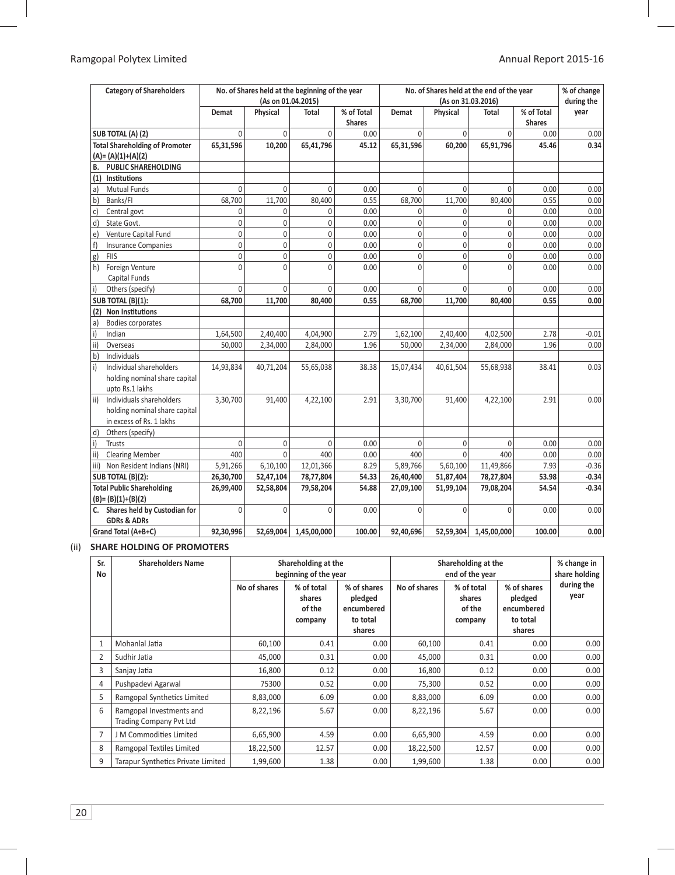| <b>Category of Shareholders</b>        |              | No. of Shares held at the beginning of the year |              |                             |              |                    | No. of Shares held at the end of the year |                             | % of change |
|----------------------------------------|--------------|-------------------------------------------------|--------------|-----------------------------|--------------|--------------------|-------------------------------------------|-----------------------------|-------------|
|                                        |              | (As on 01.04.2015)                              |              |                             |              | (As on 31.03.2016) |                                           |                             | during the  |
|                                        | Demat        | Physical                                        | <b>Total</b> | % of Total<br><b>Shares</b> | <b>Demat</b> | Physical           | Total                                     | % of Total<br><b>Shares</b> | year        |
| SUB TOTAL (A) (2)                      | $\Omega$     | $\Omega$                                        | $\Omega$     | 0.00                        | $\Omega$     | $\Omega$           | $\Omega$                                  | 0.00                        | 0.00        |
| <b>Total Shareholding of Promoter</b>  | 65,31,596    | 10,200                                          | 65,41,796    | 45.12                       | 65,31,596    | 60,200             | 65,91,796                                 | 45.46                       | 0.34        |
| $(A) = (A)(1)+(A)(2)$                  |              |                                                 |              |                             |              |                    |                                           |                             |             |
| <b>PUBLIC SHAREHOLDING</b><br>В.       |              |                                                 |              |                             |              |                    |                                           |                             |             |
| (1)<br><b>Institutions</b>             |              |                                                 |              |                             |              |                    |                                           |                             |             |
| a <br>Mutual Funds                     | $\Omega$     | $\mathbf{0}$                                    | 0            | 0.00                        | $\Omega$     | $\mathbf{0}$       | $\mathbf{0}$                              | 0.00                        | 0.00        |
| b)<br>Banks/FI                         | 68,700       | 11,700                                          | 80,400       | 0.55                        | 68,700       | 11,700             | 80,400                                    | 0.55                        | 0.00        |
| $\mathsf{c}$<br>Central govt           | $\mathbf{0}$ | 0                                               | 0            | 0.00                        | 0            | 0                  | 0                                         | 0.00                        | 0.00        |
| d)<br>State Govt.                      | $\Omega$     | $\mathbf 0$                                     | 0            | 0.00                        | 0            | $\mathbf 0$        | $\mathbf 0$                               | 0.00                        | 0.00        |
| Venture Capital Fund<br> e             | 0            | $\mathbf 0$                                     | 0            | 0.00                        | $\mathbf{0}$ | 0                  | 0                                         | 0.00                        | 0.00        |
| f)<br><b>Insurance Companies</b>       | $\mathbf{0}$ | $\mathbf 0$                                     | 0            | 0.00                        | 0            | $\mathbf 0$        | 0                                         | 0.00                        | 0.00        |
| g)<br><b>FIIS</b>                      | $\mathbf{0}$ | $\mathbf 0$                                     | 0            | 0.00                        | 0            | $\pmb{0}$          | 0                                         | 0.00                        | 0.00        |
| h)<br>Foreign Venture<br>Capital Funds | $\Omega$     | $\mathbf{0}$                                    | 0            | 0.00                        | $\mathbf{0}$ | $\mathbf{0}$       | $\overline{0}$                            | 0.00                        | 0.00        |
| i)<br>Others (specify)                 | $\Omega$     | $\mathbf{0}$                                    | $\Omega$     | 0.00                        | $\Omega$     | $\mathbf{0}$       | 0                                         | 0.00                        | 0.00        |
| SUB TOTAL (B)(1):                      | 68,700       | 11,700                                          | 80,400       | 0.55                        | 68,700       | 11,700             | 80,400                                    | 0.55                        | 0.00        |
| <b>Non Institutions</b><br>(2)         |              |                                                 |              |                             |              |                    |                                           |                             |             |
| a)<br>Bodies corporates                |              |                                                 |              |                             |              |                    |                                           |                             |             |
| i)<br>Indian                           | 1,64,500     | 2,40,400                                        | 4,04,900     | 2.79                        | 1,62,100     | 2,40,400           | 4,02,500                                  | 2.78                        | $-0.01$     |
| ii)<br>Overseas                        | 50,000       | 2,34,000                                        | 2,84,000     | 1.96                        | 50,000       | 2,34,000           | 2,84,000                                  | 1.96                        | 0.00        |
| <sub>b</sub><br>Individuals            |              |                                                 |              |                             |              |                    |                                           |                             |             |
| i)<br>Individual shareholders          | 14,93,834    | 40,71,204                                       | 55,65,038    | 38.38                       | 15,07,434    | 40,61,504          | 55,68,938                                 | 38.41                       | 0.03        |
| holding nominal share capital          |              |                                                 |              |                             |              |                    |                                           |                             |             |
| upto Rs.1 lakhs                        |              |                                                 |              |                             |              |                    |                                           |                             |             |
| Individuals shareholders<br>ii)        | 3,30,700     | 91,400                                          | 4,22,100     | 2.91                        | 3,30,700     | 91,400             | 4,22,100                                  | 2.91                        | 0.00        |
| holding nominal share capital          |              |                                                 |              |                             |              |                    |                                           |                             |             |
| in excess of Rs. 1 lakhs               |              |                                                 |              |                             |              |                    |                                           |                             |             |
| $\mathsf{d}$<br>Others (specify)       |              |                                                 |              |                             |              |                    |                                           |                             |             |
| i)<br><b>Trusts</b>                    | $\mathbf{0}$ | 0                                               | 0            | 0.00                        | $\Omega$     | $\mathbf 0$        | $\mathbf 0$                               | 0.00                        | 0.00        |
| ii)<br><b>Clearing Member</b>          | 400          | $\mathbf{0}$                                    | 400          | 0.00                        | 400          | $\mathbf{0}$       | 400                                       | 0.00                        | 0.00        |
| Non Resident Indians (NRI)<br>iii)     | 5,91,266     | 6,10,100                                        | 12,01,366    | 8.29                        | 5,89,766     | 5,60,100           | 11,49,866                                 | 7.93                        | $-0.36$     |
| SUB TOTAL (B)(2):                      | 26,30,700    | 52,47,104                                       | 78,77,804    | 54.33                       | 26,40,400    | 51,87,404          | 78,27,804                                 | 53.98                       | $-0.34$     |
| <b>Total Public Shareholding</b>       | 26,99,400    | 52,58,804                                       | 79,58,204    | 54.88                       | 27,09,100    | 51,99,104          | 79,08,204                                 | 54.54                       | $-0.34$     |
| $(B)=(B)(1)+(B)(2)$                    |              |                                                 |              |                             |              |                    |                                           |                             |             |
| C. Shares held by Custodian for        | $\mathbf{0}$ | $\mathbf{0}$                                    | 0            | 0.00                        | 0            | $\mathbf{0}$       | 0                                         | 0.00                        | 0.00        |
| <b>GDRs &amp; ADRs</b>                 |              |                                                 |              |                             |              |                    |                                           |                             |             |
| Grand Total (A+B+C)                    | 92,30,996    | 52,69,004                                       | 1,45,00,000  | 100.00                      | 92.40.696    | 52,59,304          | 1,45,00,000                               | 100.00                      | 0.00        |

### (ii) **SHARE HOLDING OF PROMOTERS**

| Sr.<br>No      | <b>Shareholders Name</b>                                   |              | Shareholding at the<br>beginning of the year |                                                            |              | Shareholding at the<br>end of the year    |                                                            | % change in<br>share holding |
|----------------|------------------------------------------------------------|--------------|----------------------------------------------|------------------------------------------------------------|--------------|-------------------------------------------|------------------------------------------------------------|------------------------------|
|                |                                                            | No of shares | % of total<br>shares<br>of the<br>company    | % of shares<br>pledged<br>encumbered<br>to total<br>shares | No of shares | % of total<br>shares<br>of the<br>company | % of shares<br>pledged<br>encumbered<br>to total<br>shares | during the<br>year           |
|                | Mohanlal Jatia                                             | 60,100       | 0.41                                         | 0.00                                                       | 60,100       | 0.41                                      | 0.00                                                       | 0.00                         |
| $\overline{2}$ | Sudhir Jatia                                               | 45,000       | 0.31                                         | 0.00                                                       | 45,000       | 0.31                                      | 0.00                                                       | 0.00                         |
| 3              | Sanjay Jatia                                               | 16,800       | 0.12                                         | 0.00                                                       | 16,800       | 0.12                                      | 0.00                                                       | 0.00                         |
| 4              | Pushpadevi Agarwal                                         | 75300        | 0.52                                         | 0.00                                                       | 75,300       | 0.52                                      | 0.00                                                       | 0.00                         |
| 5              | Ramgopal Synthetics Limited                                | 8,83,000     | 6.09                                         | 0.00                                                       | 8,83,000     | 6.09                                      | 0.00                                                       | 0.00                         |
| 6              | Ramgopal Investments and<br><b>Trading Company Pyt Ltd</b> | 8,22,196     | 5.67                                         | 0.00                                                       | 8,22,196     | 5.67                                      | 0.00                                                       | 0.00                         |
|                | J M Commodities Limited                                    | 6,65,900     | 4.59                                         | 0.00                                                       | 6,65,900     | 4.59                                      | 0.00                                                       | 0.00                         |
| 8              | Ramgopal Textiles Limited                                  | 18,22,500    | 12.57                                        | 0.00                                                       | 18,22,500    | 12.57                                     | 0.00                                                       | 0.00                         |
| 9              | Tarapur Synthetics Private Limited                         | 1,99,600     | 1.38                                         | 0.00                                                       | 1,99,600     | 1.38                                      | 0.00                                                       | 0.00                         |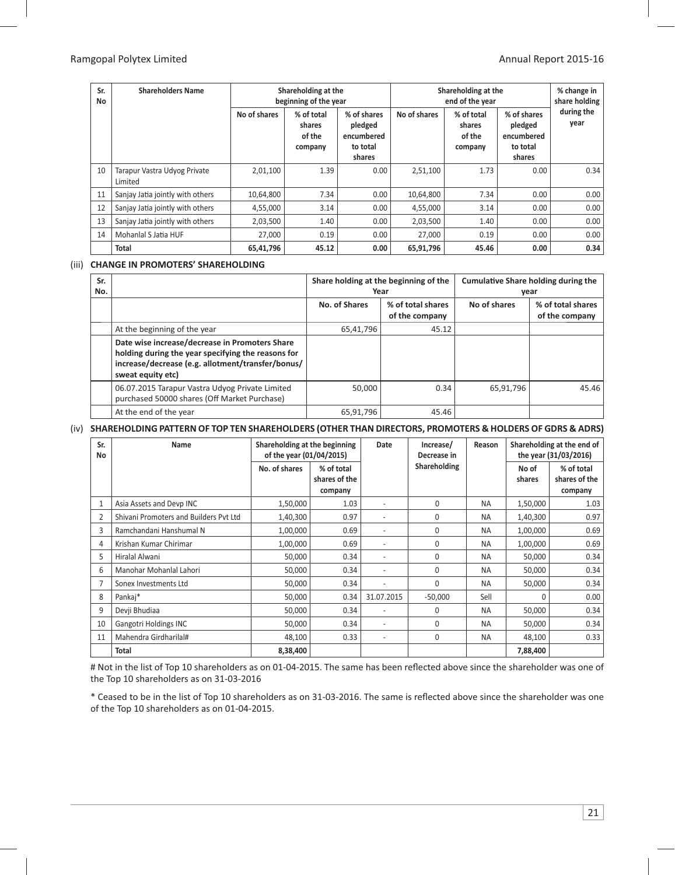| Sr.<br>No | <b>Shareholders Name</b>                |              | Shareholding at the<br>beginning of the year |                                                            |              | Shareholding at the<br>end of the year    |                                                            |                    |  |
|-----------|-----------------------------------------|--------------|----------------------------------------------|------------------------------------------------------------|--------------|-------------------------------------------|------------------------------------------------------------|--------------------|--|
|           |                                         | No of shares | % of total<br>shares<br>of the<br>company    | % of shares<br>pledged<br>encumbered<br>to total<br>shares | No of shares | % of total<br>shares<br>of the<br>company | % of shares<br>pledged<br>encumbered<br>to total<br>shares | during the<br>year |  |
| 10        | Tarapur Vastra Udyog Private<br>Limited | 2,01,100     | 1.39                                         | 0.00                                                       | 2,51,100     | 1.73                                      | 0.00                                                       | 0.34               |  |
| 11        | Sanjay Jatia jointly with others        | 10,64,800    | 7.34                                         | 0.00                                                       | 10,64,800    | 7.34                                      | 0.00                                                       | 0.00               |  |
| 12        | Sanjay Jatia jointly with others        | 4,55,000     | 3.14                                         | 0.00                                                       | 4,55,000     | 3.14                                      | 0.00                                                       | 0.00               |  |
| 13        | Sanjay Jatia jointly with others        | 2,03,500     | 1.40                                         | 0.00                                                       | 2,03,500     | 1.40                                      | 0.00                                                       | 0.00               |  |
| 14        | Mohanlal S Jatia HUF                    | 27,000       | 0.19                                         | 0.00                                                       | 27,000       | 0.19                                      | 0.00                                                       | 0.00               |  |
|           | <b>Total</b>                            | 65,41,796    | 45.12                                        | 0.00                                                       | 65,91,796    | 45.46                                     | 0.00                                                       | 0.34               |  |

#### (iii) **CHANGE IN PROMOTERS' SHAREHOLDING**

| Sr.<br>No. |                                                                                                                                                                                | Share holding at the beginning of the<br>Year |                                     | <b>Cumulative Share holding during the</b><br>vear |                                     |  |
|------------|--------------------------------------------------------------------------------------------------------------------------------------------------------------------------------|-----------------------------------------------|-------------------------------------|----------------------------------------------------|-------------------------------------|--|
|            |                                                                                                                                                                                | No. of Shares                                 | % of total shares<br>of the company | No of shares                                       | % of total shares<br>of the company |  |
|            | At the beginning of the year                                                                                                                                                   | 65,41,796                                     | 45.12                               |                                                    |                                     |  |
|            | Date wise increase/decrease in Promoters Share<br>holding during the year specifying the reasons for<br>increase/decrease (e.g. allotment/transfer/bonus/<br>sweat equity etc) |                                               |                                     |                                                    |                                     |  |
|            | 06.07.2015 Tarapur Vastra Udyog Private Limited<br>purchased 50000 shares (Off Market Purchase)                                                                                | 50,000                                        | 0.34                                | 65,91,796                                          | 45.46                               |  |
|            | At the end of the year                                                                                                                                                         | 65,91,796                                     | 45.46                               |                                                    |                                     |  |

#### (iv) **SHAREHOLDING PATTERN OF TOP TEN SHAREHOLDERS (OTHER THAN DIRECTORS, PROMOTERS & HOLDERS OF GDRS & ADRS)**

| Sr.<br>No | Name                                   | Shareholding at the beginning<br>of the year (01/04/2015) |                                        | Date                     | Increase/<br>Decrease in | Reason    |                 | Shareholding at the end of<br>the year (31/03/2016) |
|-----------|----------------------------------------|-----------------------------------------------------------|----------------------------------------|--------------------------|--------------------------|-----------|-----------------|-----------------------------------------------------|
|           |                                        | No. of shares                                             | % of total<br>shares of the<br>company |                          | Shareholding             |           | No of<br>shares | % of total<br>shares of the<br>company              |
| 1         | Asia Assets and Devp INC               | 1,50,000                                                  | 1.03                                   | $\overline{\phantom{a}}$ | 0                        | <b>NA</b> | 1,50,000        | 1.03                                                |
| 2         | Shivani Promoters and Builders Pyt Ltd | 1,40,300                                                  | 0.97                                   | $\overline{\phantom{a}}$ | 0                        | <b>NA</b> | 1,40,300        | 0.97                                                |
| 3         | Ramchandani Hanshumal N                | 1,00,000                                                  | 0.69                                   | $\overline{\phantom{a}}$ | 0                        | <b>NA</b> | 1,00,000        | 0.69                                                |
| 4         | Krishan Kumar Chirimar                 | 1,00,000                                                  | 0.69                                   | ٠                        | $\Omega$                 | <b>NA</b> | 1,00,000        | 0.69                                                |
| 5         | Hiralal Alwani                         | 50,000                                                    | 0.34                                   | $\overline{\phantom{a}}$ | 0                        | <b>NA</b> | 50,000          | 0.34                                                |
| 6         | Manohar Mohanlal Lahori                | 50,000                                                    | 0.34                                   | $\overline{\phantom{a}}$ | $\Omega$                 | <b>NA</b> | 50,000          | 0.34                                                |
|           | Sonex Investments Ltd                  | 50,000                                                    | 0.34                                   |                          | 0                        | <b>NA</b> | 50,000          | 0.34                                                |
| 8         | Pankaj*                                | 50,000                                                    | 0.34                                   | 31.07.2015               | $-50,000$                | Sell      |                 | 0.00                                                |
| 9         | Devji Bhudiaa                          | 50.000                                                    | 0.34                                   | ٠                        | 0                        | <b>NA</b> | 50,000          | 0.34                                                |
| 10        | <b>Gangotri Holdings INC</b>           | 50,000                                                    | 0.34                                   | $\overline{\phantom{a}}$ | 0                        | <b>NA</b> | 50,000          | 0.34                                                |
| 11        | Mahendra Girdharilal#                  | 48,100                                                    | 0.33                                   | ٠                        | $\Omega$                 | <b>NA</b> | 48,100          | 0.33                                                |
|           | <b>Total</b>                           | 8,38,400                                                  |                                        |                          |                          |           | 7,88,400        |                                                     |

# Not in the list of Top 10 shareholders as on 01-04-2015. The same has been reflected above since the shareholder was one of the Top 10 shareholders as on 31-03-2016

\* Ceased to be in the list of Top 10 shareholders as on 31-03-2016. The same is reflected above since the shareholder was one of the Top 10 shareholders as on 01-04-2015.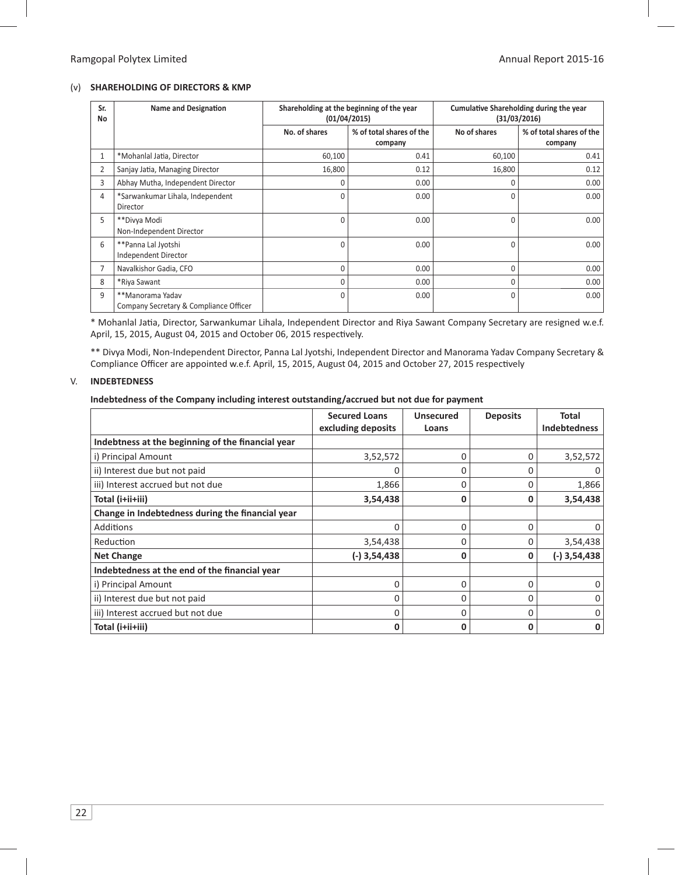#### (v) **SHAREHOLDING OF DIRECTORS & KMP**

| Sr.<br>No      | <b>Name and Designation</b>                                | Shareholding at the beginning of the year<br>(01/04/2015) |                                     | Cumulative Shareholding during the year<br>(31/03/2016) |                                     |  |
|----------------|------------------------------------------------------------|-----------------------------------------------------------|-------------------------------------|---------------------------------------------------------|-------------------------------------|--|
|                |                                                            | No. of shares                                             | % of total shares of the<br>company | No of shares                                            | % of total shares of the<br>company |  |
| 1              | *Mohanlal Jatia, Director                                  | 60,100                                                    | 0.41                                | 60,100                                                  | 0.41                                |  |
| $\overline{2}$ | Sanjay Jatia, Managing Director                            | 16,800                                                    | 0.12                                | 16,800                                                  | 0.12                                |  |
| 3              | Abhay Mutha, Independent Director                          | 0                                                         | 0.00                                |                                                         | 0.00                                |  |
| 4              | *Sarwankumar Lihala, Independent<br>Director               | $\mathbf 0$                                               | 0.00                                |                                                         | 0.00                                |  |
| 5              | **Divya Modi<br>Non-Independent Director                   | 0                                                         | 0.00                                |                                                         | 0.00                                |  |
| 6              | **Panna Lal Jyotshi<br>Independent Director                | 0                                                         | 0.00                                |                                                         | 0.00                                |  |
|                | Navalkishor Gadia, CFO                                     | 0                                                         | 0.00                                |                                                         | 0.00                                |  |
| 8              | *Riya Sawant                                               | 0                                                         | 0.00                                |                                                         | 0.00                                |  |
| 9              | **Manorama Yadav<br>Company Secretary & Compliance Officer | 0                                                         | 0.00                                |                                                         | 0.00                                |  |

\* Mohanlal Jatia, Director, Sarwankumar Lihala, Independent Director and Riya Sawant Company Secretary are resigned w.e.f. April, 15, 2015, August 04, 2015 and October 06, 2015 respectively.

 \*\* Divya Modi, Non-Independent Director, Panna Lal Jyotshi, Independent Director and Manorama Yadav Company Secretary & Compliance Officer are appointed w.e.f. April, 15, 2015, August 04, 2015 and October 27, 2015 respectively

#### V. **INDEBTEDNESS**

#### **Indebtedness of the Company including interest outstanding/accrued but not due for payment**

|                                                   | <b>Secured Loans</b><br>excluding deposits | <b>Unsecured</b><br>Loans | <b>Deposits</b> | <b>Total</b><br><b>Indebtedness</b> |
|---------------------------------------------------|--------------------------------------------|---------------------------|-----------------|-------------------------------------|
| Indebtness at the beginning of the financial year |                                            |                           |                 |                                     |
| i) Principal Amount                               | 3,52,572                                   | 0                         | 0               | 3,52,572                            |
| ii) Interest due but not paid                     | 0                                          | $\mathbf{0}$              | 0               |                                     |
| iii) Interest accrued but not due                 | 1,866                                      | $\Omega$                  | 0               | 1,866                               |
| Total (i+ii+iii)                                  | 3,54,438                                   | 0                         | 0               | 3,54,438                            |
| Change in Indebtedness during the financial year  |                                            |                           |                 |                                     |
| Additions                                         | 0                                          | $\Omega$                  | 0               | O                                   |
| Reduction                                         | 3,54,438                                   | $\Omega$                  | 0               | 3,54,438                            |
| <b>Net Change</b>                                 | $(-)$ 3,54,438                             | 0                         | 0               | $(-)$ 3,54,438                      |
| Indebtedness at the end of the financial year     |                                            |                           |                 |                                     |
| i) Principal Amount                               | 0                                          | $\Omega$                  | 0               | 0                                   |
| ii) Interest due but not paid                     | 0                                          | $\Omega$                  | 0               | 0                                   |
| iii) Interest accrued but not due                 | 0                                          | $\Omega$                  | 0               | $\Omega$                            |
| Total (i+ii+iii)                                  | ŋ                                          | 0                         | 0               | 0                                   |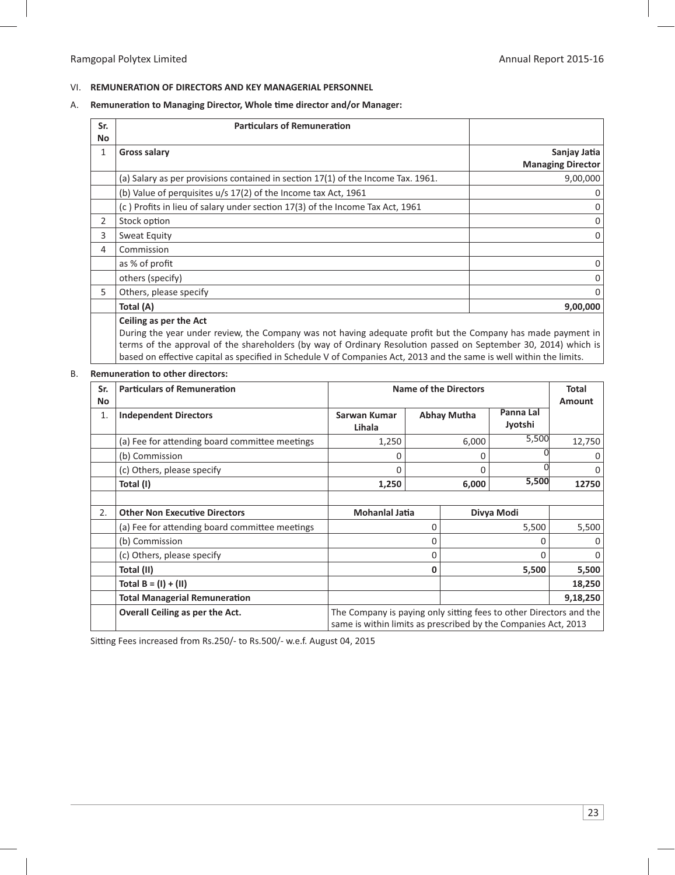### VI. **REMUNERATION OF DIRECTORS AND KEY MANAGERIAL PERSONNEL**

#### A. Remuneration to Managing Director, Whole time director and/or Manager:

| Sr.<br>No      | <b>Particulars of Remuneration</b>                                                                           |                                          |
|----------------|--------------------------------------------------------------------------------------------------------------|------------------------------------------|
| 1              | <b>Gross salary</b>                                                                                          | Sanjay Jatia<br><b>Managing Director</b> |
|                | (a) Salary as per provisions contained in section $17(1)$ of the Income Tax. 1961.                           | 9,00,000                                 |
|                | (b) Value of perquisites $u/s$ 17(2) of the Income tax Act, 1961                                             | 0                                        |
|                | (c) Profits in lieu of salary under section 17(3) of the Income Tax Act, 1961                                | 0                                        |
| $\overline{2}$ | Stock option                                                                                                 | 0                                        |
| 3              | Sweat Equity                                                                                                 | $\mathbf 0$                              |
| 4              | Commission                                                                                                   |                                          |
|                | as % of profit                                                                                               | 0                                        |
|                | others (specify)                                                                                             | 0                                        |
| 5.             | Others, please specify                                                                                       | $\mathbf 0$                              |
|                | Total (A)                                                                                                    | 9,00,000                                 |
|                | Ceiling as per the Act                                                                                       |                                          |
|                | During the year under review, the Company was not having adequate profit but the Company has made payment in |                                          |

terms of the approval of the shareholders (by way of Ordinary Resolution passed on September 30, 2014) which is based on effective capital as specified in Schedule V of Companies Act, 2013 and the same is well within the limits.

#### **B.** Remuneration to other directors:

| Sr.<br>No | <b>Particulars of Remuneration</b>             | <b>Name of the Directors</b>                                                                                                         |   |                    |                      | Total<br><b>Amount</b> |
|-----------|------------------------------------------------|--------------------------------------------------------------------------------------------------------------------------------------|---|--------------------|----------------------|------------------------|
| 1.        | <b>Independent Directors</b>                   | Sarwan Kumar<br>Lihala                                                                                                               |   | <b>Abhay Mutha</b> | Panna Lal<br>Jyotshi |                        |
|           | (a) Fee for attending board committee meetings | 1,250                                                                                                                                |   | 6,000              | 5,500                | 12,750                 |
|           | (b) Commission                                 | 0                                                                                                                                    |   | 0                  |                      | 0                      |
|           | (c) Others, please specify                     | U                                                                                                                                    |   | 0                  |                      | O                      |
|           | Total (I)                                      | 1,250                                                                                                                                |   | 6,000              | 5,500                | 12750                  |
|           |                                                |                                                                                                                                      |   |                    |                      |                        |
| 2.        | <b>Other Non Executive Directors</b>           | <b>Mohanlal Jatia</b>                                                                                                                |   | Divya Modi         |                      |                        |
|           | (a) Fee for attending board committee meetings |                                                                                                                                      | 0 |                    | 5,500                | 5,500                  |
|           | (b) Commission                                 |                                                                                                                                      | 0 |                    |                      | n                      |
|           | (c) Others, please specify                     |                                                                                                                                      | 0 |                    |                      | n                      |
|           | Total (II)                                     |                                                                                                                                      | 0 |                    | 5,500                | 5,500                  |
|           | Total $B = (I) + (II)$                         |                                                                                                                                      |   |                    |                      | 18,250                 |
|           | <b>Total Managerial Remuneration</b>           |                                                                                                                                      |   |                    |                      | 9,18,250               |
|           | Overall Ceiling as per the Act.                | The Company is paying only sitting fees to other Directors and the<br>same is within limits as prescribed by the Companies Act, 2013 |   |                    |                      |                        |

Sitting Fees increased from Rs.250/- to Rs.500/- w.e.f. August 04, 2015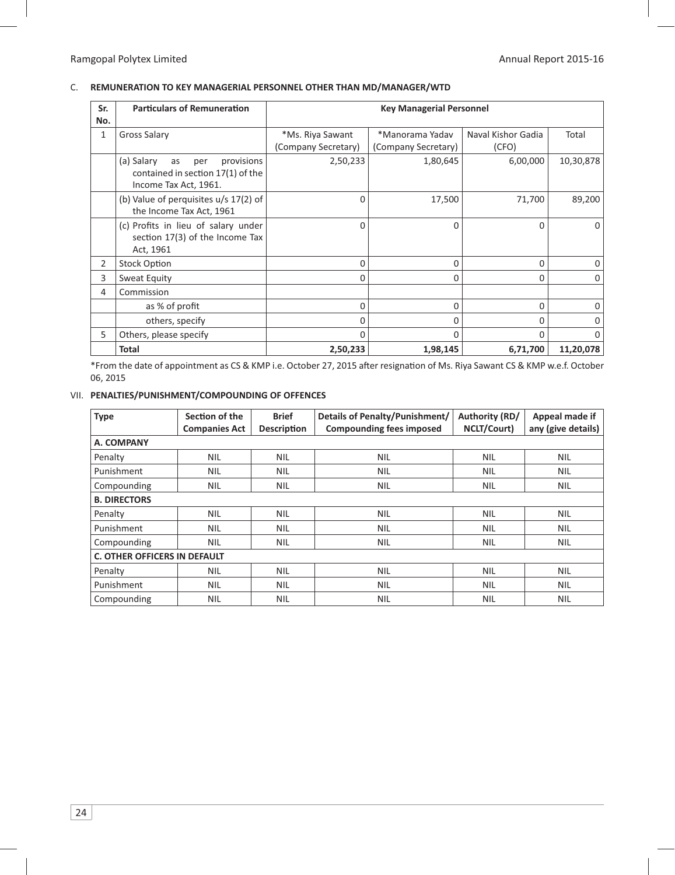### C. **REMUNERATION TO KEY MANAGERIAL PERSONNEL OTHER THAN MD/MANAGER/WTD**

| Sr.<br>No. | <b>Particulars of Remuneration</b>                                                                  | <b>Key Managerial Personnel</b> |                     |                    |              |  |  |  |
|------------|-----------------------------------------------------------------------------------------------------|---------------------------------|---------------------|--------------------|--------------|--|--|--|
| 1          | Gross Salary                                                                                        | *Ms. Riya Sawant                | *Manorama Yadav     | Naval Kishor Gadia | Total        |  |  |  |
|            |                                                                                                     | (Company Secretary)             | (Company Secretary) | (CFO)              |              |  |  |  |
|            | provisions<br>(a) Salary<br>as<br>per<br>contained in section 17(1) of the<br>Income Tax Act, 1961. | 2,50,233                        | 1,80,645            | 6,00,000           | 10,30,878    |  |  |  |
|            | (b) Value of perquisites u/s 17(2) of<br>the Income Tax Act, 1961                                   | U                               | 17,500              | 71,700             | 89,200       |  |  |  |
|            | (c) Profits in lieu of salary under<br>section 17(3) of the Income Tax<br>Act, 1961                 | O                               | O                   | $\Omega$           | 0            |  |  |  |
| 2          | <b>Stock Option</b>                                                                                 | U                               | O                   | 0                  | 0            |  |  |  |
| 3          | <b>Sweat Equity</b>                                                                                 | O                               | 0                   | $\Omega$           | $\mathbf{0}$ |  |  |  |
| 4          | Commission                                                                                          |                                 |                     |                    |              |  |  |  |
|            | as % of profit                                                                                      | 0                               | 0                   | 0                  | 0            |  |  |  |
|            | others, specify                                                                                     | 0                               | O                   | O                  | 0            |  |  |  |
| 5          | Others, please specify                                                                              | U                               | 0                   | <sup>0</sup>       | 0            |  |  |  |
|            | <b>Total</b>                                                                                        | 2,50,233                        | 1,98,145            | 6,71,700           | 11,20,078    |  |  |  |

\*From the date of appointment as CS & KMP i.e. October 27, 2015 after resignation of Ms. Riya Sawant CS & KMP w.e.f. October 06, 2015

# VII. **PENALTIES/PUNISHMENT/COMPOUNDING OF OFFENCES**

| <b>Type</b>                         | Section of the<br><b>Companies Act</b> | <b>Brief</b><br><b>Description</b> | Details of Penalty/Punishment/<br><b>Compounding fees imposed</b> | Authority (RD/<br>NCLT/Court) | Appeal made if<br>any (give details) |  |  |  |  |  |
|-------------------------------------|----------------------------------------|------------------------------------|-------------------------------------------------------------------|-------------------------------|--------------------------------------|--|--|--|--|--|
| A. COMPANY                          |                                        |                                    |                                                                   |                               |                                      |  |  |  |  |  |
| Penalty                             | <b>NIL</b>                             | <b>NIL</b>                         | <b>NIL</b>                                                        | <b>NIL</b>                    | <b>NIL</b>                           |  |  |  |  |  |
| Punishment                          | <b>NIL</b>                             | <b>NIL</b>                         | <b>NIL</b>                                                        | <b>NIL</b>                    | <b>NIL</b>                           |  |  |  |  |  |
| Compounding                         | <b>NIL</b>                             | <b>NIL</b>                         | <b>NIL</b>                                                        | <b>NIL</b>                    | <b>NIL</b>                           |  |  |  |  |  |
| <b>B. DIRECTORS</b>                 |                                        |                                    |                                                                   |                               |                                      |  |  |  |  |  |
| Penalty                             | <b>NIL</b>                             | <b>NIL</b>                         | <b>NIL</b>                                                        | <b>NIL</b>                    | <b>NIL</b>                           |  |  |  |  |  |
| Punishment                          | <b>NIL</b>                             | <b>NIL</b>                         | <b>NIL</b>                                                        | <b>NIL</b>                    | <b>NIL</b>                           |  |  |  |  |  |
| Compounding                         | <b>NIL</b>                             | <b>NIL</b>                         | <b>NIL</b>                                                        | <b>NIL</b>                    | <b>NIL</b>                           |  |  |  |  |  |
| <b>C. OTHER OFFICERS IN DEFAULT</b> |                                        |                                    |                                                                   |                               |                                      |  |  |  |  |  |
| Penalty                             | <b>NIL</b>                             | <b>NIL</b>                         | <b>NIL</b>                                                        | <b>NIL</b>                    | <b>NIL</b>                           |  |  |  |  |  |
| Punishment                          | NIL                                    | <b>NIL</b>                         | <b>NIL</b>                                                        | <b>NIL</b>                    | <b>NIL</b>                           |  |  |  |  |  |
| Compounding                         | <b>NIL</b>                             | <b>NIL</b>                         | <b>NIL</b>                                                        | <b>NIL</b>                    | <b>NIL</b>                           |  |  |  |  |  |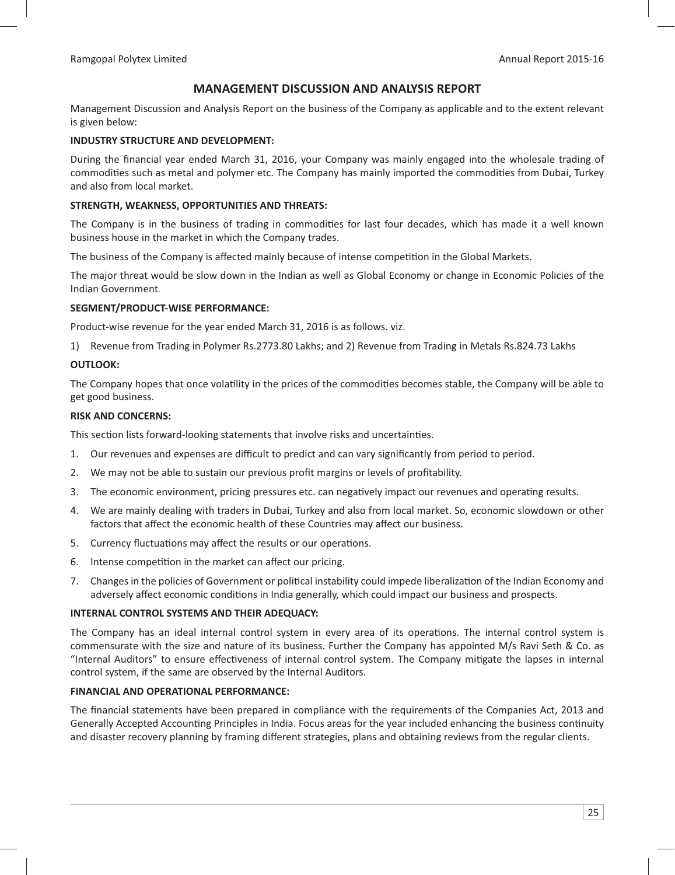# **MANAGEMENT DISCUSSION AND ANALYSIS REPORT**

Management Discussion and Analysis Report on the business of the Company as applicable and to the extent relevant is given below:

### **INDUSTRY STRUCTURE AND DEVELOPMENT:**

During the financial year ended March 31, 2016, your Company was mainly engaged into the wholesale trading of commodities such as metal and polymer etc. The Company has mainly imported the commodities from Dubai, Turkey and also from local market.

### **STRENGTH, WEAKNESS, OPPORTUNITIES AND THREATS:**

The Company is in the business of trading in commodities for last four decades, which has made it a well known business house in the market in which the Company trades.

The business of the Company is affected mainly because of intense competition in the Global Markets.

The major threat would be slow down in the Indian as well as Global Economy or change in Economic Policies of the Indian Government.

### **SEGMENT/PRODUCT-WISE PERFORMANCE:**

Product-wise revenue for the year ended March 31, 2016 is as follows. viz.

1) Revenue from Trading in Polymer Rs.2773.80 Lakhs; and 2) Revenue from Trading in Metals Rs.824.73 Lakhs

# **OUTLOOK:**

The Company hopes that once volatility in the prices of the commodities becomes stable, the Company will be able to get good business.

### **RISK AND CONCERNS:**

This section lists forward-looking statements that involve risks and uncertainties.

- 1. Our revenues and expenses are difficult to predict and can vary significantly from period to period.
- 2. We may not be able to sustain our previous profit margins or levels of profitability.
- 3. The economic environment, pricing pressures etc. can negatively impact our revenues and operating results.
- 4. We are mainly dealing with traders in Dubai, Turkey and also from local market. So, economic slowdown or other factors that affect the economic health of these Countries may affect our business.
- 5. Currency fluctuations may affect the results or our operations.
- 6. Intense competition in the market can affect our pricing.
- 7. Changes in the policies of Government or political instability could impede liberalization of the Indian Economy and adversely affect economic conditions in India generally, which could impact our business and prospects.

### **INTERNAL CONTROL SYSTEMS AND THEIR ADEQUACY:**

The Company has an ideal internal control system in every area of its operations. The internal control system is commensurate with the size and nature of its business. Further the Company has appointed M/s Ravi Seth & Co. as "Internal Auditors" to ensure effectiveness of internal control system. The Company mitigate the lapses in internal control system, if the same are observed by the Internal Auditors.

### **FINANCIAL AND OPERATIONAL PERFORMANCE:**

The financial statements have been prepared in compliance with the requirements of the Companies Act, 2013 and Generally Accepted Accounting Principles in India. Focus areas for the year included enhancing the business continuity and disaster recovery planning by framing different strategies, plans and obtaining reviews from the regular clients.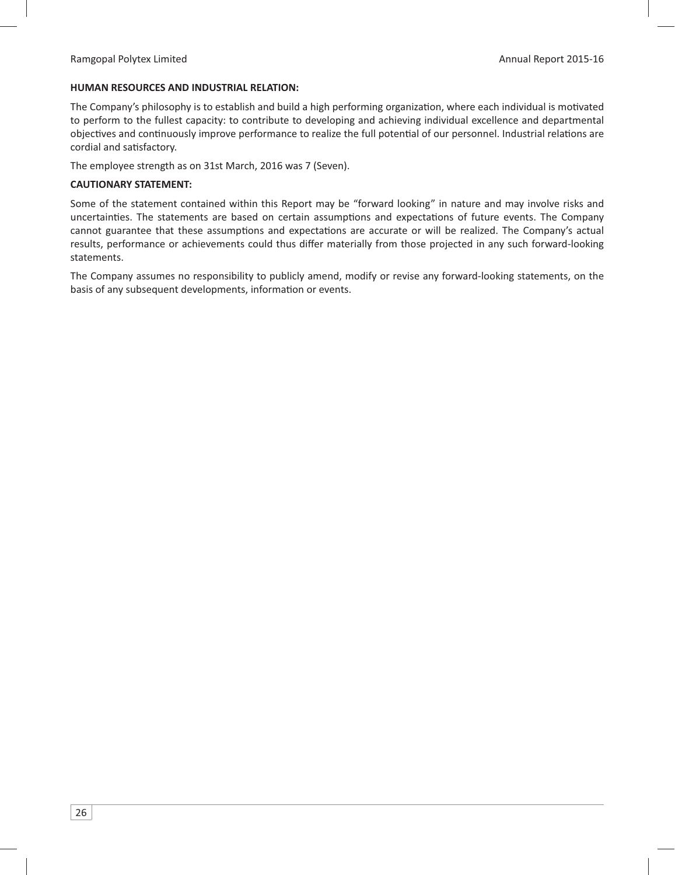### **HUMAN RESOURCES AND INDUSTRIAL RELATION:**

The Company's philosophy is to establish and build a high performing organization, where each individual is motivated to perform to the fullest capacity: to contribute to developing and achieving individual excellence and departmental objectives and continuously improve performance to realize the full potential of our personnel. Industrial relations are cordial and satisfactory.

The employee strength as on 31st March, 2016 was 7 (Seven).

### **CAUTIONARY STATEMENT:**

Some of the statement contained within this Report may be "forward looking" in nature and may involve risks and uncertainties. The statements are based on certain assumptions and expectations of future events. The Company cannot guarantee that these assumptions and expectations are accurate or will be realized. The Company's actual results, performance or achievements could thus differ materially from those projected in any such forward-looking statements.

The Company assumes no responsibility to publicly amend, modify or revise any forward-looking statements, on the basis of any subsequent developments, information or events.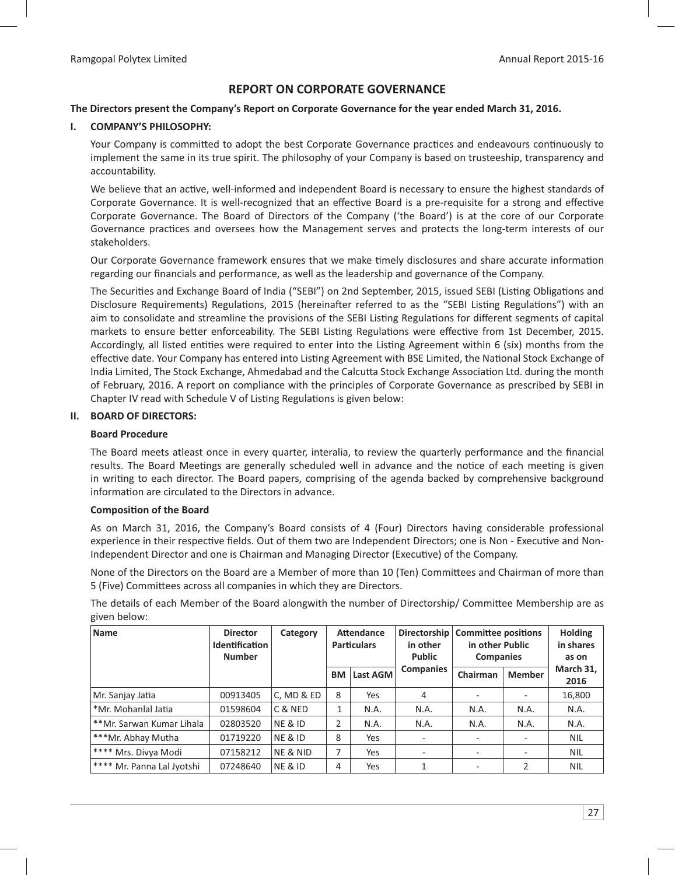# **REPORT ON CORPORATE GOVERNANCE**

### **The Directors present the Company's Report on Corporate Governance for the year ended March 31, 2016.**

### **I. COMPANY'S PHILOSOPHY:**

Your Company is committed to adopt the best Corporate Governance practices and endeavours continuously to implement the same in its true spirit. The philosophy of your Company is based on trusteeship, transparency and accountability.

We believe that an active, well-informed and independent Board is necessary to ensure the highest standards of Corporate Governance. It is well-recognized that an effective Board is a pre-requisite for a strong and effective Corporate Governance. The Board of Directors of the Company ('the Board') is at the core of our Corporate Governance practices and oversees how the Management serves and protects the long-term interests of our stakeholders.

Our Corporate Governance framework ensures that we make timely disclosures and share accurate information regarding our financials and performance, as well as the leadership and governance of the Company.

The Securities and Exchange Board of India ("SEBI") on 2nd September, 2015, issued SEBI (Listing Obligations and Disclosure Requirements) Regulations, 2015 (hereinafter referred to as the "SEBI Listing Regulations") with an aim to consolidate and streamline the provisions of the SEBI Listing Regulations for different segments of capital markets to ensure better enforceability. The SEBI Listing Regulations were effective from 1st December, 2015. Accordingly, all listed entities were required to enter into the Listing Agreement within 6 (six) months from the effective date. Your Company has entered into Listing Agreement with BSE Limited, the National Stock Exchange of India Limited, The Stock Exchange, Ahmedabad and the Calcutta Stock Exchange Association Ltd. during the month of February, 2016. A report on compliance with the principles of Corporate Governance as prescribed by SEBI in Chapter IV read with Schedule V of Listing Regulations is given below:

### **II. BOARD OF DIRECTORS:**

### **Board Procedure**

The Board meets atleast once in every quarter, interalia, to review the quarterly performance and the financial results. The Board Meetings are generally scheduled well in advance and the notice of each meeting is given in writing to each director. The Board papers, comprising of the agenda backed by comprehensive background information are circulated to the Directors in advance.

### **Composition of the Board**

 As on March 31, 2016, the Company's Board consists of 4 (Four) Directors having considerable professional experience in their respective fields. Out of them two are Independent Directors; one is Non - Executive and Non-Independent Director and one is Chairman and Managing Director (Executive) of the Company.

None of the Directors on the Board are a Member of more than 10 (Ten) Committees and Chairman of more than 5 (Five) Committees across all companies in which they are Directors.

The details of each Member of the Board alongwith the number of Directorship/ Committee Membership are as given below:

| <b>Name</b>                | <b>Director</b><br>Identification<br><b>Number</b> | Category           | <b>Attendance</b><br><b>Particulars</b> |                 | <b>Committee positions</b><br><b>Directorship</b><br>in other Public<br>in other<br><b>Public</b><br><b>Companies</b> |          |               | <b>Holding</b><br>in shares<br>as on |
|----------------------------|----------------------------------------------------|--------------------|-----------------------------------------|-----------------|-----------------------------------------------------------------------------------------------------------------------|----------|---------------|--------------------------------------|
|                            |                                                    |                    | <b>BM</b>                               | <b>Last AGM</b> | <b>Companies</b>                                                                                                      | Chairman | <b>Member</b> | March 31,<br>2016                    |
| Mr. Sanjay Jatia           | 00913405                                           | C, MD & ED         | 8                                       | Yes             | 4                                                                                                                     | ٠        |               | 16,800                               |
| *Mr. Mohanlal Jatia        | 01598604                                           | C & NED            | $\mathbf{1}$                            | N.A.            | N.A.                                                                                                                  | N.A.     | N.A.          | N.A.                                 |
| ∣**Mr. Sarwan Kumar Lihala | 02803520                                           | <b>NE &amp; ID</b> | 2                                       | N.A.            | N.A.                                                                                                                  | N.A.     | N.A.          | N.A.                                 |
| ***Mr. Abhay Mutha         | 01719220                                           | <b>NE &amp; ID</b> | 8                                       | Yes             | ۰                                                                                                                     | ۰        | ٠             | <b>NIL</b>                           |
| **** Mrs. Divya Modi       | 07158212                                           | NE & NID           | 7                                       | Yes             | ۰                                                                                                                     |          |               | <b>NIL</b>                           |
| **** Mr. Panna Lal Jyotshi | 07248640                                           | <b>NE &amp; ID</b> | 4                                       | Yes             | 1                                                                                                                     |          | 2             | <b>NIL</b>                           |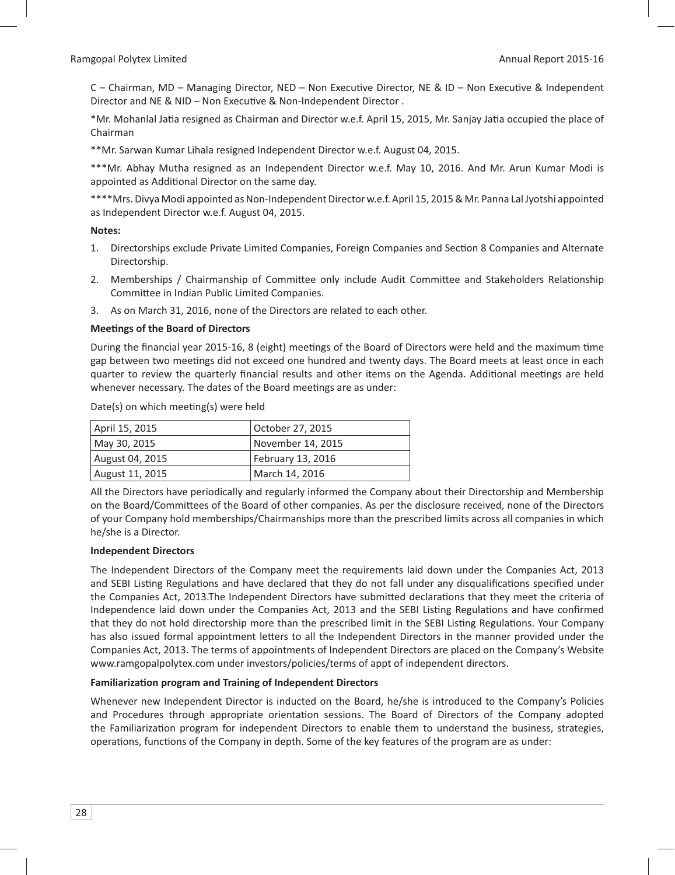C – Chairman, MD – Managing Director, NED – Non Executive Director, NE & ID – Non Executive & Independent Director and NE & NID - Non Executive & Non-Independent Director.

\*Mr. Mohanlal Jatia resigned as Chairman and Director w.e.f. April 15, 2015, Mr. Sanjay Jatia occupied the place of Chairman

\*\*Mr. Sarwan Kumar Lihala resigned Independent Director w.e.f. August 04, 2015.

 \*\*\*Mr. Abhay Mutha resigned as an Independent Director w.e.f. May 10, 2016. And Mr. Arun Kumar Modi is appointed as Additional Director on the same day.

 \*\*\*\*Mrs. Divya Modi appointed as Non-Independent Director w.e.f. April 15, 2015 & Mr. Panna Lal Jyotshi appointed as Independent Director w.e.f. August 04, 2015.

#### **Notes:**

- 1. Directorships exclude Private Limited Companies, Foreign Companies and Section 8 Companies and Alternate Directorship.
- 2. Memberships / Chairmanship of Committee only include Audit Committee and Stakeholders Relationship Committee in Indian Public Limited Companies.
- 3. As on March 31, 2016, none of the Directors are related to each other.

# **Meetings of the Board of Directors**

During the financial year 2015-16, 8 (eight) meetings of the Board of Directors were held and the maximum time gap between two meetings did not exceed one hundred and twenty days. The Board meets at least once in each quarter to review the quarterly financial results and other items on the Agenda. Additional meetings are held whenever necessary. The dates of the Board meetings are as under:

Date(s) on which meeting(s) were held

| April 15, 2015  | October 27, 2015  |
|-----------------|-------------------|
| May 30, 2015    | November 14, 2015 |
| August 04, 2015 | February 13, 2016 |
| August 11, 2015 | March 14, 2016    |

 All the Directors have periodically and regularly informed the Company about their Directorship and Membership on the Board/Committees of the Board of other companies. As per the disclosure received, none of the Directors of your Company hold memberships/Chairmanships more than the prescribed limits across all companies in which he/she is a Director.

### **Independent Directors**

 The Independent Directors of the Company meet the requirements laid down under the Companies Act, 2013 and SEBI Listing Regulations and have declared that they do not fall under any disqualifications specified under the Companies Act, 2013. The Independent Directors have submitted declarations that they meet the criteria of Independence laid down under the Companies Act, 2013 and the SEBI Listing Regulations and have confirmed that they do not hold directorship more than the prescribed limit in the SEBI Listing Regulations. Your Company has also issued formal appointment letters to all the Independent Directors in the manner provided under the Companies Act, 2013. The terms of appointments of Independent Directors are placed on the Company's Website www.ramgopalpolytex.com under investors/policies/terms of appt of independent directors.

### **Familiarization program and Training of Independent Directors**

 Whenever new Independent Director is inducted on the Board, he/she is introduced to the Company's Policies and Procedures through appropriate orientation sessions. The Board of Directors of the Company adopted the Familiarization program for independent Directors to enable them to understand the business, strategies, operations, functions of the Company in depth. Some of the key features of the program are as under: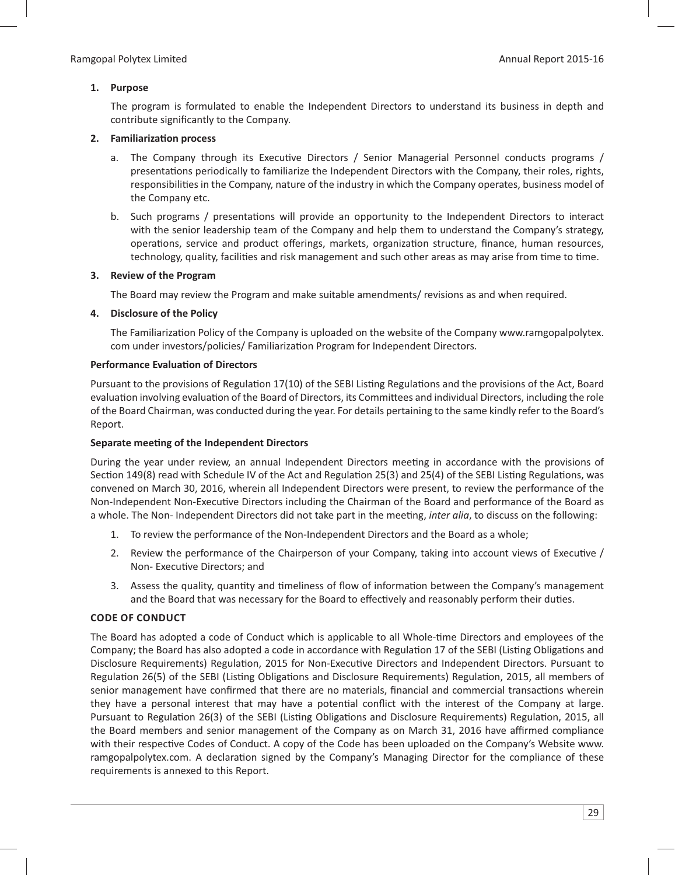# **1. Purpose**

The program is formulated to enable the Independent Directors to understand its business in depth and contribute significantly to the Company.

### **2.** Familiarization process

- a. The Company through its Executive Directors / Senior Managerial Personnel conducts programs / presentations periodically to familiarize the Independent Directors with the Company, their roles, rights, responsibilities in the Company, nature of the industry in which the Company operates, business model of the Company etc.
- b. Such programs / presentations will provide an opportunity to the Independent Directors to interact with the senior leadership team of the Company and help them to understand the Company's strategy, operations, service and product offerings, markets, organization structure, finance, human resources, technology, quality, facilities and risk management and such other areas as may arise from time to time.

### **3. Review of the Program**

The Board may review the Program and make suitable amendments/ revisions as and when required.

# **4. Disclosure of the Policy**

The Familiarization Policy of the Company is uploaded on the website of the Company www.ramgopalpolytex. com under investors/policies/ Familiarization Program for Independent Directors.

### **Performance Evaluation of Directors**

Pursuant to the provisions of Regulation 17(10) of the SEBI Listing Regulations and the provisions of the Act, Board evaluation involving evaluation of the Board of Directors, its Committees and individual Directors, including the role of the Board Chairman, was conducted during the year. For details pertaining to the same kindly refer to the Board's Report.

# Separate meeting of the Independent Directors

During the year under review, an annual Independent Directors meeting in accordance with the provisions of Section 149(8) read with Schedule IV of the Act and Regulation 25(3) and 25(4) of the SEBI Listing Regulations, was convened on March 30, 2016, wherein all Independent Directors were present, to review the performance of the Non-Independent Non-Executive Directors including the Chairman of the Board and performance of the Board as a whole. The Non- Independent Directors did not take part in the meeting, *inter alia*, to discuss on the following:

- 1. To review the performance of the Non-Independent Directors and the Board as a whole;
- 2. Review the performance of the Chairperson of your Company, taking into account views of Executive / Non- Executive Directors; and
- 3. Assess the quality, quantity and timeliness of flow of information between the Company's management and the Board that was necessary for the Board to effectively and reasonably perform their duties.

# **CODE OF CONDUCT**

The Board has adopted a code of Conduct which is applicable to all Whole-time Directors and employees of the Company; the Board has also adopted a code in accordance with Regulation 17 of the SEBI (Listing Obligations and Disclosure Requirements) Regulation, 2015 for Non-Executive Directors and Independent Directors. Pursuant to Regulation 26(5) of the SEBI (Listing Obligations and Disclosure Requirements) Regulation, 2015, all members of senior management have confirmed that there are no materials, financial and commercial transactions wherein they have a personal interest that may have a potential conflict with the interest of the Company at large. Pursuant to Regulation 26(3) of the SEBI (Listing Obligations and Disclosure Requirements) Regulation, 2015, all the Board members and senior management of the Company as on March 31, 2016 have affirmed compliance with their respective Codes of Conduct. A copy of the Code has been uploaded on the Company's Website www. ramgopalpolytex.com. A declaration signed by the Company's Managing Director for the compliance of these requirements is annexed to this Report.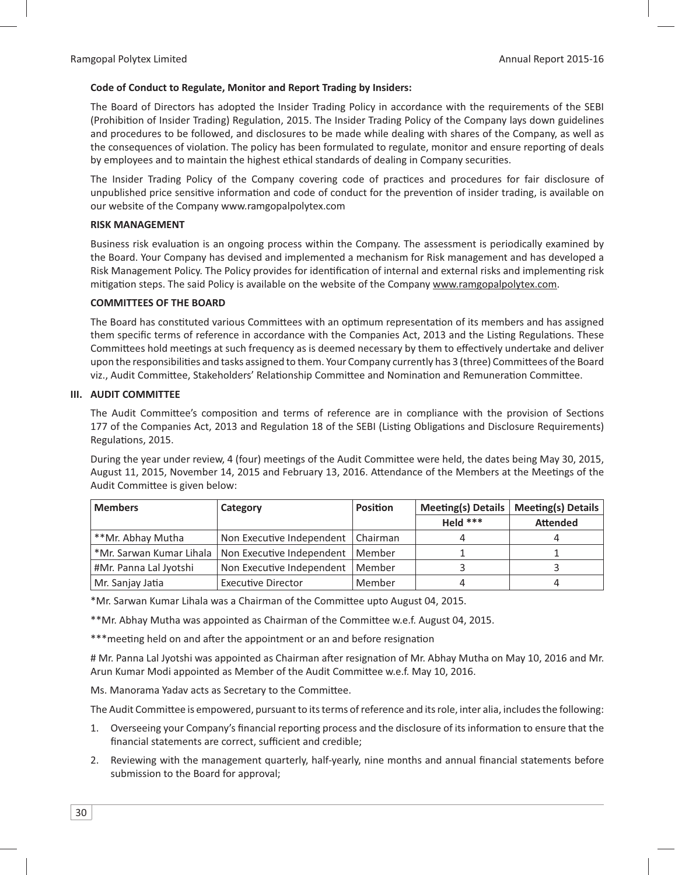### **Code of Conduct to Regulate, Monitor and Report Trading by Insiders:**

The Board of Directors has adopted the Insider Trading Policy in accordance with the requirements of the SEBI (Prohibition of Insider Trading) Regulation, 2015. The Insider Trading Policy of the Company lays down guidelines and procedures to be followed, and disclosures to be made while dealing with shares of the Company, as well as the consequences of violation. The policy has been formulated to regulate, monitor and ensure reporting of deals by employees and to maintain the highest ethical standards of dealing in Company securities.

The Insider Trading Policy of the Company covering code of practices and procedures for fair disclosure of unpublished price sensitive information and code of conduct for the prevention of insider trading, is available on our website of the Company www.ramgopalpolytex.com

### **RISK MANAGEMENT**

Business risk evaluation is an ongoing process within the Company. The assessment is periodically examined by the Board. Your Company has devised and implemented a mechanism for Risk management and has developed a Risk Management Policy. The Policy provides for identification of internal and external risks and implementing risk mitigation steps. The said Policy is available on the website of the Company www.ramgopalpolytex.com.

### **COMMITTEES OF THE BOARD**

The Board has constituted various Committees with an optimum representation of its members and has assigned them specific terms of reference in accordance with the Companies Act, 2013 and the Listing Regulations. These Committees hold meetings at such frequency as is deemed necessary by them to effectively undertake and deliver upon the responsibilities and tasks assigned to them. Your Company currently has 3 (three) Committees of the Board viz., Audit Committee, Stakeholders' Relationship Committee and Nomination and Remuneration Committee.

### **III. AUDIT COMMITTEE**

The Audit Committee's composition and terms of reference are in compliance with the provision of Sections 177 of the Companies Act, 2013 and Regulation 18 of the SEBI (Listing Obligations and Disclosure Requirements) Regulations, 2015.

During the year under review, 4 (four) meetings of the Audit Committee were held, the dates being May 30, 2015, August 11, 2015, November 14, 2015 and February 13, 2016. Attendance of the Members at the Meetings of the Audit Committee is given below:

| <b>Members</b>         | Category                                             | <b>Position</b> |                   | Meeting(s) Details   Meeting(s) Details |  |
|------------------------|------------------------------------------------------|-----------------|-------------------|-----------------------------------------|--|
|                        |                                                      |                 | $\text{Held}$ *** | <b>Attended</b>                         |  |
| **Mr. Abhay Mutha      | Non Executive Independent                            | l Chairman      |                   | 4                                       |  |
|                        | *Mr. Sarwan Kumar Lihala   Non Executive Independent | Member          |                   |                                         |  |
| #Mr. Panna Lal Jyotshi | Non Executive Independent                            | Member          |                   |                                         |  |
| Mr. Sanjay Jatia       | <b>Executive Director</b>                            | Member          |                   | 4                                       |  |

\*Mr. Sarwan Kumar Lihala was a Chairman of the Committee upto August 04, 2015.

\*\*Mr. Abhay Mutha was appointed as Chairman of the Committee w.e.f. August 04, 2015.

\*\*\* meeting held on and after the appointment or an and before resignation

# Mr. Panna Lal Jyotshi was appointed as Chairman after resignation of Mr. Abhay Mutha on May 10, 2016 and Mr. Arun Kumar Modi appointed as Member of the Audit Committee w.e.f. May 10, 2016.

Ms. Manorama Yadav acts as Secretary to the Committee.

The Audit Committee is empowered, pursuant to its terms of reference and its role, inter alia, includes the following:

- 1. Overseeing your Company's financial reporting process and the disclosure of its information to ensure that the financial statements are correct, sufficient and credible;
- 2. Reviewing with the management quarterly, half-yearly, nine months and annual financial statements before submission to the Board for approval;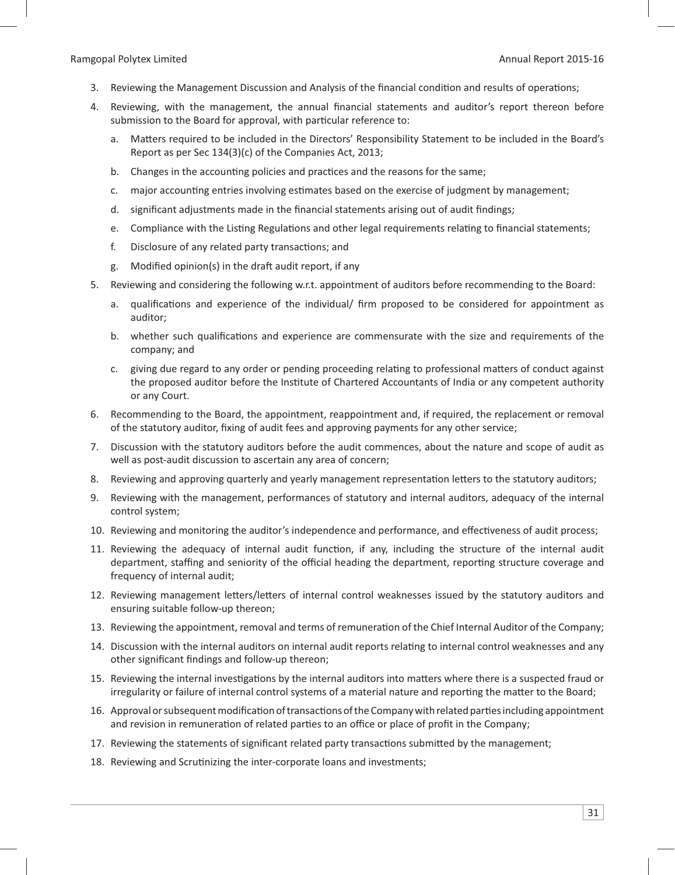- 3. Reviewing the Management Discussion and Analysis of the financial condition and results of operations;
- 4. Reviewing, with the management, the annual financial statements and auditor's report thereon before submission to the Board for approval, with particular reference to:
	- a. Matters required to be included in the Directors' Responsibility Statement to be included in the Board's Report as per Sec 134(3)(c) of the Companies Act, 2013;
	- b. Changes in the accounting policies and practices and the reasons for the same;
	- c. major accounting entries involving estimates based on the exercise of judgment by management;
	- d. significant adjustments made in the financial statements arising out of audit findings;
	- e. Compliance with the Listing Regulations and other legal requirements relating to financial statements;
	- f. Disclosure of any related party transactions; and
	- g. Modified opinion(s) in the draft audit report, if any
- 5. Reviewing and considering the following w.r.t. appointment of auditors before recommending to the Board:
	- a. qualifications and experience of the individual/ firm proposed to be considered for appointment as auditor;
	- b. whether such qualifications and experience are commensurate with the size and requirements of the company; and
	- c. giving due regard to any order or pending proceeding relating to professional matters of conduct against the proposed auditor before the Institute of Chartered Accountants of India or any competent authority or any Court.
- 6. Recommending to the Board, the appointment, reappointment and, if required, the replacement or removal of the statutory auditor, fixing of audit fees and approving payments for any other service;
- 7. Discussion with the statutory auditors before the audit commences, about the nature and scope of audit as well as post-audit discussion to ascertain any area of concern;
- 8. Reviewing and approving quarterly and yearly management representation letters to the statutory auditors;
- 9. Reviewing with the management, performances of statutory and internal auditors, adequacy of the internal control system;
- 10. Reviewing and monitoring the auditor's independence and performance, and effectiveness of audit process;
- 11. Reviewing the adequacy of internal audit function, if any, including the structure of the internal audit department, staffing and seniority of the official heading the department, reporting structure coverage and frequency of internal audit;
- 12. Reviewing management letters/letters of internal control weaknesses issued by the statutory auditors and ensuring suitable follow-up thereon;
- 13. Reviewing the appointment, removal and terms of remuneration of the Chief Internal Auditor of the Company;
- 14. Discussion with the internal auditors on internal audit reports relating to internal control weaknesses and any other significant findings and follow-up thereon;
- 15. Reviewing the internal investigations by the internal auditors into matters where there is a suspected fraud or irregularity or failure of internal control systems of a material nature and reporting the matter to the Board;
- 16. Approval or subsequent modification of transactions of the Company with related parties including appointment and revision in remuneration of related parties to an office or place of profit in the Company;
- 17. Reviewing the statements of significant related party transactions submitted by the management;
- 18. Reviewing and Scrutinizing the inter-corporate loans and investments;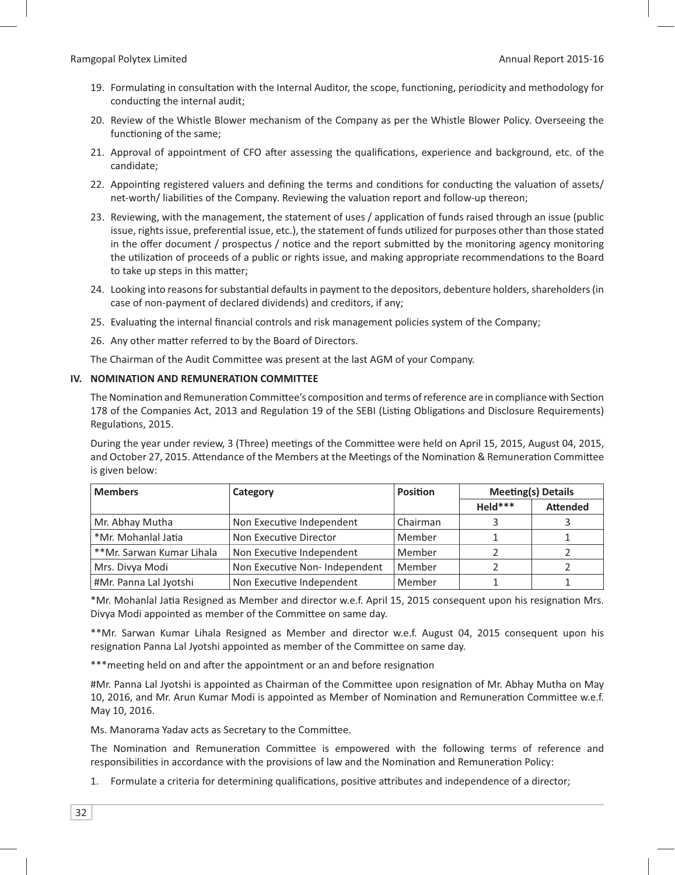- 19. Formulating in consultation with the Internal Auditor, the scope, functioning, periodicity and methodology for conducting the internal audit;
- 20. Review of the Whistle Blower mechanism of the Company as per the Whistle Blower Policy. Overseeing the functioning of the same;
- 21. Approval of appointment of CFO after assessing the qualifications, experience and background, etc. of the candidate;
- 22. Appointing registered valuers and defining the terms and conditions for conducting the valuation of assets/ net-worth/ liabilities of the Company. Reviewing the valuation report and follow-up thereon;
- 23. Reviewing, with the management, the statement of uses / application of funds raised through an issue (public issue, rights issue, preferential issue, etc.), the statement of funds utilized for purposes other than those stated in the offer document / prospectus / notice and the report submitted by the monitoring agency monitoring the utilization of proceeds of a public or rights issue, and making appropriate recommendations to the Board to take up steps in this matter;
- 24. Looking into reasons for substantial defaults in payment to the depositors, debenture holders, shareholders (in case of non-payment of declared dividends) and creditors, if any;
- 25. Evaluating the internal financial controls and risk management policies system of the Company;
- 26. Any other matter referred to by the Board of Directors.

The Chairman of the Audit Committee was present at the last AGM of your Company.

# **IV. NOMINATION AND REMUNERATION COMMITTEE**

The Nomination and Remuneration Committee's composition and terms of reference are in compliance with Section 178 of the Companies Act, 2013 and Regulation 19 of the SEBI (Listing Obligations and Disclosure Requirements) Regulations, 2015.

During the year under review, 3 (Three) meetings of the Committee were held on April 15, 2015, August 04, 2015, and October 27, 2015. Attendance of the Members at the Meetings of the Nomination & Remuneration Committee is given below:

| <b>Members</b>            | Category                       | <b>Position</b> | <b>Meeting(s) Details</b> |                 |
|---------------------------|--------------------------------|-----------------|---------------------------|-----------------|
|                           |                                |                 | Held***                   | <b>Attended</b> |
| Mr. Abhay Mutha           | Non Executive Independent      | Chairman        |                           |                 |
| *Mr. Mohanlal Jatia       | Non Executive Director         | Member          |                           |                 |
| **Mr. Sarwan Kumar Lihala | Non Executive Independent      | Member          |                           |                 |
| Mrs. Divya Modi           | Non Executive Non- Independent | Member          |                           |                 |
| #Mr. Panna Lal Jyotshi    | Non Executive Independent      | Member          |                           |                 |

\*Mr. Mohanlal Jatia Resigned as Member and director w.e.f. April 15, 2015 consequent upon his resignation Mrs. Divya Modi appointed as member of the Committee on same day.

 \*\*Mr. Sarwan Kumar Lihala Resigned as Member and director w.e.f. August 04, 2015 consequent upon his resignation Panna Lal Jyotshi appointed as member of the Committee on same day.

\*\*\* meeting held on and after the appointment or an and before resignation

#Mr. Panna Lal Jyotshi is appointed as Chairman of the Committee upon resignation of Mr. Abhay Mutha on May 10, 2016, and Mr. Arun Kumar Modi is appointed as Member of Nomination and Remuneration Committee w.e.f. May 10, 2016.

Ms. Manorama Yadav acts as Secretary to the Committee.

The Nomination and Remuneration Committee is empowered with the following terms of reference and responsibilities in accordance with the provisions of law and the Nomination and Remuneration Policy:

1. Formulate a criteria for determining qualifications, positive attributes and independence of a director;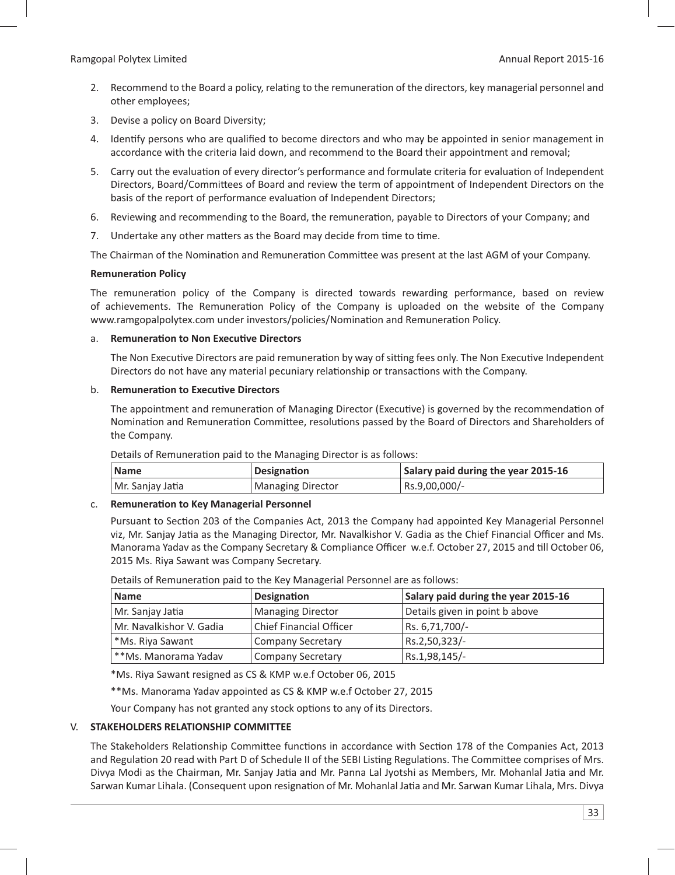- 2. Recommend to the Board a policy, relating to the remuneration of the directors, key managerial personnel and other employees;
- 3. Devise a policy on Board Diversity;
- 4. Identify persons who are qualified to become directors and who may be appointed in senior management in accordance with the criteria laid down, and recommend to the Board their appointment and removal;
- 5. Carry out the evaluation of every director's performance and formulate criteria for evaluation of Independent Directors, Board/Committees of Board and review the term of appointment of Independent Directors on the basis of the report of performance evaluation of Independent Directors;
- 6. Reviewing and recommending to the Board, the remuneration, payable to Directors of your Company; and
- 7. Undertake any other matters as the Board may decide from time to time.

The Chairman of the Nomination and Remuneration Committee was present at the last AGM of your Company.

### **Remuneration Policy**

The remuneration policy of the Company is directed towards rewarding performance, based on review of achievements. The Remuneration Policy of the Company is uploaded on the website of the Company www.ramgopalpolytex.com under investors/policies/Nomination and Remuneration Policy.

# a. Remuneration to Non Executive Directors

The Non Executive Directors are paid remuneration by way of sitting fees only. The Non Executive Independent Directors do not have any material pecuniary relationship or transactions with the Company.

### b. Remuneration to Executive Directors

The appointment and remuneration of Managing Director (Executive) is governed by the recommendation of Nomination and Remuneration Committee, resolutions passed by the Board of Directors and Shareholders of the Company.

Details of Remuneration paid to the Managing Director is as follows:

| <b>Name</b>      | <b>Designation</b> | Salary paid during the year 2015-16 |
|------------------|--------------------|-------------------------------------|
| Mr. Sanjay Jatia | Managing Director  | Rs.9,00,000/-                       |

# c. Remuneration to Key Managerial Personnel

Pursuant to Section 203 of the Companies Act, 2013 the Company had appointed Key Managerial Personnel viz, Mr. Sanjay Jatia as the Managing Director, Mr. Navalkishor V. Gadia as the Chief Financial Officer and Ms. Manorama Yadav as the Company Secretary & Compliance Officer w.e.f. October 27, 2015 and till October 06, 2015 Ms. Riya Sawant was Company Secretary.

| Name                         | <b>Designation</b>       | Salary paid during the year 2015-16 |
|------------------------------|--------------------------|-------------------------------------|
| Mr. Sanjay Jatia             | Managing Director        | Details given in point b above      |
| I Mr. Navalkishor V. Gadia   | Chief Financial Officer  | Rs. 6,71,700/-                      |
| <sup>*</sup> Ms. Riya Sawant | <b>Company Secretary</b> | Rs.2,50,323/-                       |
| l **Ms. Manorama Yaday       | <b>Company Secretary</b> | Rs.1,98,145/-                       |

Details of Remuneration paid to the Key Managerial Personnel are as follows:

\*Ms. Riya Sawant resigned as CS & KMP w.e.f October 06, 2015

\*\*Ms. Manorama Yadav appointed as CS & KMP w.e.f October 27, 2015

Your Company has not granted any stock options to any of its Directors.

# V. **STAKEHOLDERS RELATIONSHIP COMMITTEE**

The Stakeholders Relationship Committee functions in accordance with Section 178 of the Companies Act, 2013 and Regulation 20 read with Part D of Schedule II of the SEBI Listing Regulations. The Committee comprises of Mrs. Divya Modi as the Chairman, Mr. Sanjay Jatia and Mr. Panna Lal Jyotshi as Members, Mr. Mohanlal Jatia and Mr. Sarwan Kumar Lihala. (Consequent upon resignation of Mr. Mohanlal Jatia and Mr. Sarwan Kumar Lihala, Mrs. Divya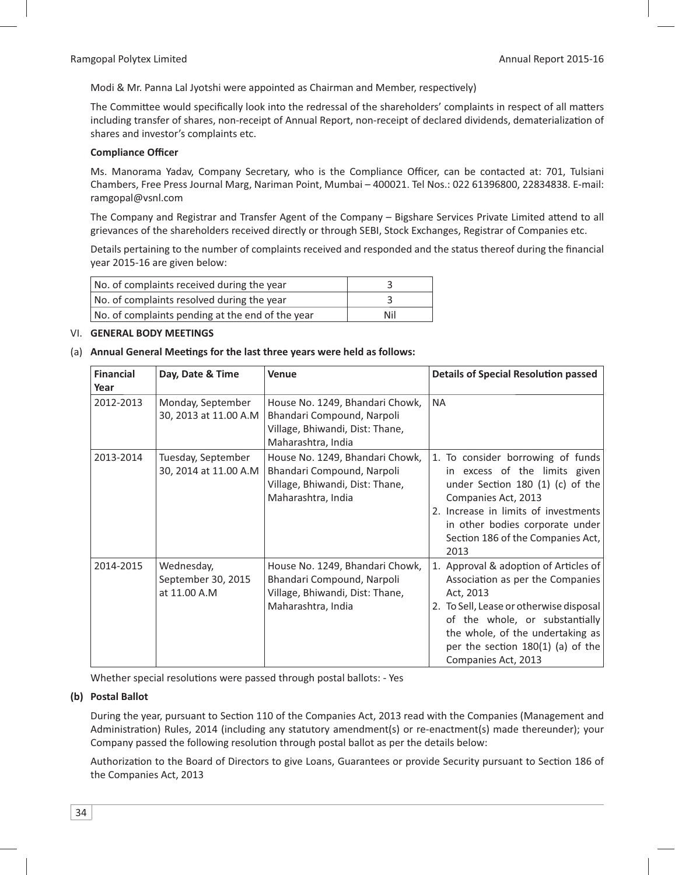Modi & Mr. Panna Lal Jyotshi were appointed as Chairman and Member, respectively)

The Committee would specifically look into the redressal of the shareholders' complaints in respect of all matters including transfer of shares, non-receipt of Annual Report, non-receipt of declared dividends, dematerialization of shares and investor's complaints etc.

### **Compliance Officer**

Ms. Manorama Yadav, Company Secretary, who is the Compliance Officer, can be contacted at: 701, Tulsiani Chambers, Free Press Journal Marg, Nariman Point, Mumbai – 400021. Tel Nos.: 022 61396800, 22834838. E-mail: ramgopal@vsnl.com

The Company and Registrar and Transfer Agent of the Company – Bigshare Services Private Limited attend to all grievances of the shareholders received directly or through SEBI, Stock Exchanges, Registrar of Companies etc.

Details pertaining to the number of complaints received and responded and the status thereof during the financial year 2015-16 are given below:

| No. of complaints received during the year       |     |
|--------------------------------------------------|-----|
| No. of complaints resolved during the year       |     |
| No. of complaints pending at the end of the year | Nil |

### VI. **GENERAL BODY MEETINGS**

### (a) Annual General Meetings for the last three years were held as follows:

| <b>Financial</b><br>Year | Day, Date & Time                                 | <b>Venue</b>                                                                                                           | <b>Details of Special Resolution passed</b>                                                                                                                                                                                                                           |
|--------------------------|--------------------------------------------------|------------------------------------------------------------------------------------------------------------------------|-----------------------------------------------------------------------------------------------------------------------------------------------------------------------------------------------------------------------------------------------------------------------|
| 2012-2013                | Monday, September<br>30, 2013 at 11.00 A.M       | House No. 1249, Bhandari Chowk,<br>Bhandari Compound, Narpoli<br>Village, Bhiwandi, Dist: Thane,<br>Maharashtra, India | <b>NA</b>                                                                                                                                                                                                                                                             |
| 2013-2014                | Tuesday, September<br>30, 2014 at 11.00 A.M      | House No. 1249, Bhandari Chowk,<br>Bhandari Compound, Narpoli<br>Village, Bhiwandi, Dist: Thane,<br>Maharashtra, India | 1. To consider borrowing of funds<br>in excess of the limits given<br>under Section 180 (1) (c) of the<br>Companies Act, 2013<br>2. Increase in limits of investments<br>in other bodies corporate under<br>Section 186 of the Companies Act,<br>2013                 |
| 2014-2015                | Wednesday,<br>September 30, 2015<br>at 11.00 A.M | House No. 1249, Bhandari Chowk,<br>Bhandari Compound, Narpoli<br>Village, Bhiwandi, Dist: Thane,<br>Maharashtra, India | 1. Approval & adoption of Articles of<br>Association as per the Companies<br>Act, 2013<br>2. To Sell, Lease or otherwise disposal<br>of the whole, or substantially<br>the whole, of the undertaking as<br>per the section $180(1)$ (a) of the<br>Companies Act, 2013 |

Whether special resolutions were passed through postal ballots: - Yes

### **(b) Postal Ballot**

During the year, pursuant to Section 110 of the Companies Act, 2013 read with the Companies (Management and Administration) Rules, 2014 (including any statutory amendment(s) or re-enactment(s) made thereunder); your Company passed the following resolution through postal ballot as per the details below:

Authorization to the Board of Directors to give Loans, Guarantees or provide Security pursuant to Section 186 of the Companies Act, 2013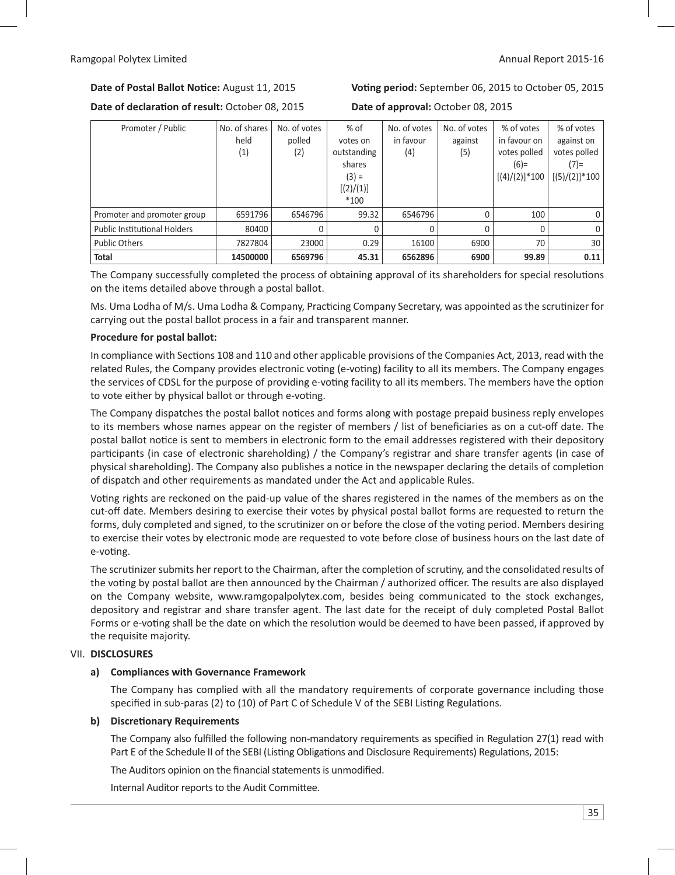### **Date of Postal Ballot Notice:** August 11, 2015 **Voti**

Date of declaration of result: October 08, 2015

**Voting period:** September 06, 2015 to October 05, 2015

**Date of approval:** October 08, 2015

| Promoter / Public                   | No. of shares | No. of votes | $%$ of      | No. of votes | No. of votes | % of votes         | % of votes        |
|-------------------------------------|---------------|--------------|-------------|--------------|--------------|--------------------|-------------------|
|                                     | held          | polled       | votes on    | in favour    | against      | in favour on       | against on        |
|                                     | (1)           | (2)          | outstanding | (4)          | (5)          | votes polled       | votes polled      |
|                                     |               |              | shares      |              |              | $(6)=$             | $(7)$ =           |
|                                     |               |              | $(3) =$     |              |              | $[(4)/(2)]^{*}100$ | $[(5)/(2)]$ * 100 |
|                                     |               |              | [(2)/(1)]   |              |              |                    |                   |
|                                     |               |              | $*100$      |              |              |                    |                   |
| Promoter and promoter group         | 6591796       | 6546796      | 99.32       | 6546796      | 0            | 100                | $\mathbf{0}$      |
| <b>Public Institutional Holders</b> | 80400         |              |             |              | <sup>0</sup> |                    | $\mathbf{0}$      |
| <b>Public Others</b>                | 7827804       | 23000        | 0.29        | 16100        | 6900         | 70                 | 30                |
| <b>Total</b>                        | 14500000      | 6569796      | 45.31       | 6562896      | 6900         | 99.89              | 0.11              |

The Company successfully completed the process of obtaining approval of its shareholders for special resolutions on the items detailed above through a postal ballot.

Ms. Uma Lodha of M/s. Uma Lodha & Company, Practicing Company Secretary, was appointed as the scrutinizer for carrying out the postal ballot process in a fair and transparent manner.

### **Procedure for postal ballot:**

In compliance with Sections 108 and 110 and other applicable provisions of the Companies Act, 2013, read with the related Rules, the Company provides electronic voting (e-voting) facility to all its members. The Company engages the services of CDSL for the purpose of providing e-voting facility to all its members. The members have the option to vote either by physical ballot or through e-voting.

The Company dispatches the postal ballot notices and forms along with postage prepaid business reply envelopes to its members whose names appear on the register of members / list of beneficiaries as on a cut-off date. The postal ballot notice is sent to members in electronic form to the email addresses registered with their depository participants (in case of electronic shareholding) / the Company's registrar and share transfer agents (in case of physical shareholding). The Company also publishes a notice in the newspaper declaring the details of completion of dispatch and other requirements as mandated under the Act and applicable Rules.

Voting rights are reckoned on the paid-up value of the shares registered in the names of the members as on the cut-off date. Members desiring to exercise their votes by physical postal ballot forms are requested to return the forms, duly completed and signed, to the scrutinizer on or before the close of the voting period. Members desiring to exercise their votes by electronic mode are requested to vote before close of business hours on the last date of e-voting.

The scrutinizer submits her report to the Chairman, after the completion of scrutiny, and the consolidated results of the voting by postal ballot are then announced by the Chairman / authorized officer. The results are also displayed on the Company website, www.ramgopalpolytex.com, besides being communicated to the stock exchanges, depository and registrar and share transfer agent. The last date for the receipt of duly completed Postal Ballot Forms or e-voting shall be the date on which the resolution would be deemed to have been passed, if approved by the requisite majority.

### VII. **DISCLOSURES**

### **a) Compliances with Governance Framework**

 The Company has complied with all the mandatory requirements of corporate governance including those specified in sub-paras (2) to (10) of Part C of Schedule V of the SEBI Listing Regulations.

### **b)** Discretionary Requirements

The Company also fulfilled the following non-mandatory requirements as specified in Regulation 27(1) read with Part E of the Schedule II of the SEBI (Listing Obligations and Disclosure Requirements) Regulations, 2015:

The Auditors opinion on the financial statements is unmodified.

Internal Auditor reports to the Audit Committee.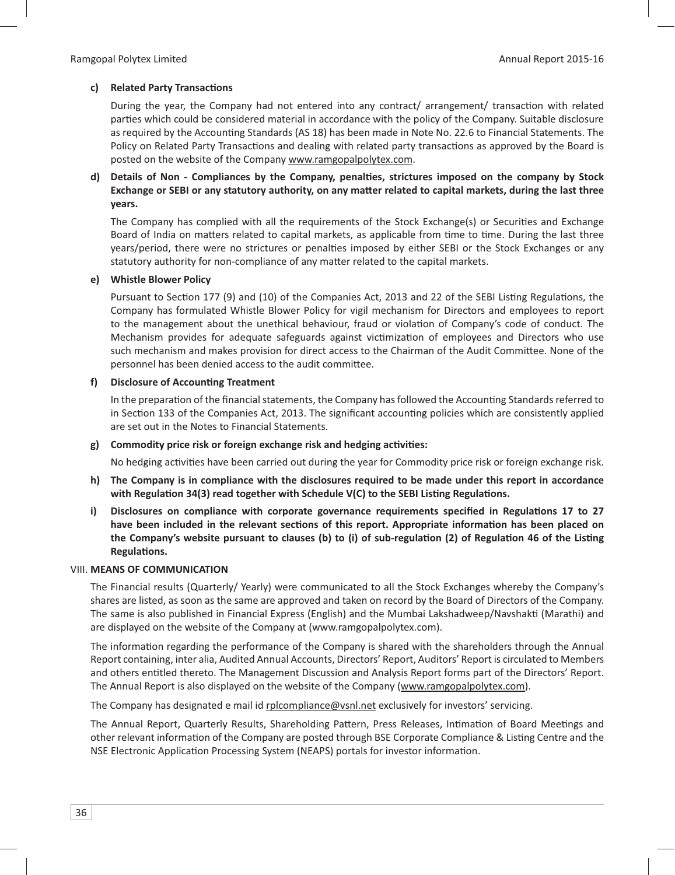### c) Related Party Transactions

During the year, the Company had not entered into any contract/ arrangement/ transaction with related parties which could be considered material in accordance with the policy of the Company. Suitable disclosure as required by the Accounting Standards (AS 18) has been made in Note No. 22.6 to Financial Statements. The Policy on Related Party Transactions and dealing with related party transactions as approved by the Board is posted on the website of the Company www.ramgopalpolytex.com.

### d) Details of Non - Compliances by the Company, penalties, strictures imposed on the company by Stock Exchange or SEBI or any statutory authority, on any matter related to capital markets, during the last three **years.**

The Company has complied with all the requirements of the Stock Exchange(s) or Securities and Exchange Board of India on matters related to capital markets, as applicable from time to time. During the last three years/period, there were no strictures or penalties imposed by either SEBI or the Stock Exchanges or any statutory authority for non-compliance of any matter related to the capital markets.

### **e) Whistle Blower Policy**

Pursuant to Section 177 (9) and (10) of the Companies Act, 2013 and 22 of the SEBI Listing Regulations, the Company has formulated Whistle Blower Policy for vigil mechanism for Directors and employees to report to the management about the unethical behaviour, fraud or violation of Company's code of conduct. The Mechanism provides for adequate safeguards against victimization of employees and Directors who use such mechanism and makes provision for direct access to the Chairman of the Audit Committee. None of the personnel has been denied access to the audit committee.

### f) Disclosure of Accounting Treatment

In the preparation of the financial statements, the Company has followed the Accounting Standards referred to in Section 133 of the Companies Act, 2013. The significant accounting policies which are consistently applied are set out in the Notes to Financial Statements.

### g) Commodity price risk or foreign exchange risk and hedging activities:

No hedging activities have been carried out during the year for Commodity price risk or foreign exchange risk.

- **h) The Company is in compliance with the disclosures required to be made under this report in accordance**  with Regulation 34(3) read together with Schedule V(C) to the SEBI Listing Regulations.
- i) Disclosures on compliance with corporate governance requirements specified in Regulations 17 to 27 have been included in the relevant sections of this report. Appropriate information has been placed on the Company's website pursuant to clauses (b) to (i) of sub-regulation (2) of Regulation 46 of the Listing **Regulations.**

### VIII. **MEANS OF COMMUNICATION**

 The Financial results (Quarterly/ Yearly) were communicated to all the Stock Exchanges whereby the Company's shares are listed, as soon as the same are approved and taken on record by the Board of Directors of the Company. The same is also published in Financial Express (English) and the Mumbai Lakshadweep/Navshakti (Marathi) and are displayed on the website of the Company at (www.ramgopalpolytex.com).

The information regarding the performance of the Company is shared with the shareholders through the Annual Report containing, inter alia, Audited Annual Accounts, Directors' Report, Auditors' Report is circulated to Members and others entitled thereto. The Management Discussion and Analysis Report forms part of the Directors' Report. The Annual Report is also displayed on the website of the Company (www.ramgopalpolytex.com).

The Company has designated e mail id rplcompliance@vsnl.net exclusively for investors' servicing.

The Annual Report, Quarterly Results, Shareholding Pattern, Press Releases, Intimation of Board Meetings and other relevant information of the Company are posted through BSE Corporate Compliance & Listing Centre and the NSE Electronic Application Processing System (NEAPS) portals for investor information.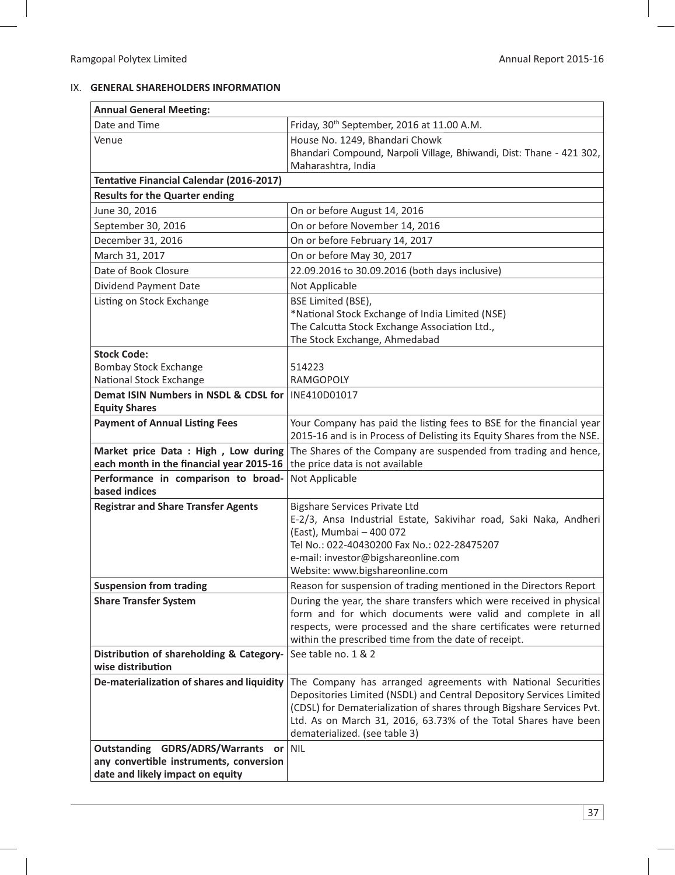### IX. **GENERAL SHAREHOLDERS INFORMATION**

| <b>Annual General Meeting:</b>                  |                                                                                                      |
|-------------------------------------------------|------------------------------------------------------------------------------------------------------|
| Date and Time                                   | Friday, 30th September, 2016 at 11.00 A.M.                                                           |
| Venue                                           | House No. 1249, Bhandari Chowk                                                                       |
|                                                 | Bhandari Compound, Narpoli Village, Bhiwandi, Dist: Thane - 421 302,                                 |
|                                                 | Maharashtra, India                                                                                   |
| <b>Tentative Financial Calendar (2016-2017)</b> |                                                                                                      |
| <b>Results for the Quarter ending</b>           |                                                                                                      |
| June 30, 2016                                   | On or before August 14, 2016                                                                         |
| September 30, 2016                              | On or before November 14, 2016                                                                       |
| December 31, 2016                               | On or before February 14, 2017                                                                       |
| March 31, 2017                                  | On or before May 30, 2017                                                                            |
| Date of Book Closure                            | 22.09.2016 to 30.09.2016 (both days inclusive)                                                       |
| Dividend Payment Date                           | Not Applicable                                                                                       |
| Listing on Stock Exchange                       | BSE Limited (BSE),                                                                                   |
|                                                 | *National Stock Exchange of India Limited (NSE)                                                      |
|                                                 | The Calcutta Stock Exchange Association Ltd.,                                                        |
|                                                 | The Stock Exchange, Ahmedabad                                                                        |
| <b>Stock Code:</b>                              |                                                                                                      |
| <b>Bombay Stock Exchange</b>                    | 514223                                                                                               |
| National Stock Exchange                         | <b>RAMGOPOLY</b>                                                                                     |
| Demat ISIN Numbers in NSDL & CDSL for           | INE410D01017                                                                                         |
| <b>Equity Shares</b>                            |                                                                                                      |
| <b>Payment of Annual Listing Fees</b>           | Your Company has paid the listing fees to BSE for the financial year                                 |
|                                                 | 2015-16 and is in Process of Delisting its Equity Shares from the NSE.                               |
|                                                 | Market price Data : High, Low during The Shares of the Company are suspended from trading and hence, |
| each month in the financial year 2015-16        | the price data is not available                                                                      |
| Performance in comparison to broad-             | Not Applicable                                                                                       |
| based indices                                   |                                                                                                      |
| <b>Registrar and Share Transfer Agents</b>      | <b>Bigshare Services Private Ltd</b>                                                                 |
|                                                 | E-2/3, Ansa Industrial Estate, Sakivihar road, Saki Naka, Andheri                                    |
|                                                 | (East), Mumbai - 400 072<br>Tel No.: 022-40430200 Fax No.: 022-28475207                              |
|                                                 | e-mail: investor@bigshareonline.com                                                                  |
|                                                 | Website: www.bigshareonline.com                                                                      |
| <b>Suspension from trading</b>                  | Reason for suspension of trading mentioned in the Directors Report                                   |
| <b>Share Transfer System</b>                    | During the year, the share transfers which were received in physical                                 |
|                                                 | form and for which documents were valid and complete in all                                          |
|                                                 | respects, were processed and the share certificates were returned                                    |
|                                                 | within the prescribed time from the date of receipt.                                                 |
| Distribution of shareholding & Category-        | See table no. 1 & 2                                                                                  |
| wise distribution                               |                                                                                                      |
| De-materialization of shares and liquidity      | The Company has arranged agreements with National Securities                                         |
|                                                 | Depositories Limited (NSDL) and Central Depository Services Limited                                  |
|                                                 | (CDSL) for Dematerialization of shares through Bigshare Services Pvt.                                |
|                                                 | Ltd. As on March 31, 2016, 63.73% of the Total Shares have been                                      |
|                                                 | dematerialized. (see table 3)                                                                        |
| Outstanding GDRS/ADRS/Warrants or               | <b>NIL</b>                                                                                           |
| any convertible instruments, conversion         |                                                                                                      |
| date and likely impact on equity                |                                                                                                      |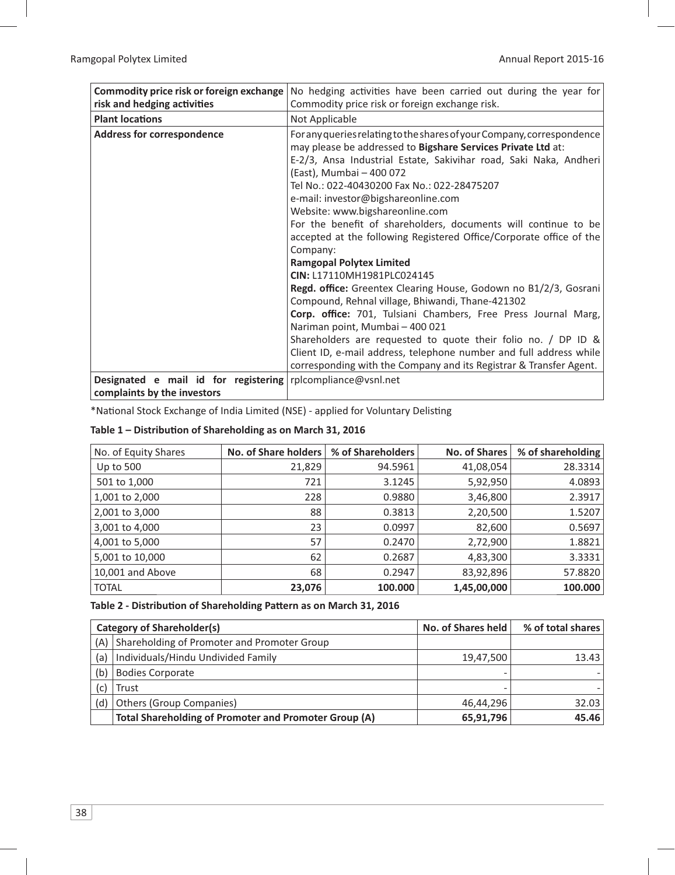| Commodity price risk or foreign exchange                                                   | No hedging activities have been carried out during the year for                                                                                                                                                                                                                                                                                                                                                                                                                                                                                                                                                                                                                                                                                                                                                                                                                      |  |  |  |
|--------------------------------------------------------------------------------------------|--------------------------------------------------------------------------------------------------------------------------------------------------------------------------------------------------------------------------------------------------------------------------------------------------------------------------------------------------------------------------------------------------------------------------------------------------------------------------------------------------------------------------------------------------------------------------------------------------------------------------------------------------------------------------------------------------------------------------------------------------------------------------------------------------------------------------------------------------------------------------------------|--|--|--|
| risk and hedging activities                                                                | Commodity price risk or foreign exchange risk.                                                                                                                                                                                                                                                                                                                                                                                                                                                                                                                                                                                                                                                                                                                                                                                                                                       |  |  |  |
| <b>Plant locations</b>                                                                     | Not Applicable                                                                                                                                                                                                                                                                                                                                                                                                                                                                                                                                                                                                                                                                                                                                                                                                                                                                       |  |  |  |
| <b>Address for correspondence</b>                                                          | For any queries relating to the shares of your Company, correspondence<br>may please be addressed to Bigshare Services Private Ltd at:<br>E-2/3, Ansa Industrial Estate, Sakivihar road, Saki Naka, Andheri<br>(East), Mumbai - 400 072<br>Tel No.: 022-40430200 Fax No.: 022-28475207<br>e-mail: investor@bigshareonline.com<br>Website: www.bigshareonline.com<br>For the benefit of shareholders, documents will continue to be<br>accepted at the following Registered Office/Corporate office of the<br>Company:<br><b>Ramgopal Polytex Limited</b><br>CIN: L17110MH1981PLC024145<br>Regd. office: Greentex Clearing House, Godown no B1/2/3, Gosrani<br>Compound, Rehnal village, Bhiwandi, Thane-421302<br>Corp. office: 701, Tulsiani Chambers, Free Press Journal Marg,<br>Nariman point, Mumbai - 400 021<br>Shareholders are requested to quote their folio no. / DP ID & |  |  |  |
|                                                                                            |                                                                                                                                                                                                                                                                                                                                                                                                                                                                                                                                                                                                                                                                                                                                                                                                                                                                                      |  |  |  |
|                                                                                            |                                                                                                                                                                                                                                                                                                                                                                                                                                                                                                                                                                                                                                                                                                                                                                                                                                                                                      |  |  |  |
|                                                                                            | Client ID, e-mail address, telephone number and full address while<br>corresponding with the Company and its Registrar & Transfer Agent.                                                                                                                                                                                                                                                                                                                                                                                                                                                                                                                                                                                                                                                                                                                                             |  |  |  |
| Designated e mail id for registering rplcompliance@vsnl.net<br>complaints by the investors |                                                                                                                                                                                                                                                                                                                                                                                                                                                                                                                                                                                                                                                                                                                                                                                                                                                                                      |  |  |  |

\*National Stock Exchange of India Limited (NSE) - applied for Voluntary Delisting

### Table 1 – Distribution of Shareholding as on March 31, 2016

| No. of Equity Shares | No. of Share holders | % of Shareholders | <b>No. of Shares</b> | % of shareholding |
|----------------------|----------------------|-------------------|----------------------|-------------------|
| Up to $500$          | 21,829               | 94.5961           | 41,08,054            | 28.3314           |
| 501 to 1,000         | 721                  | 3.1245            | 5,92,950             | 4.0893            |
| 1,001 to 2,000       | 228                  | 0.9880            | 3,46,800             | 2.3917            |
| 2,001 to 3,000       | 88                   | 0.3813            | 2,20,500             | 1.5207            |
| 3,001 to 4,000       | 23                   | 0.0997            | 82,600               | 0.5697            |
| 4,001 to 5,000       | 57                   | 0.2470            | 2,72,900             | 1.8821            |
| 5,001 to 10,000      | 62                   | 0.2687            | 4,83,300             | 3.3331            |
| 10,001 and Above     | 68                   | 0.2947            | 83,92,896            | 57.8820           |
| <b>TOTAL</b>         | 23,076               | 100.000           | 1,45,00,000          | 100.000           |

Table 2 - Distribution of Shareholding Pattern as on March 31, 2016

|     | <b>Category of Shareholder(s)</b>                     | <b>No. of Shares held</b> | % of total shares |
|-----|-------------------------------------------------------|---------------------------|-------------------|
|     | (A) Shareholding of Promoter and Promoter Group       |                           |                   |
| (a) | Individuals/Hindu Undivided Family                    | 19,47,500                 | 13.43             |
| (b) | <b>Bodies Corporate</b>                               |                           |                   |
| (c) | Trust                                                 |                           |                   |
| (d) | <b>Others (Group Companies)</b>                       | 46,44,296                 | 32.03             |
|     | Total Shareholding of Promoter and Promoter Group (A) | 65,91,796                 | 45.46             |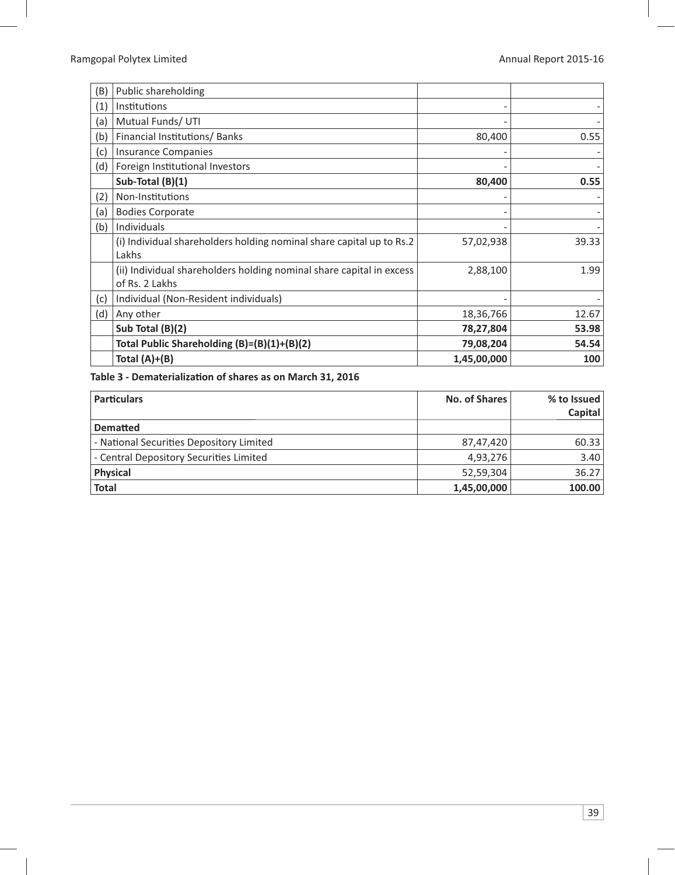| (B) | Public shareholding                                                                    |             |       |
|-----|----------------------------------------------------------------------------------------|-------------|-------|
| (1) | Institutions                                                                           |             |       |
| (a) | Mutual Funds/ UTI                                                                      |             |       |
| (b) | Financial Institutions/ Banks                                                          | 80,400      | 0.55  |
| (c) | <b>Insurance Companies</b>                                                             |             |       |
| (d) | Foreign Institutional Investors                                                        |             |       |
|     | Sub-Total (B)(1)                                                                       | 80,400      | 0.55  |
| (2) | Non-Institutions                                                                       |             |       |
| (a) | <b>Bodies Corporate</b>                                                                |             |       |
| (b) | Individuals                                                                            |             |       |
|     | (i) Individual shareholders holding nominal share capital up to Rs.2<br>Lakhs          | 57,02,938   | 39.33 |
|     | (ii) Individual shareholders holding nominal share capital in excess<br>of Rs. 2 Lakhs | 2,88,100    | 1.99  |
| (c) | Individual (Non-Resident individuals)                                                  |             |       |
| (d) | Any other                                                                              | 18,36,766   | 12.67 |
|     | Sub Total (B)(2)                                                                       | 78,27,804   | 53.98 |
|     | Total Public Shareholding (B)=(B)(1)+(B)(2)                                            | 79,08,204   | 54.54 |
|     | Total $(A)+(B)$                                                                        | 1,45,00,000 | 100   |

### Table 3 - Dematerialization of shares as on March 31, 2016

| <b>Particulars</b>                       | No. of Shares | % to Issued<br>Capital |
|------------------------------------------|---------------|------------------------|
| <b>Dematted</b>                          |               |                        |
| - National Securities Depository Limited | 87,47,420     | 60.33                  |
| - Central Depository Securities Limited  | 4,93,276      | 3.40                   |
| <b>Physical</b>                          | 52,59,304     | 36.27                  |
| <b>Total</b>                             | 1,45,00,000   | 100.00                 |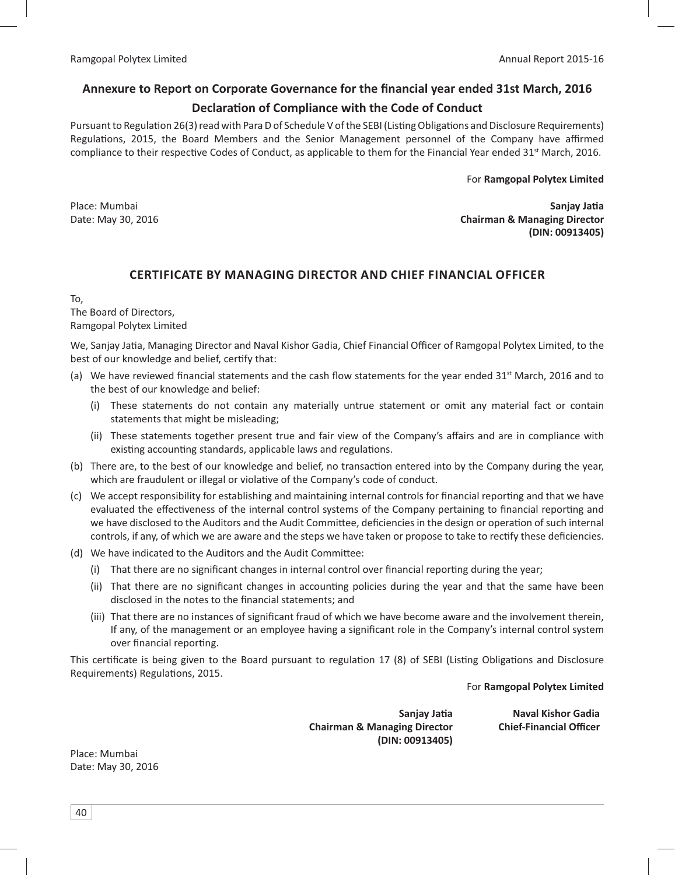### Annexure to Report on Corporate Governance for the financial year ended 31st March, 2016

### **Declaration of Compliance with the Code of Conduct**

Pursuant to Regulation 26(3) read with Para D of Schedule V of the SEBI (Listing Obligations and Disclosure Requirements) Regulations, 2015, the Board Members and the Senior Management personnel of the Company have affirmed compliance to their respective Codes of Conduct, as applicable to them for the Financial Year ended 31st March, 2016.

For **Ramgopal Polytex Limited**

Place: Mumbai **Sanjay Ja-Sanjay Jatia** Date: May 30, 2016 **Chairman & Managing Director (DIN: 00913405)**

### **CERTIFICATE BY MANAGING DIRECTOR AND CHIEF FINANCIAL OFFICER**

To,

The Board of Directors, Ramgopal Polytex Limited

We, Sanjay Jatia, Managing Director and Naval Kishor Gadia, Chief Financial Officer of Ramgopal Polytex Limited, to the best of our knowledge and belief, certify that:

- (a) We have reviewed financial statements and the cash flow statements for the year ended  $31^{st}$  March, 2016 and to the best of our knowledge and belief:
	- (i) These statements do not contain any materially untrue statement or omit any material fact or contain statements that might be misleading;
	- (ii) These statements together present true and fair view of the Company's affairs and are in compliance with existing accounting standards, applicable laws and regulations.
- (b) There are, to the best of our knowledge and belief, no transaction entered into by the Company during the year, which are fraudulent or illegal or violative of the Company's code of conduct.
- (c) We accept responsibility for establishing and maintaining internal controls for financial reporting and that we have evaluated the effectiveness of the internal control systems of the Company pertaining to financial reporting and we have disclosed to the Auditors and the Audit Committee, deficiencies in the design or operation of such internal controls, if any, of which we are aware and the steps we have taken or propose to take to rectify these deficiencies.
- (d) We have indicated to the Auditors and the Audit Committee:
	- (i) That there are no significant changes in internal control over financial reporting during the year;
	- (ii) That there are no significant changes in accounting policies during the year and that the same have been disclosed in the notes to the financial statements; and
	- (iii) That there are no instances of significant fraud of which we have become aware and the involvement therein, If any, of the management or an employee having a significant role in the Company's internal control system over financial reporting.

This certificate is being given to the Board pursuant to regulation 17 (8) of SEBI (Listing Obligations and Disclosure Requirements) Regulations, 2015.

For **Ramgopal Polytex Limited**

 **Sanjay Ja-Chairman & Managing Director Chief-Financial Officer (DIN: 00913405)**

**Sanjay Jatia Maval Kishor Gadia** 

Place: Mumbai Date: May 30, 2016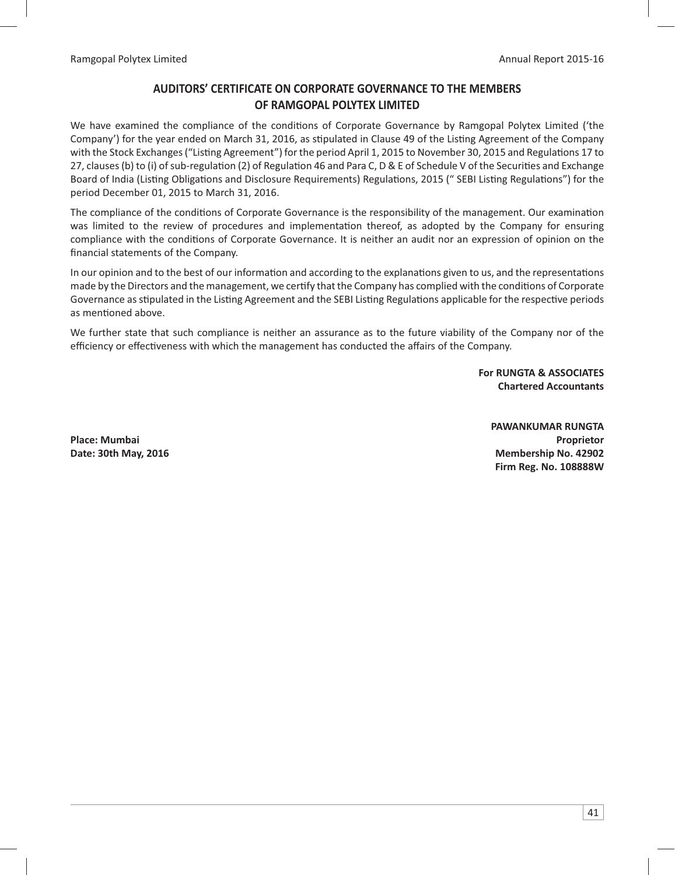### **AUDITORS' CERTIFICATE ON CORPORATE GOVERNANCE TO THE MEMBERS OF RAMGOPAL POLYTEX LIMITED**

We have examined the compliance of the conditions of Corporate Governance by Ramgopal Polytex Limited ('the Company') for the year ended on March 31, 2016, as stipulated in Clause 49 of the Listing Agreement of the Company with the Stock Exchanges ("Listing Agreement") for the period April 1, 2015 to November 30, 2015 and Regulations 17 to 27, clauses (b) to (i) of sub-regulation (2) of Regulation 46 and Para C, D & E of Schedule V of the Securities and Exchange Board of India (Listing Obligations and Disclosure Requirements) Regulations, 2015 ("SEBI Listing Regulations") for the period December 01, 2015 to March 31, 2016.

The compliance of the conditions of Corporate Governance is the responsibility of the management. Our examination was limited to the review of procedures and implementation thereof, as adopted by the Company for ensuring compliance with the conditions of Corporate Governance. It is neither an audit nor an expression of opinion on the financial statements of the Company.

In our opinion and to the best of our information and according to the explanations given to us, and the representations made by the Directors and the management, we certify that the Company has complied with the conditions of Corporate Governance as stipulated in the Listing Agreement and the SEBI Listing Regulations applicable for the respective periods as mentioned above.

We further state that such compliance is neither an assurance as to the future viability of the Company nor of the efficiency or effectiveness with which the management has conducted the affairs of the Company.

> **For RUNGTA & ASSOCIATES Chartered Accountants**

**PAWANKUMAR RUNGTA Place: Mumbai Proprietor Date: 30th May, 2016** Membership No. 42902 **Firm Reg. No. 108888W**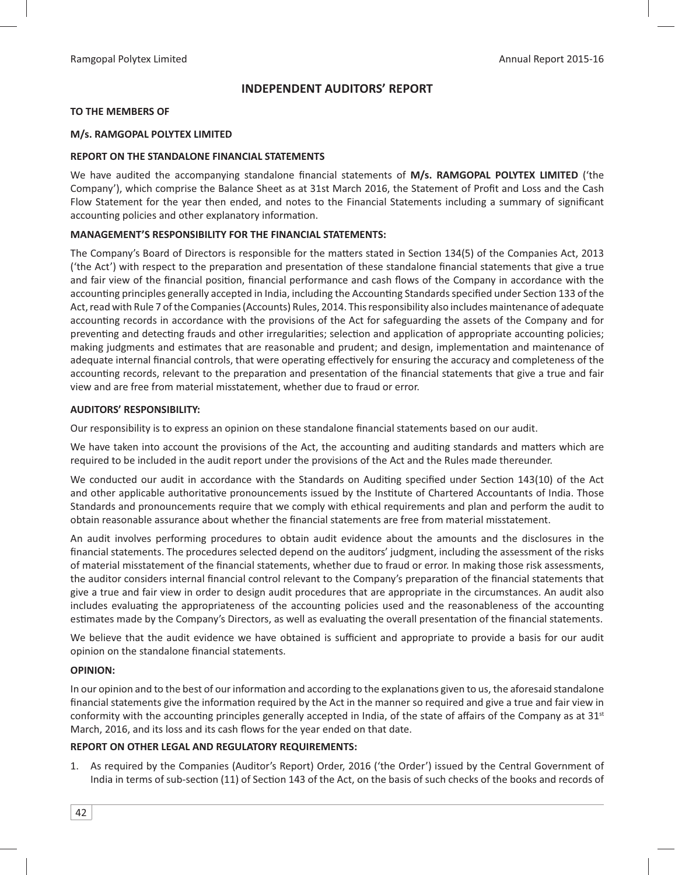### **INDEPENDENT AUDITORS' REPORT**

### **TO THE MEMBERS OF**

### **M/s. RAMGOPAL POLYTEX LIMITED**

### **REPORT ON THE STANDALONE FINANCIAL STATEMENTS**

We have audited the accompanying standalone financial statements of M/s. RAMGOPAL POLYTEX LIMITED ('the Company'), which comprise the Balance Sheet as at 31st March 2016, the Statement of Profit and Loss and the Cash Flow Statement for the year then ended, and notes to the Financial Statements including a summary of significant accounting policies and other explanatory information.

### **MANAGEMENT'S RESPONSIBILITY FOR THE FINANCIAL STATEMENTS:**

The Company's Board of Directors is responsible for the matters stated in Section 134(5) of the Companies Act, 2013 ('the Act') with respect to the preparation and presentation of these standalone financial statements that give a true and fair view of the financial position, financial performance and cash flows of the Company in accordance with the accounting principles generally accepted in India, including the Accounting Standards specified under Section 133 of the Act, read with Rule 7 of the Companies (Accounts) Rules, 2014. This responsibility also includes maintenance of adequate accounting records in accordance with the provisions of the Act for safeguarding the assets of the Company and for preventing and detecting frauds and other irregularities; selection and application of appropriate accounting policies; making judgments and estimates that are reasonable and prudent; and design, implementation and maintenance of adequate internal financial controls, that were operating effectively for ensuring the accuracy and completeness of the accounting records, relevant to the preparation and presentation of the financial statements that give a true and fair view and are free from material misstatement, whether due to fraud or error.

### **AUDITORS' RESPONSIBILITY:**

Our responsibility is to express an opinion on these standalone financial statements based on our audit.

We have taken into account the provisions of the Act, the accounting and auditing standards and matters which are required to be included in the audit report under the provisions of the Act and the Rules made thereunder.

We conducted our audit in accordance with the Standards on Auditing specified under Section 143(10) of the Act and other applicable authoritative pronouncements issued by the Institute of Chartered Accountants of India. Those Standards and pronouncements require that we comply with ethical requirements and plan and perform the audit to obtain reasonable assurance about whether the financial statements are free from material misstatement.

An audit involves performing procedures to obtain audit evidence about the amounts and the disclosures in the financial statements. The procedures selected depend on the auditors' judgment, including the assessment of the risks of material misstatement of the financial statements, whether due to fraud or error. In making those risk assessments, the auditor considers internal financial control relevant to the Company's preparation of the financial statements that give a true and fair view in order to design audit procedures that are appropriate in the circumstances. An audit also includes evaluating the appropriateness of the accounting policies used and the reasonableness of the accounting estimates made by the Company's Directors, as well as evaluating the overall presentation of the financial statements.

We believe that the audit evidence we have obtained is sufficient and appropriate to provide a basis for our audit opinion on the standalone financial statements.

### **OPINION:**

In our opinion and to the best of our information and according to the explanations given to us, the aforesaid standalone financial statements give the information required by the Act in the manner so required and give a true and fair view in conformity with the accounting principles generally accepted in India, of the state of affairs of the Company as at 31st March, 2016, and its loss and its cash flows for the year ended on that date.

### **REPORT ON OTHER LEGAL AND REGULATORY REQUIREMENTS:**

1. As required by the Companies (Auditor's Report) Order, 2016 ('the Order') issued by the Central Government of India in terms of sub-section (11) of Section 143 of the Act, on the basis of such checks of the books and records of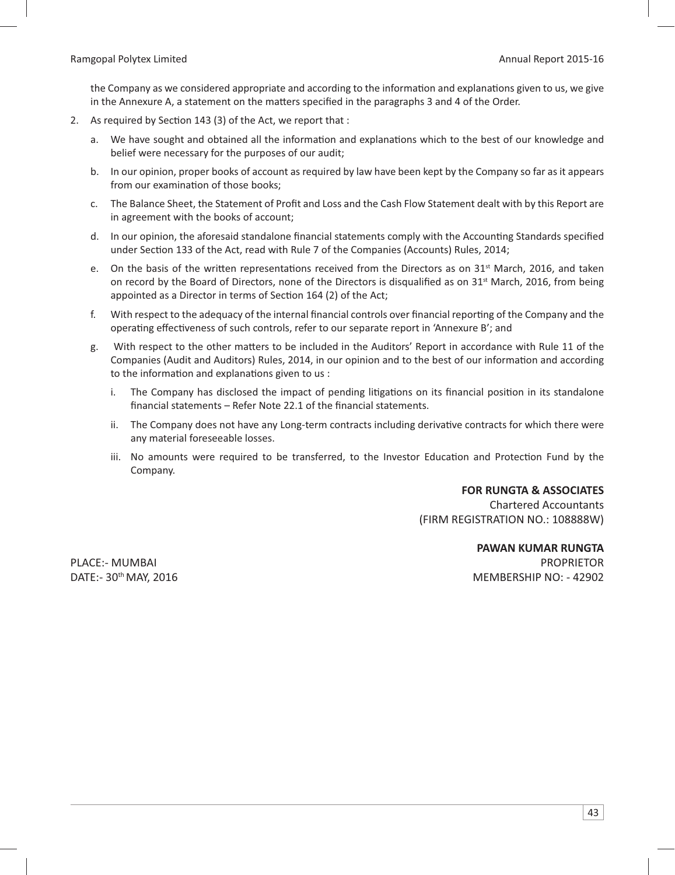the Company as we considered appropriate and according to the information and explanations given to us, we give in the Annexure A, a statement on the matters specified in the paragraphs 3 and 4 of the Order.

- 2. As required by Section 143 (3) of the Act, we report that :
	- a. We have sought and obtained all the information and explanations which to the best of our knowledge and belief were necessary for the purposes of our audit;
	- b. In our opinion, proper books of account as required by law have been kept by the Company so far as it appears from our examination of those books;
	- c. The Balance Sheet, the Statement of Profit and Loss and the Cash Flow Statement dealt with by this Report are in agreement with the books of account;
	- d. In our opinion, the aforesaid standalone financial statements comply with the Accounting Standards specified under Section 133 of the Act, read with Rule 7 of the Companies (Accounts) Rules, 2014;
	- e. On the basis of the written representations received from the Directors as on  $31<sup>st</sup>$  March, 2016, and taken on record by the Board of Directors, none of the Directors is disqualified as on 31<sup>st</sup> March, 2016, from being appointed as a Director in terms of Section 164 (2) of the Act;
	- f. With respect to the adequacy of the internal financial controls over financial reporting of the Company and the operating effectiveness of such controls, refer to our separate report in 'Annexure B'; and
	- g. With respect to the other matters to be included in the Auditors' Report in accordance with Rule 11 of the Companies (Audit and Auditors) Rules, 2014, in our opinion and to the best of our information and according to the information and explanations given to us :
		- i. The Company has disclosed the impact of pending litigations on its financial position in its standalone financial statements  $-$  Refer Note 22.1 of the financial statements.
		- ii. The Company does not have any Long-term contracts including derivative contracts for which there were any material foreseeable losses.
		- iii. No amounts were required to be transferred, to the Investor Education and Protection Fund by the Company.

**FOR RUNGTA & ASSOCIATES** Chartered Accountants (FIRM REGISTRATION NO.: 108888W)

PLACE:- MUMBAI PROPRIETOR

**PAWAN KUMAR RUNGTA**

DATE:- 30<sup>th</sup> MAY, 2016 MEMBERSHIP NO: - 42902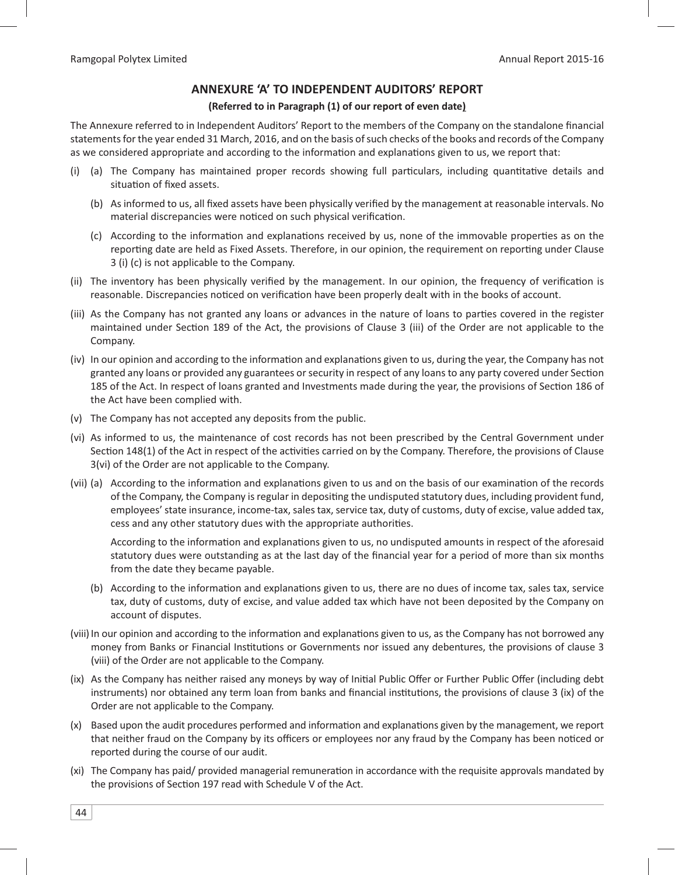### **ANNEXURE 'A' TO INDEPENDENT AUDITORS' REPORT**

### **(Referred to in Paragraph (1) of our report of even date)**

The Annexure referred to in Independent Auditors' Report to the members of the Company on the standalone financial statements for the year ended 31 March, 2016, and on the basis of such checks of the books and records of the Company as we considered appropriate and according to the information and explanations given to us, we report that:

- (i) (a) The Company has maintained proper records showing full particulars, including quantitative details and situation of fixed assets.
	- (b) As informed to us, all fixed assets have been physically verified by the management at reasonable intervals. No material discrepancies were noticed on such physical verification.
- (c) According to the information and explanations received by us, none of the immovable properties as on the reporting date are held as Fixed Assets. Therefore, in our opinion, the requirement on reporting under Clause 3 (i) (c) is not applicable to the Company.
- (ii) The inventory has been physically verified by the management. In our opinion, the frequency of verification is reasonable. Discrepancies noticed on verification have been properly dealt with in the books of account.
- (iii) As the Company has not granted any loans or advances in the nature of loans to parties covered in the register maintained under Section 189 of the Act, the provisions of Clause 3 (iii) of the Order are not applicable to the Company.
- (iv) In our opinion and according to the information and explanations given to us, during the year, the Company has not granted any loans or provided any guarantees or security in respect of any loans to any party covered under Section 185 of the Act. In respect of loans granted and Investments made during the year, the provisions of Section 186 of the Act have been complied with.
- (v) The Company has not accepted any deposits from the public.
- (vi) As informed to us, the maintenance of cost records has not been prescribed by the Central Government under Section 148(1) of the Act in respect of the activities carried on by the Company. Therefore, the provisions of Clause 3(vi) of the Order are not applicable to the Company.
- (vii) (a) According to the information and explanations given to us and on the basis of our examination of the records of the Company, the Company is regular in depositing the undisputed statutory dues, including provident fund, employees' state insurance, income-tax, sales tax, service tax, duty of customs, duty of excise, value added tax, cess and any other statutory dues with the appropriate authorities.

According to the information and explanations given to us, no undisputed amounts in respect of the aforesaid statutory dues were outstanding as at the last day of the financial year for a period of more than six months from the date they became payable.

- (b) According to the information and explanations given to us, there are no dues of income tax, sales tax, service tax, duty of customs, duty of excise, and value added tax which have not been deposited by the Company on account of disputes.
- (viii) In our opinion and according to the information and explanations given to us, as the Company has not borrowed any money from Banks or Financial Institutions or Governments nor issued any debentures, the provisions of clause 3 (viii) of the Order are not applicable to the Company.
- (ix) As the Company has neither raised any moneys by way of Initial Public Offer or Further Public Offer (including debt instruments) nor obtained any term loan from banks and financial institutions, the provisions of clause 3 (ix) of the Order are not applicable to the Company.
- (x) Based upon the audit procedures performed and information and explanations given by the management, we report that neither fraud on the Company by its officers or employees nor any fraud by the Company has been noticed or reported during the course of our audit.
- (xi) The Company has paid/ provided managerial remuneration in accordance with the requisite approvals mandated by the provisions of Section 197 read with Schedule V of the Act.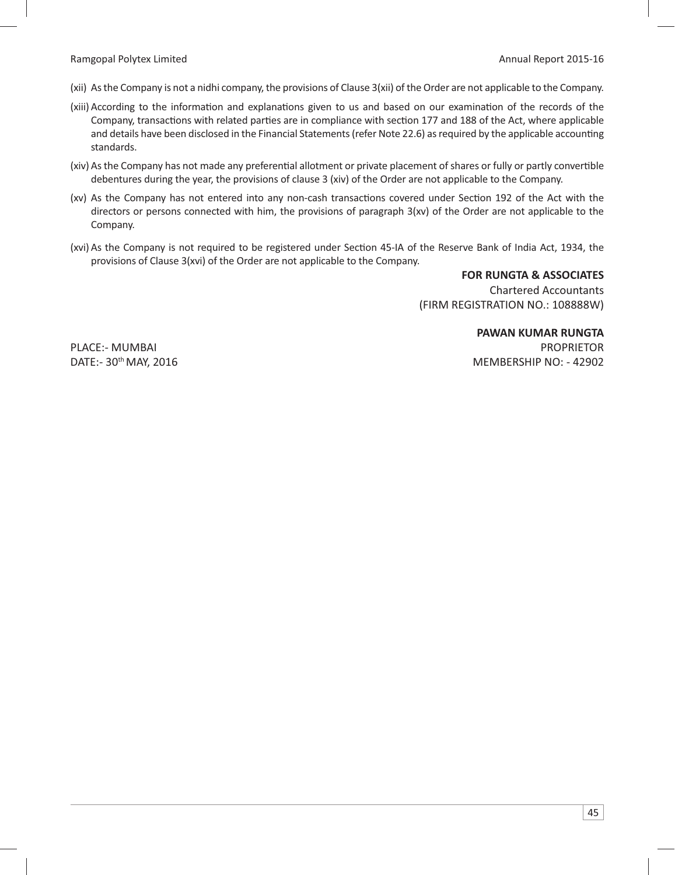- (xii) As the Company is not a nidhi company, the provisions of Clause 3(xii) of the Order are not applicable to the Company.
- (xiii) According to the information and explanations given to us and based on our examination of the records of the Company, transactions with related parties are in compliance with section 177 and 188 of the Act, where applicable and details have been disclosed in the Financial Statements (refer Note 22.6) as required by the applicable accounting standards.
- (xiv) As the Company has not made any preferential allotment or private placement of shares or fully or partly convertible debentures during the year, the provisions of clause 3 (xiv) of the Order are not applicable to the Company.
- (xv) As the Company has not entered into any non-cash transactions covered under Section 192 of the Act with the directors or persons connected with him, the provisions of paragraph 3(xv) of the Order are not applicable to the Company.
- (xvi) As the Company is not required to be registered under Section 45-IA of the Reserve Bank of India Act, 1934, the provisions of Clause 3(xvi) of the Order are not applicable to the Company.

### **FOR RUNGTA & ASSOCIATES**

Chartered Accountants (FIRM REGISTRATION NO.: 108888W)

**PAWAN KUMAR RUNGTA**

PLACE:- MUMBAI PROPRIETOR DATE:- 30<sup>th</sup> MAY, 2016 MEMBERSHIP NO: - 42902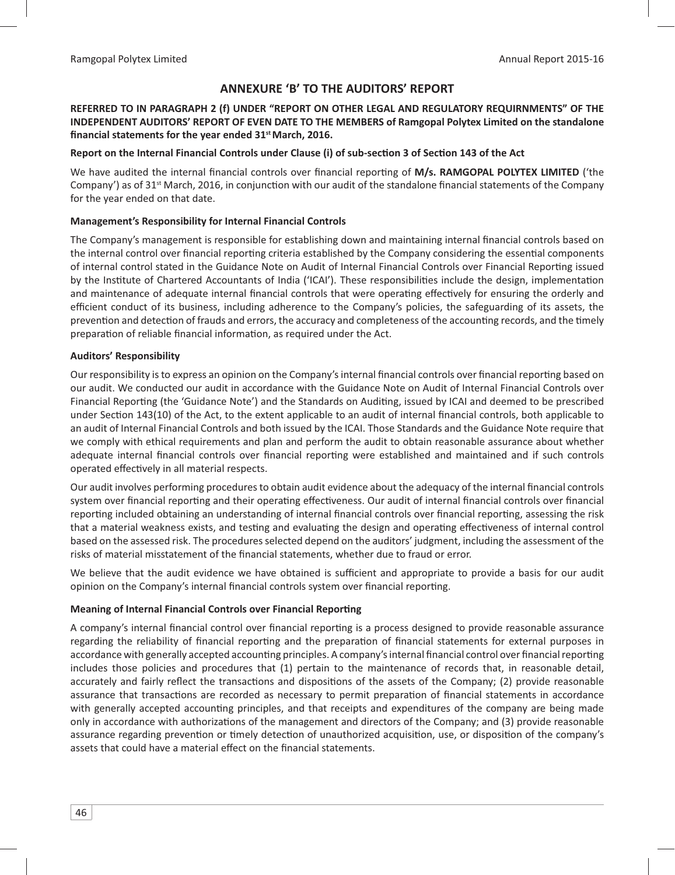### **ANNEXURE 'B' TO THE AUDITORS' REPORT**

### **REFERRED TO IN PARAGRAPH 2 (f) UNDER "REPORT ON OTHER LEGAL AND REGULATORY REQUIRNMENTS" OF THE INDEPENDENT AUDITORS' REPORT OF EVEN DATE TO THE MEMBERS of Ramgopal Polytex Limited on the standalone**  financial statements for the year ended 31<sup>st</sup> March, 2016.

### Report on the Internal Financial Controls under Clause (i) of sub-section 3 of Section 143 of the Act

We have audited the internal financial controls over financial reporting of M/s. RAMGOPAL POLYTEX LIMITED ('the Company') as of 31<sup>st</sup> March, 2016, in conjunction with our audit of the standalone financial statements of the Company for the year ended on that date.

### **Management's Responsibility for Internal Financial Controls**

The Company's management is responsible for establishing down and maintaining internal financial controls based on the internal control over financial reporting criteria established by the Company considering the essential components of internal control stated in the Guidance Note on Audit of Internal Financial Controls over Financial Reporting issued by the Institute of Chartered Accountants of India ('ICAI'). These responsibilities include the design, implementation and maintenance of adequate internal financial controls that were operating effectively for ensuring the orderly and efficient conduct of its business, including adherence to the Company's policies, the safeguarding of its assets, the prevention and detection of frauds and errors, the accuracy and completeness of the accounting records, and the timely preparation of reliable financial information, as required under the Act.

### **Auditors' Responsibility**

Our responsibility is to express an opinion on the Company's internal financial controls over financial reporting based on our audit. We conducted our audit in accordance with the Guidance Note on Audit of Internal Financial Controls over Financial Reporting (the 'Guidance Note') and the Standards on Auditing, issued by ICAI and deemed to be prescribed under Section 143(10) of the Act, to the extent applicable to an audit of internal financial controls, both applicable to an audit of Internal Financial Controls and both issued by the ICAI. Those Standards and the Guidance Note require that we comply with ethical requirements and plan and perform the audit to obtain reasonable assurance about whether adequate internal financial controls over financial reporting were established and maintained and if such controls operated effectively in all material respects.

Our audit involves performing procedures to obtain audit evidence about the adequacy of the internal financial controls system over financial reporting and their operating effectiveness. Our audit of internal financial controls over financial reporting included obtaining an understanding of internal financial controls over financial reporting, assessing the risk that a material weakness exists, and testing and evaluating the design and operating effectiveness of internal control based on the assessed risk. The procedures selected depend on the auditors' judgment, including the assessment of the risks of material misstatement of the financial statements, whether due to fraud or error.

We believe that the audit evidence we have obtained is sufficient and appropriate to provide a basis for our audit opinion on the Company's internal financial controls system over financial reporting.

### **Meaning of Internal Financial Controls over Financial Reporting**

A company's internal financial control over financial reporting is a process designed to provide reasonable assurance regarding the reliability of financial reporting and the preparation of financial statements for external purposes in accordance with generally accepted accounting principles. A company's internal financial control over financial reporting includes those policies and procedures that (1) pertain to the maintenance of records that, in reasonable detail, accurately and fairly reflect the transactions and dispositions of the assets of the Company; (2) provide reasonable assurance that transactions are recorded as necessary to permit preparation of financial statements in accordance with generally accepted accounting principles, and that receipts and expenditures of the company are being made only in accordance with authorizations of the management and directors of the Company; and (3) provide reasonable assurance regarding prevention or timely detection of unauthorized acquisition, use, or disposition of the company's assets that could have a material effect on the financial statements.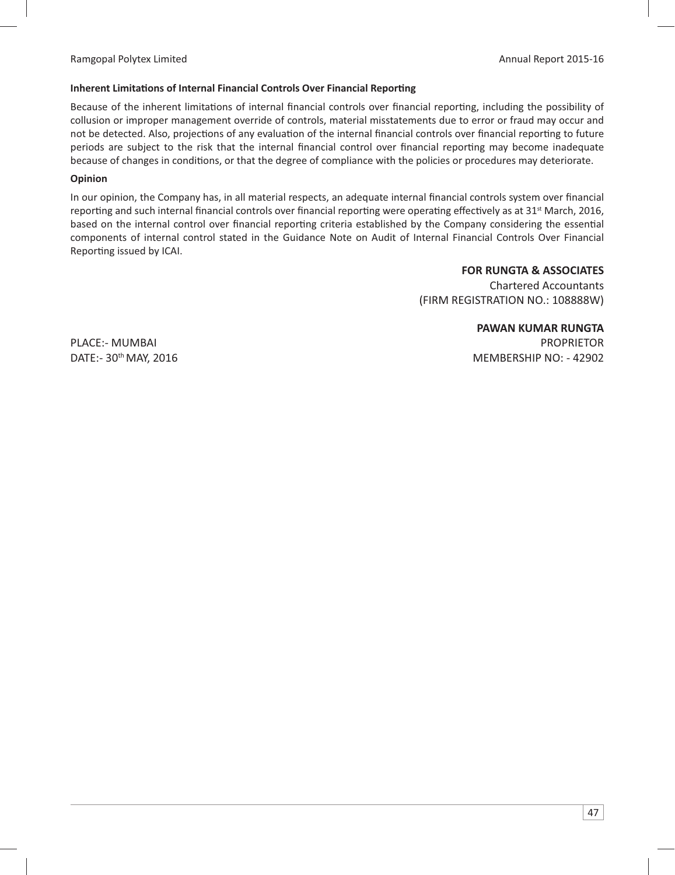### **Inherent Limitations of Internal Financial Controls Over Financial Reporting**

Because of the inherent limitations of internal financial controls over financial reporting, including the possibility of collusion or improper management override of controls, material misstatements due to error or fraud may occur and not be detected. Also, projections of any evaluation of the internal financial controls over financial reporting to future periods are subject to the risk that the internal financial control over financial reporting may become inadequate because of changes in conditions, or that the degree of compliance with the policies or procedures may deteriorate.

### **Opinion**

In our opinion, the Company has, in all material respects, an adequate internal financial controls system over financial reporting and such internal financial controls over financial reporting were operating effectively as at 31<sup>st</sup> March, 2016, based on the internal control over financial reporting criteria established by the Company considering the essential components of internal control stated in the Guidance Note on Audit of Internal Financial Controls Over Financial Reporting issued by ICAI.

### **FOR RUNGTA & ASSOCIATES**

Chartered Accountants (FIRM REGISTRATION NO.: 108888W)

PLACE:- MUMBAI PROPRIETOR

**PAWAN KUMAR RUNGTA**

DATE:- 30<sup>th</sup> MAY, 2016 MEMBERSHIP NO: - 42902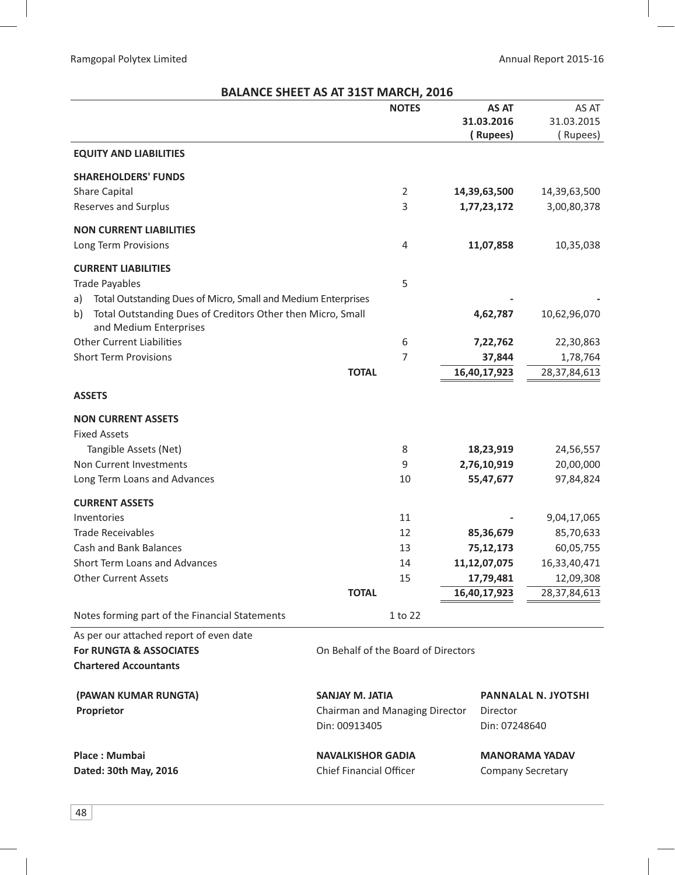| <b>BALANCE SHEET AS AT 31ST MARCH, 2016</b>                                                 |                                     |              |              |
|---------------------------------------------------------------------------------------------|-------------------------------------|--------------|--------------|
|                                                                                             | <b>NOTES</b>                        | <b>AS AT</b> | AS AT        |
|                                                                                             |                                     | 31.03.2016   | 31.03.2015   |
|                                                                                             |                                     | (Rupees)     | (Rupees)     |
| <b>EQUITY AND LIABILITIES</b>                                                               |                                     |              |              |
| <b>SHAREHOLDERS' FUNDS</b>                                                                  |                                     |              |              |
| Share Capital                                                                               | 2                                   | 14,39,63,500 | 14,39,63,500 |
| <b>Reserves and Surplus</b>                                                                 | 3                                   | 1,77,23,172  | 3,00,80,378  |
| <b>NON CURRENT LIABILITIES</b>                                                              |                                     |              |              |
| Long Term Provisions                                                                        | 4                                   | 11,07,858    | 10,35,038    |
| <b>CURRENT LIABILITIES</b>                                                                  |                                     |              |              |
| <b>Trade Payables</b>                                                                       | 5                                   |              |              |
| Total Outstanding Dues of Micro, Small and Medium Enterprises<br>a)                         |                                     |              |              |
| Total Outstanding Dues of Creditors Other then Micro, Small<br>b)<br>and Medium Enterprises |                                     | 4,62,787     | 10,62,96,070 |
| <b>Other Current Liabilities</b>                                                            | 6                                   | 7,22,762     | 22,30,863    |
| <b>Short Term Provisions</b>                                                                | 7                                   | 37,844       | 1,78,764     |
|                                                                                             | <b>TOTAL</b>                        | 16,40,17,923 | 28,37,84,613 |
| <b>ASSETS</b>                                                                               |                                     |              |              |
| <b>NON CURRENT ASSETS</b>                                                                   |                                     |              |              |
| <b>Fixed Assets</b>                                                                         |                                     |              |              |
| Tangible Assets (Net)                                                                       | 8                                   | 18,23,919    | 24,56,557    |
| Non Current Investments                                                                     | 9                                   | 2,76,10,919  | 20,00,000    |
| Long Term Loans and Advances                                                                | 10                                  | 55,47,677    | 97,84,824    |
| <b>CURRENT ASSETS</b>                                                                       |                                     |              |              |
| Inventories                                                                                 | 11                                  |              | 9,04,17,065  |
| <b>Trade Receivables</b>                                                                    | 12                                  | 85,36,679    | 85,70,633    |
| <b>Cash and Bank Balances</b>                                                               | 13                                  | 75, 12, 173  | 60,05,755    |
| <b>Short Term Loans and Advances</b>                                                        | 14                                  | 11,12,07,075 | 16,33,40,471 |
| <b>Other Current Assets</b>                                                                 | 15                                  | 17,79,481    | 12,09,308    |
|                                                                                             | <b>TOTAL</b>                        | 16,40,17,923 | 28,37,84,613 |
| Notes forming part of the Financial Statements                                              | 1 to 22                             |              |              |
| As per our attached report of even date                                                     |                                     |              |              |
| <b>For RUNGTA &amp; ASSOCIATES</b>                                                          | On Behalf of the Board of Directors |              |              |
| <b>Chartered Accountants</b>                                                                |                                     |              |              |
|                                                                                             |                                     |              |              |

 **(PAWAN KUMAR RUNGTA) SANJAY M. JATIA PANNALAL N. JYOTSHI Proprietor Chairman and Managing Director** Director

**Dated: 30th May, 2016** Chief Financial Officer Company Secretary

Din: 00913405 Din: 07248640

**Place : Mumbai NAVALKISHOR GADIA MANORAMA YADAV**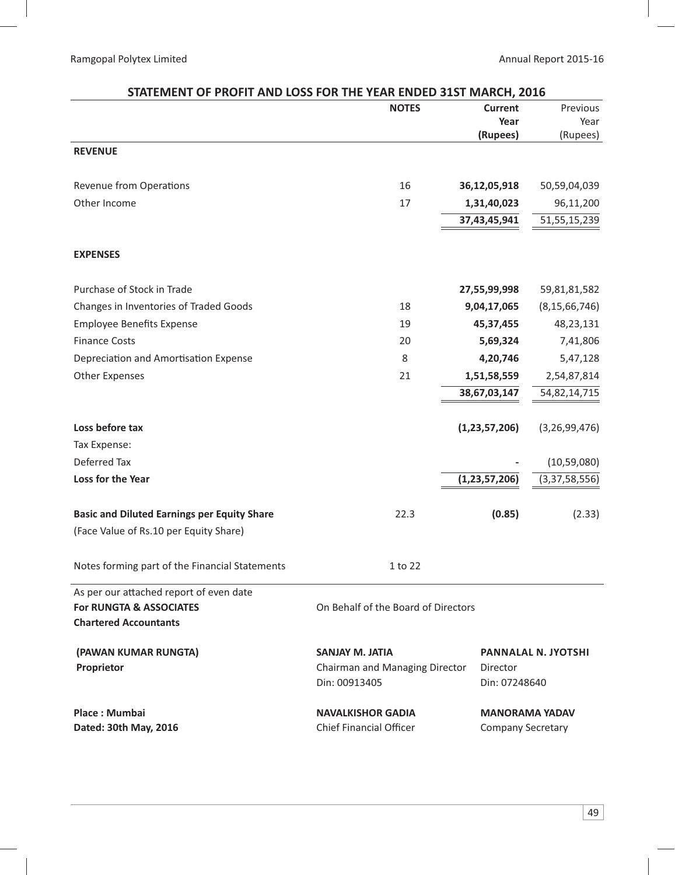| STATEMENT OF PROFIT AND LOSS FOR THE YEAR ENDED 31ST MARCH, 2016 |                                                            |                                                   |                            |
|------------------------------------------------------------------|------------------------------------------------------------|---------------------------------------------------|----------------------------|
|                                                                  | <b>NOTES</b>                                               | <b>Current</b>                                    | Previous                   |
|                                                                  |                                                            | Year                                              | Year                       |
|                                                                  |                                                            | (Rupees)                                          | (Rupees)                   |
| <b>REVENUE</b>                                                   |                                                            |                                                   |                            |
| <b>Revenue from Operations</b>                                   | 16                                                         | 36,12,05,918                                      | 50,59,04,039               |
| Other Income                                                     | 17                                                         | 1,31,40,023                                       | 96,11,200                  |
|                                                                  |                                                            | 37,43,45,941                                      | 51,55,15,239               |
|                                                                  |                                                            |                                                   |                            |
| <b>EXPENSES</b>                                                  |                                                            |                                                   |                            |
| Purchase of Stock in Trade                                       |                                                            | 27,55,99,998                                      | 59,81,81,582               |
| Changes in Inventories of Traded Goods                           | 18                                                         | 9,04,17,065                                       | (8, 15, 66, 746)           |
| <b>Employee Benefits Expense</b>                                 | 19                                                         | 45, 37, 455                                       | 48,23,131                  |
| <b>Finance Costs</b>                                             | 20                                                         | 5,69,324                                          | 7,41,806                   |
| Depreciation and Amortisation Expense                            | 8                                                          | 4,20,746                                          | 5,47,128                   |
| <b>Other Expenses</b>                                            | 21                                                         | 1,51,58,559                                       | 2,54,87,814                |
|                                                                  |                                                            | 38,67,03,147                                      | 54,82,14,715               |
|                                                                  |                                                            |                                                   |                            |
| Loss before tax                                                  |                                                            | (1, 23, 57, 206)                                  | (3, 26, 99, 476)           |
| Tax Expense:                                                     |                                                            |                                                   |                            |
| Deferred Tax                                                     |                                                            |                                                   | (10, 59, 080)              |
| Loss for the Year                                                |                                                            | (1, 23, 57, 206)                                  | (3, 37, 58, 556)           |
|                                                                  |                                                            |                                                   |                            |
| <b>Basic and Diluted Earnings per Equity Share</b>               | 22.3                                                       | (0.85)                                            | (2.33)                     |
| (Face Value of Rs.10 per Equity Share)                           |                                                            |                                                   |                            |
| Notes forming part of the Financial Statements                   | 1 to 22                                                    |                                                   |                            |
| As per our attached report of even date                          |                                                            |                                                   |                            |
| <b>For RUNGTA &amp; ASSOCIATES</b>                               | On Behalf of the Board of Directors                        |                                                   |                            |
| <b>Chartered Accountants</b>                                     |                                                            |                                                   |                            |
| (PAWAN KUMAR RUNGTA)                                             | SANJAY M. JATIA                                            |                                                   | <b>PANNALAL N. JYOTSHI</b> |
| Proprietor                                                       | Chairman and Managing Director                             | Director                                          |                            |
|                                                                  | Din: 00913405                                              | Din: 07248640                                     |                            |
|                                                                  |                                                            |                                                   |                            |
| Place: Mumbai<br>Dated: 30th May, 2016                           | <b>NAVALKISHOR GADIA</b><br><b>Chief Financial Officer</b> | <b>MANORAMA YADAV</b><br><b>Company Secretary</b> |                            |

### **STATEMENT OF PROFIT AND LOSS FOR THE YEAR ENDED 31ST MARCH, 2016**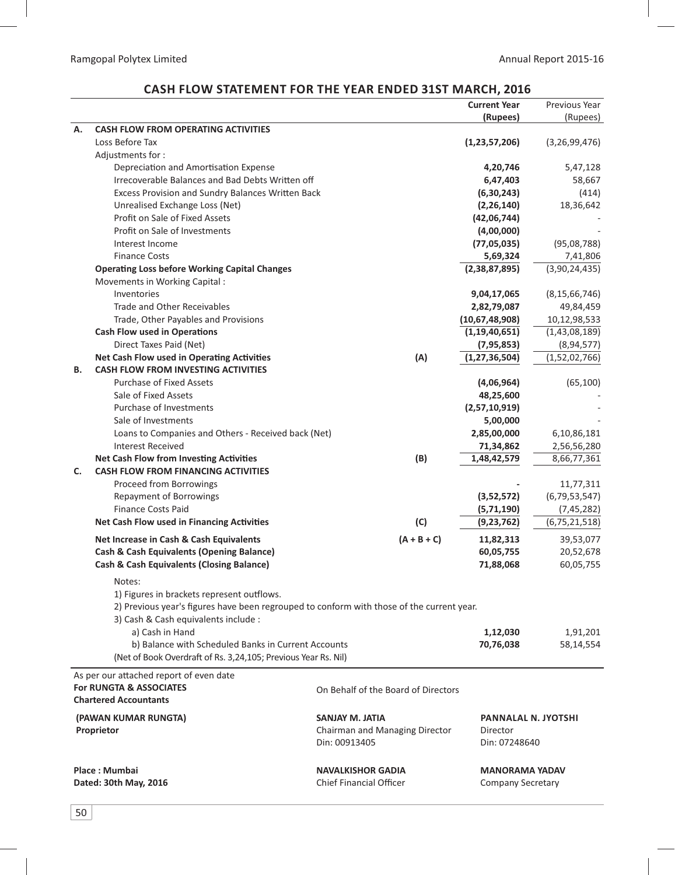### **CASH FLOW STATEMENT FOR THE YEAR ENDED 31ST MARCH, 2016**

|                                    |                                                                                              |                                                            | <b>Current Year</b>      | Previous Year    |
|------------------------------------|----------------------------------------------------------------------------------------------|------------------------------------------------------------|--------------------------|------------------|
|                                    |                                                                                              |                                                            | (Rupees)                 | (Rupees)         |
| Α.                                 | <b>CASH FLOW FROM OPERATING ACTIVITIES</b>                                                   |                                                            |                          |                  |
|                                    | Loss Before Tax                                                                              |                                                            | (1, 23, 57, 206)         | (3, 26, 99, 476) |
|                                    | Adjustments for :                                                                            |                                                            |                          |                  |
|                                    | Depreciation and Amortisation Expense                                                        |                                                            | 4,20,746                 | 5,47,128         |
|                                    | Irrecoverable Balances and Bad Debts Written off                                             |                                                            | 6,47,403                 | 58,667           |
|                                    | Excess Provision and Sundry Balances Written Back                                            |                                                            | (6, 30, 243)             | (414)            |
|                                    | Unrealised Exchange Loss (Net)                                                               |                                                            | (2, 26, 140)             | 18,36,642        |
|                                    | Profit on Sale of Fixed Assets                                                               |                                                            | (42,06,744)              |                  |
|                                    | Profit on Sale of Investments                                                                |                                                            | (4,00,000)               |                  |
|                                    | Interest Income                                                                              |                                                            | (77, 05, 035)            | (95,08,788)      |
|                                    | <b>Finance Costs</b>                                                                         |                                                            | 5,69,324                 | 7,41,806         |
|                                    | <b>Operating Loss before Working Capital Changes</b>                                         |                                                            | (2,38,87,895)            | (3,90,24,435)    |
|                                    | Movements in Working Capital :                                                               |                                                            |                          |                  |
|                                    | Inventories                                                                                  |                                                            | 9,04,17,065              | (8, 15, 66, 746) |
|                                    | Trade and Other Receivables                                                                  |                                                            | 2,82,79,087              | 49,84,459        |
|                                    | Trade, Other Payables and Provisions                                                         |                                                            | (10,67,48,908)           | 10,12,98,533     |
|                                    | <b>Cash Flow used in Operations</b>                                                          |                                                            | (1, 19, 40, 651)         | (1,43,08,189)    |
|                                    | Direct Taxes Paid (Net)                                                                      |                                                            | (7, 95, 853)             | (8, 94, 577)     |
|                                    | Net Cash Flow used in Operating Activities                                                   | (A)                                                        | (1, 27, 36, 504)         | (1,52,02,766)    |
| В.                                 | <b>CASH FLOW FROM INVESTING ACTIVITIES</b>                                                   |                                                            |                          |                  |
|                                    | <b>Purchase of Fixed Assets</b>                                                              |                                                            | (4,06,964)               | (65, 100)        |
|                                    | Sale of Fixed Assets                                                                         |                                                            | 48,25,600                |                  |
|                                    | Purchase of Investments                                                                      |                                                            | (2,57,10,919)            |                  |
|                                    | Sale of Investments                                                                          |                                                            | 5,00,000                 |                  |
|                                    |                                                                                              |                                                            |                          |                  |
|                                    | Loans to Companies and Others - Received back (Net)<br><b>Interest Received</b>              |                                                            | 2,85,00,000              | 6,10,86,181      |
|                                    |                                                                                              |                                                            | 71,34,862                | 2,56,56,280      |
|                                    | <b>Net Cash Flow from Investing Activities</b><br><b>CASH FLOW FROM FINANCING ACTIVITIES</b> | (B)                                                        | 1,48,42,579              | 8,66,77,361      |
| C.                                 |                                                                                              |                                                            |                          |                  |
|                                    | Proceed from Borrowings                                                                      |                                                            |                          | 11,77,311        |
|                                    | <b>Repayment of Borrowings</b><br><b>Finance Costs Paid</b>                                  |                                                            | (3,52,572)               | (6, 79, 53, 547) |
|                                    |                                                                                              |                                                            | (5,71,190)               | (7, 45, 282)     |
|                                    | Net Cash Flow used in Financing Activities                                                   | (C)                                                        | (9, 23, 762)             | (6, 75, 21, 518) |
|                                    | Net Increase in Cash & Cash Equivalents                                                      | $(A + B + C)$                                              | 11,82,313                | 39,53,077        |
|                                    | <b>Cash &amp; Cash Equivalents (Opening Balance)</b>                                         |                                                            | 60,05,755                | 20,52,678        |
|                                    | <b>Cash &amp; Cash Equivalents (Closing Balance)</b>                                         |                                                            | 71,88,068                | 60,05,755        |
|                                    | Notes:                                                                                       |                                                            |                          |                  |
|                                    | 1) Figures in brackets represent outflows.                                                   |                                                            |                          |                  |
|                                    | 2) Previous year's figures have been regrouped to conform with those of the current year.    |                                                            |                          |                  |
|                                    | 3) Cash & Cash equivalents include :                                                         |                                                            |                          |                  |
|                                    | a) Cash in Hand                                                                              |                                                            | 1,12,030                 | 1,91,201         |
|                                    | b) Balance with Scheduled Banks in Current Accounts                                          |                                                            | 70,76,038                | 58,14,554        |
|                                    | (Net of Book Overdraft of Rs. 3,24,105; Previous Year Rs. Nil)                               |                                                            |                          |                  |
|                                    |                                                                                              |                                                            |                          |                  |
|                                    | As per our attached report of even date                                                      |                                                            |                          |                  |
|                                    | For RUNGTA & ASSOCIATES                                                                      | On Behalf of the Board of Directors                        |                          |                  |
|                                    | <b>Chartered Accountants</b>                                                                 |                                                            |                          |                  |
| (PAWAN KUMAR RUNGTA)<br>Proprietor |                                                                                              | SANJAY M. JATIA                                            | PANNALAL N. JYOTSHI      |                  |
|                                    |                                                                                              | Chairman and Managing Director                             | Director                 |                  |
|                                    |                                                                                              | Din: 00913405                                              | Din: 07248640            |                  |
|                                    |                                                                                              |                                                            |                          |                  |
|                                    | Place: Mumbai                                                                                |                                                            |                          |                  |
|                                    |                                                                                              | <b>NAVALKISHOR GADIA</b><br><b>Chief Financial Officer</b> | <b>MANORAMA YADAV</b>    |                  |
|                                    | Dated: 30th May, 2016                                                                        |                                                            | <b>Company Secretary</b> |                  |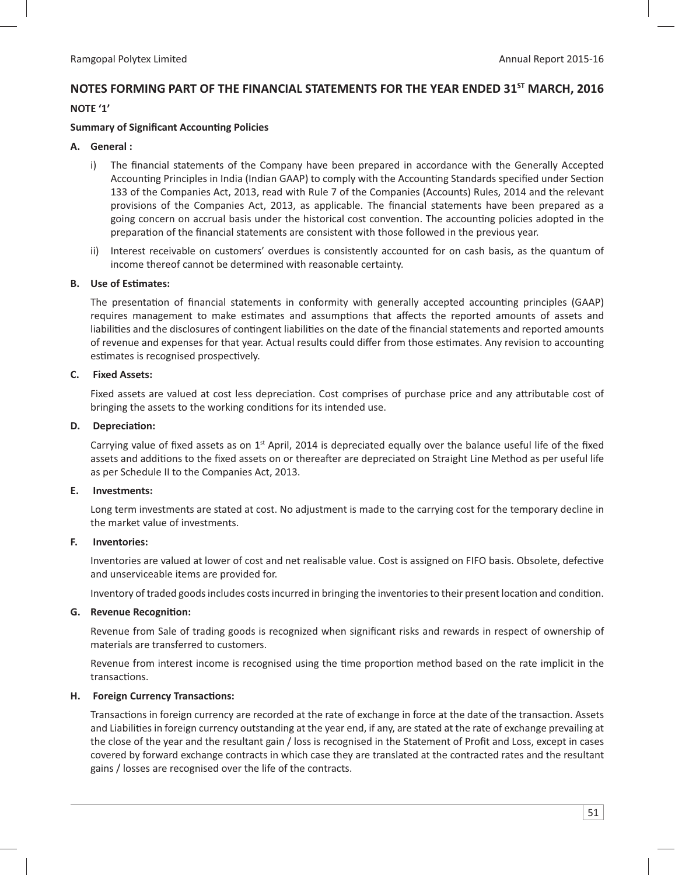### **NOTES FORMING PART OF THE FINANCIAL STATEMENTS FOR THE YEAR ENDED 31ST MARCH, 2016**

### **NOTE '1'**

### **Summary of Significant Accounting Policies**

### **A. General :**

- i) The financial statements of the Company have been prepared in accordance with the Generally Accepted Accounting Principles in India (Indian GAAP) to comply with the Accounting Standards specified under Section 133 of the Companies Act, 2013, read with Rule 7 of the Companies (Accounts) Rules, 2014 and the relevant provisions of the Companies Act, 2013, as applicable. The financial statements have been prepared as a going concern on accrual basis under the historical cost convention. The accounting policies adopted in the preparation of the financial statements are consistent with those followed in the previous year.
- ii) Interest receivable on customers' overdues is consistently accounted for on cash basis, as the quantum of income thereof cannot be determined with reasonable certainty.

### **B.** Use of Estimates:

The presentation of financial statements in conformity with generally accepted accounting principles (GAAP) requires management to make estimates and assumptions that affects the reported amounts of assets and liabilities and the disclosures of contingent liabilities on the date of the financial statements and reported amounts of revenue and expenses for that year. Actual results could differ from those estimates. Any revision to accounting estimates is recognised prospectively.

### **C. Fixed Assets:**

Fixed assets are valued at cost less depreciation. Cost comprises of purchase price and any attributable cost of bringing the assets to the working conditions for its intended use.

### **D.** Depreciation:

Carrying value of fixed assets as on  $1<sup>st</sup>$  April, 2014 is depreciated equally over the balance useful life of the fixed assets and additions to the fixed assets on or thereafter are depreciated on Straight Line Method as per useful life as per Schedule II to the Companies Act, 2013.

### **E. Investments:**

 Long term investments are stated at cost. No adjustment is made to the carrying cost for the temporary decline in the market value of investments.

### **F. Inventories:**

Inventories are valued at lower of cost and net realisable value. Cost is assigned on FIFO basis. Obsolete, defective and unserviceable items are provided for.

Inventory of traded goods includes costs incurred in bringing the inventories to their present location and condition.

### **G.** Revenue Recognition:

Revenue from Sale of trading goods is recognized when significant risks and rewards in respect of ownership of materials are transferred to customers.

Revenue from interest income is recognised using the time proportion method based on the rate implicit in the transactions.

### **H.** Foreign Currency Transactions:

Transactions in foreign currency are recorded at the rate of exchange in force at the date of the transaction. Assets and Liabilities in foreign currency outstanding at the year end, if any, are stated at the rate of exchange prevailing at the close of the year and the resultant gain / loss is recognised in the Statement of Profit and Loss, except in cases covered by forward exchange contracts in which case they are translated at the contracted rates and the resultant gains / losses are recognised over the life of the contracts.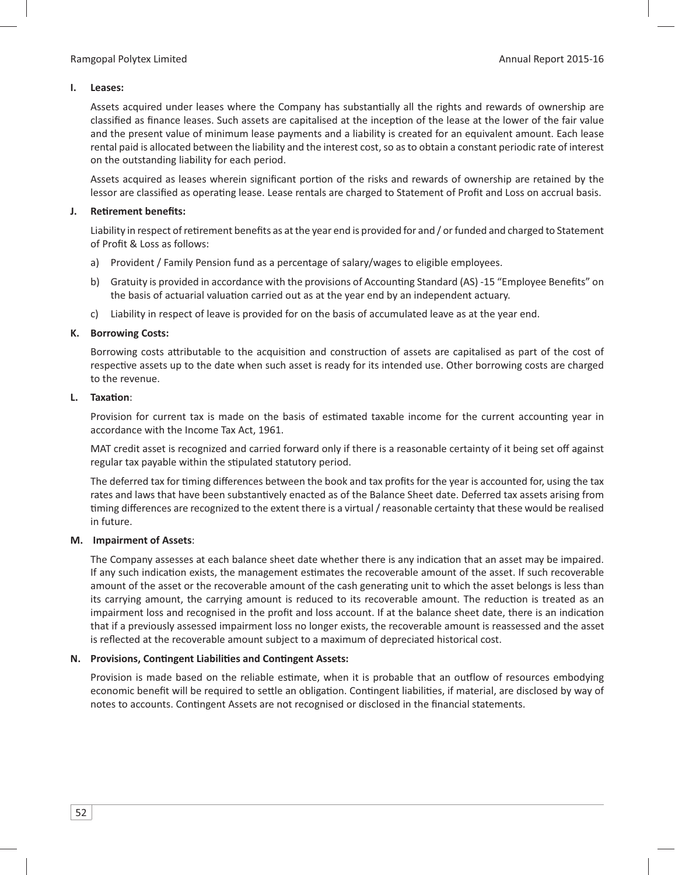### **I. Leases:**

Assets acquired under leases where the Company has substantially all the rights and rewards of ownership are classified as finance leases. Such assets are capitalised at the inception of the lease at the lower of the fair value and the present value of minimum lease payments and a liability is created for an equivalent amount. Each lease rental paid is allocated between the liability and the interest cost, so as to obtain a constant periodic rate of interest on the outstanding liability for each period.

Assets acquired as leases wherein significant portion of the risks and rewards of ownership are retained by the lessor are classified as operating lease. Lease rentals are charged to Statement of Profit and Loss on accrual basis.

### **J.** Retirement benefits:

Liability in respect of retirement benefits as at the year end is provided for and / or funded and charged to Statement of Profit & Loss as follows:

- a) Provident / Family Pension fund as a percentage of salary/wages to eligible employees.
- b) Gratuity is provided in accordance with the provisions of Accounting Standard (AS) -15 "Employee Benefits" on the basis of actuarial valuation carried out as at the year end by an independent actuary.
- c) Liability in respect of leave is provided for on the basis of accumulated leave as at the year end.

### **K. Borrowing Costs:**

Borrowing costs attributable to the acquisition and construction of assets are capitalised as part of the cost of respective assets up to the date when such asset is ready for its intended use. Other borrowing costs are charged to the revenue.

### **L.** Taxation:

Provision for current tax is made on the basis of estimated taxable income for the current accounting year in accordance with the Income Tax Act, 1961.

 MAT credit asset is recognized and carried forward only if there is a reasonable certainty of it being set off against regular tax payable within the stipulated statutory period.

The deferred tax for timing differences between the book and tax profits for the year is accounted for, using the tax rates and laws that have been substantively enacted as of the Balance Sheet date. Deferred tax assets arising from timing differences are recognized to the extent there is a virtual / reasonable certainty that these would be realised in future.

### **M. Impairment of Assets**:

The Company assesses at each balance sheet date whether there is any indication that an asset may be impaired. If any such indication exists, the management estimates the recoverable amount of the asset. If such recoverable amount of the asset or the recoverable amount of the cash generating unit to which the asset belongs is less than its carrying amount, the carrying amount is reduced to its recoverable amount. The reduction is treated as an impairment loss and recognised in the profit and loss account. If at the balance sheet date, there is an indication that if a previously assessed impairment loss no longer exists, the recoverable amount is reassessed and the asset is reflected at the recoverable amount subject to a maximum of depreciated historical cost.

### **N.** Provisions, Contingent Liabilities and Contingent Assets:

Provision is made based on the reliable estimate, when it is probable that an outflow of resources embodying economic benefit will be required to settle an obligation. Contingent liabilities, if material, are disclosed by way of notes to accounts. Contingent Assets are not recognised or disclosed in the financial statements.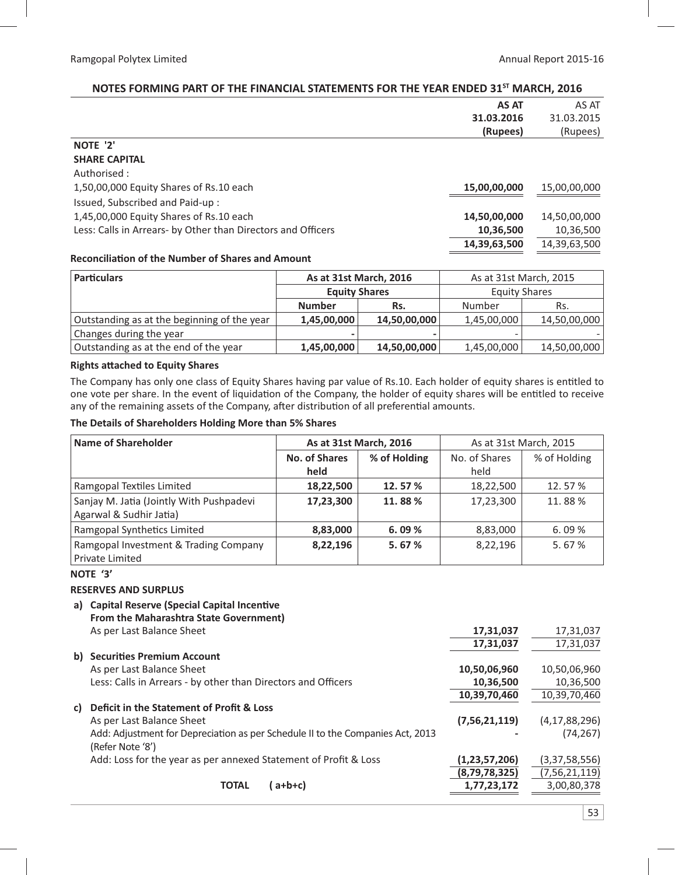### NOTES FORMING PART OF THE FINANCIAL STATEMENTS FOR THE YEAR ENDED 31<sup>ST</sup> MARCH, 2016

|                                                              | <b>AS AT</b> | AS AT        |
|--------------------------------------------------------------|--------------|--------------|
|                                                              | 31.03.2016   | 31.03.2015   |
|                                                              | (Rupees)     | (Rupees)     |
| NOTE '2'                                                     |              |              |
| <b>SHARE CAPITAL</b>                                         |              |              |
| Authorised:                                                  |              |              |
| 1,50,00,000 Equity Shares of Rs.10 each                      | 15,00,00,000 | 15,00,00,000 |
| Issued, Subscribed and Paid-up:                              |              |              |
| 1,45,00,000 Equity Shares of Rs.10 each                      | 14,50,00,000 | 14,50,00,000 |
| Less: Calls in Arrears- by Other than Directors and Officers | 10,36,500    | 10,36,500    |
|                                                              | 14,39,63,500 | 14,39,63,500 |

### **Reconciliation of the Number of Shares and Amount**

| <b>Particulars</b>                          |                      | As at 31st March, 2016 |                      | As at 31st March, 2015 |
|---------------------------------------------|----------------------|------------------------|----------------------|------------------------|
|                                             | <b>Equity Shares</b> |                        | <b>Equity Shares</b> |                        |
|                                             | <b>Number</b>        | Rs.                    | Number               | Rs.                    |
| Outstanding as at the beginning of the year | 1,45,00,000          | 14,50,00,000           | 1,45,00,000          | 14,50,00,000           |
| Changes during the year                     |                      |                        |                      |                        |
| Outstanding as at the end of the year       | 1,45,00,000          | 14,50,00,000           | 1,45,00,000          | 14,50,00,000           |

### **Rights attached to Equity Shares**

The Company has only one class of Equity Shares having par value of Rs.10. Each holder of equity shares is entitled to one vote per share. In the event of liquidation of the Company, the holder of equity shares will be entitled to receive any of the remaining assets of the Company, after distribution of all preferential amounts.

### **The Details of Shareholders Holding More than 5% Shares**

| Name of Shareholder                      | As at 31st March, 2016        |        | As at 31st March, 2015 |              |
|------------------------------------------|-------------------------------|--------|------------------------|--------------|
|                                          | No. of Shares<br>% of Holding |        | No. of Shares          | % of Holding |
|                                          | held                          |        | held                   |              |
| Ramgopal Textiles Limited                | 18,22,500                     | 12.57% | 18,22,500              | 12.57%       |
| Sanjay M. Jatia (Jointly With Pushpadevi | 17,23,300                     | 11.88% | 17,23,300              | 11.88%       |
| Agarwal & Sudhir Jatia)                  |                               |        |                        |              |
| Ramgopal Synthetics Limited              | 8,83,000                      | 6.09%  | 8,83,000               | 6.09%        |
| Ramgopal Investment & Trading Company    | 8,22,196                      | 5.67%  | 8,22,196               | 5.67%        |
| <b>Private Limited</b>                   |                               |        |                        |              |

### **NOTE '3'**

### **RESERVES AND SURPLUS**

- a) Capital Reserve (Special Capital Incentive
- **From the Maharashtra State Government)**

|    | As per Last Balance Sheet                                                                          | 17,31,037        | 17,31,037        |
|----|----------------------------------------------------------------------------------------------------|------------------|------------------|
|    |                                                                                                    | 17,31,037        | 17,31,037        |
|    | b) Securities Premium Account                                                                      |                  |                  |
|    | As per Last Balance Sheet                                                                          | 10,50,06,960     | 10,50,06,960     |
|    | Less: Calls in Arrears - by other than Directors and Officers                                      | 10,36,500        | 10,36,500        |
|    |                                                                                                    | 10,39,70,460     | 10,39,70,460     |
| c) | Deficit in the Statement of Profit & Loss                                                          |                  |                  |
|    | As per Last Balance Sheet                                                                          | (7, 56, 21, 119) | (4, 17, 88, 296) |
|    | Add: Adjustment for Depreciation as per Schedule II to the Companies Act, 2013<br>(Refer Note '8') |                  | (74, 267)        |
|    | Add: Loss for the year as per annexed Statement of Profit & Loss                                   | (1, 23, 57, 206) | (3,37,58,556)    |
|    |                                                                                                    | (8,79,78,325)    | (7,56,21,119)    |
|    | $a+b+c$<br><b>TOTAL</b>                                                                            | 1,77,23,172      | 3,00,80,378      |
|    |                                                                                                    |                  |                  |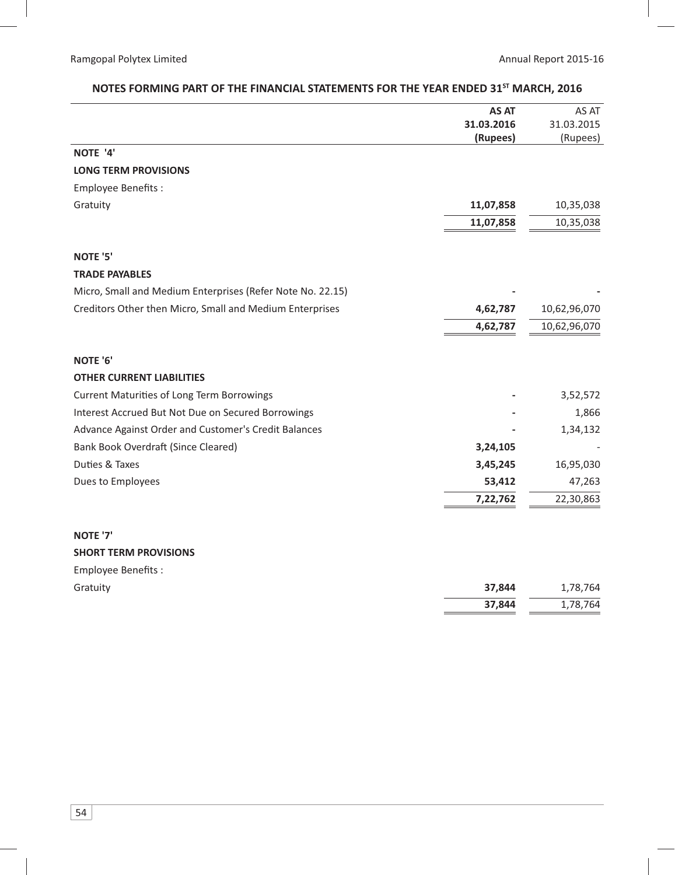|                                                            | <b>AS AT</b> | AS AT        |
|------------------------------------------------------------|--------------|--------------|
|                                                            | 31.03.2016   | 31.03.2015   |
|                                                            | (Rupees)     | (Rupees)     |
| NOTE '4'                                                   |              |              |
| <b>LONG TERM PROVISIONS</b>                                |              |              |
| <b>Employee Benefits:</b>                                  |              |              |
| Gratuity                                                   | 11,07,858    | 10,35,038    |
|                                                            | 11,07,858    | 10,35,038    |
| <b>NOTE '5'</b>                                            |              |              |
| <b>TRADE PAYABLES</b>                                      |              |              |
| Micro, Small and Medium Enterprises (Refer Note No. 22.15) |              |              |
| Creditors Other then Micro, Small and Medium Enterprises   | 4,62,787     | 10,62,96,070 |
|                                                            | 4,62,787     | 10,62,96,070 |
| NOTE '6'                                                   |              |              |
| <b>OTHER CURRENT LIABILITIES</b>                           |              |              |
| <b>Current Maturities of Long Term Borrowings</b>          |              | 3,52,572     |
| Interest Accrued But Not Due on Secured Borrowings         |              | 1,866        |
| Advance Against Order and Customer's Credit Balances       |              | 1,34,132     |
| Bank Book Overdraft (Since Cleared)                        | 3,24,105     |              |
| Duties & Taxes                                             | 3,45,245     | 16,95,030    |
| Dues to Employees                                          | 53,412       | 47,263       |
|                                                            | 7,22,762     | 22,30,863    |
| <b>NOTE '7'</b>                                            |              |              |
| <b>SHORT TERM PROVISIONS</b>                               |              |              |
| <b>Employee Benefits:</b>                                  |              |              |
| Gratuity                                                   | 37,844       | 1,78,764     |
|                                                            | 37,844       | 1,78,764     |
|                                                            |              |              |

## NOTES FORMING PART OF THE FINANCIAL STATEMENTS FOR THE YEAR ENDED 31<sup>ST</sup> MARCH, 2016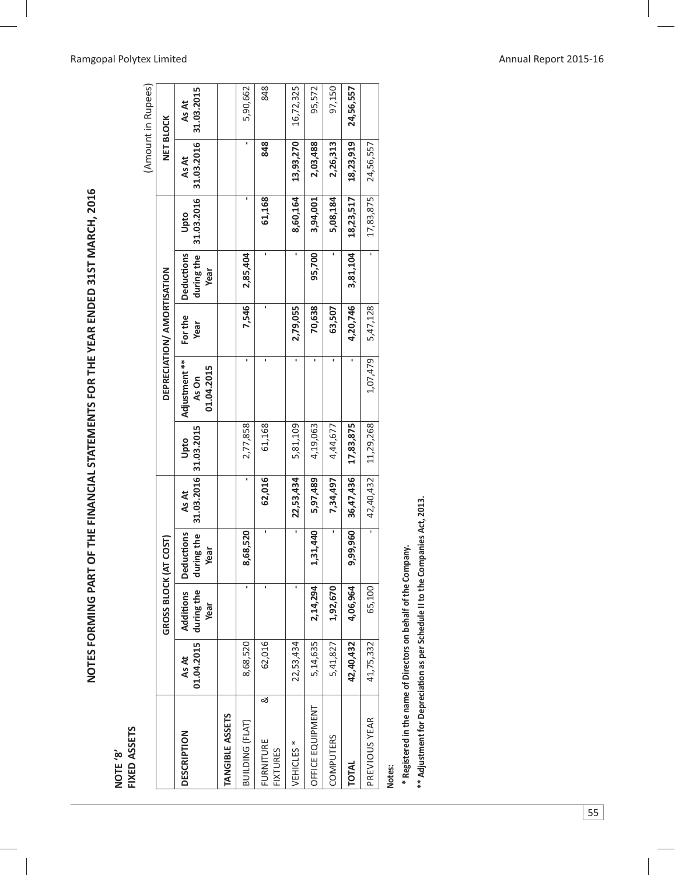# NOTES FORMING PART OF THE FINANCIAL STATEMENTS FOR THE YEAR ENDED 31ST MARCH, 2016 **NOTES FORMING PART OF THE FINANCIAL STATEMENTS FOR THE YEAR ENDED 31ST MARCH, 2016**

# NOTE '8'<br>FIXED ASSETS **FIXED ASSETS NOTE '8'**

|  | Amou |  |
|--|------|--|
|  |      |  |
|  |      |  |
|  |      |  |
|  |      |  |

|                                   |                     |                                 |                                         |                     |                    |                                      |                            |                                         |                    |                     | (Amount in Rupees)  |
|-----------------------------------|---------------------|---------------------------------|-----------------------------------------|---------------------|--------------------|--------------------------------------|----------------------------|-----------------------------------------|--------------------|---------------------|---------------------|
|                                   |                     | GROSS BLOCK (AT COST)           |                                         |                     |                    |                                      | DEPRECIATION/ AMORTISATION |                                         |                    | <b>NET BLOCK</b>    |                     |
| DESCRIPTION                       | 01.04.2015<br>As At | during the<br>Additions<br>Year | <b>Deductions</b><br>during the<br>Year | 31.03.2016<br>As At | 31.03.2015<br>Upto | Adjustment **<br>01.04.2015<br>As On | For the<br>Year            | <b>Deductions</b><br>during the<br>Year | 31.03.2016<br>Upto | 31.03.2016<br>As At | 31.03.2015<br>As At |
| <b>TANGIBLE ASSETS</b>            |                     |                                 |                                         |                     |                    |                                      |                            |                                         |                    |                     |                     |
| BUILDING (FLAT)                   | 8,68,520            |                                 | 8,68,520                                |                     | 2,77,858           |                                      | 7,546                      | 2,85,404                                |                    | ı                   | 5,90,662            |
| ∞<br>FURNITURE<br><b>FIXTURES</b> | 62,016              |                                 |                                         | 62,016              | 61,168             |                                      |                            |                                         | 61,168             | 848                 | 848                 |
| VEHICLES <sup>*</sup>             | 22,53,434           |                                 |                                         | 22,53,434           | 5,81,109           |                                      | 2,79,055                   |                                         | 8,60,164           | 13,93,270           | 16,72,325           |
| OFFICE EQUIPMENT                  | 5,14,635            | 2,14,294                        | 1,31,440                                | 5,97,489            | 4,19,063           |                                      | 70,638                     | 95,700                                  | 3,94,001           | 2,03,488            | 95,572              |
| <b>COMPUTERS</b>                  | 5,41,827            | 1,92,670                        |                                         | 7,34,497            | 4,44,677           |                                      | 63,507                     |                                         | 5,08,184           | 2,26,313            | 97,150              |
| TOTAL                             | 42,40,432           | 4,06,964                        | 9,99,960                                | 36,47,436           | 17,83,875          |                                      | 4,20,746                   | 3,81,104                                | 18,23,517          | 18,23,919           | 24,56,557           |
| PREVIOUS YEAR                     | 41,75,332           | 65,100                          |                                         | 42,40,432           | 11,29,268          | 1,07,479                             | 5,47,128                   | ı                                       | 17,83,875          | 24,56,557           |                     |

**Notes:**

\* Registered in the name of Directors on behalf of the Company.  **\* Registered in the name of Directors on behalf of the Company.**

\*\* Adjustment for Depreciation as per Schedule II to the Companies Act, 2013.  **on as per Schedule II to the Companies Act, 2013.\*\*** Adjustment for Depreciati

### Ramgopal Polytex Limited **Annual Report 2015-16** Annual Report 2015-16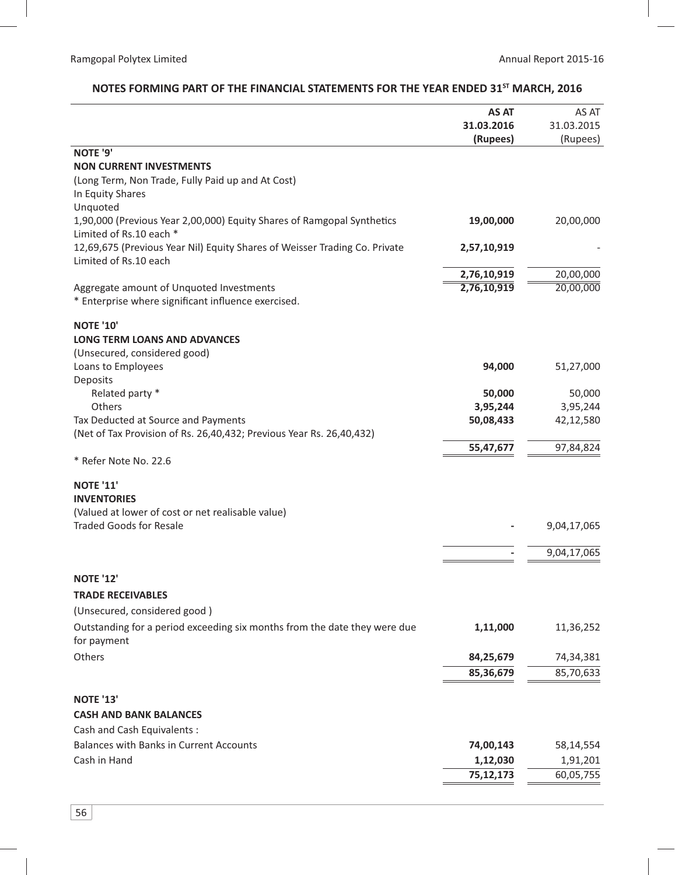# NOTES FORMING PART OF THE FINANCIAL STATEMENTS FOR THE YEAR ENDED 31<sup>ST</sup> MARCH, 2016

|                                                                            | <b>AS AT</b><br>31.03.2016<br>(Rupees) | AS AT<br>31.03.2015<br>(Rupees) |
|----------------------------------------------------------------------------|----------------------------------------|---------------------------------|
| NOTE '9'                                                                   |                                        |                                 |
| <b>NON CURRENT INVESTMENTS</b>                                             |                                        |                                 |
| (Long Term, Non Trade, Fully Paid up and At Cost)                          |                                        |                                 |
| In Equity Shares                                                           |                                        |                                 |
| Unquoted                                                                   |                                        |                                 |
| 1,90,000 (Previous Year 2,00,000) Equity Shares of Ramgopal Synthetics     | 19,00,000                              | 20,00,000                       |
| Limited of Rs.10 each *                                                    |                                        |                                 |
| 12,69,675 (Previous Year Nil) Equity Shares of Weisser Trading Co. Private | 2,57,10,919                            |                                 |
| Limited of Rs.10 each                                                      |                                        |                                 |
|                                                                            | 2,76,10,919                            | 20,00,000                       |
| Aggregate amount of Unquoted Investments                                   | 2,76,10,919                            | 20,00,000                       |
| * Enterprise where significant influence exercised.                        |                                        |                                 |
| <b>NOTE '10'</b>                                                           |                                        |                                 |
| <b>LONG TERM LOANS AND ADVANCES</b>                                        |                                        |                                 |
| (Unsecured, considered good)                                               |                                        |                                 |
| Loans to Employees                                                         | 94,000                                 | 51,27,000                       |
| Deposits                                                                   |                                        |                                 |
| Related party *                                                            | 50,000                                 | 50,000                          |
| Others                                                                     | 3,95,244                               | 3,95,244                        |
| Tax Deducted at Source and Payments                                        | 50,08,433                              | 42,12,580                       |
| (Net of Tax Provision of Rs. 26,40,432; Previous Year Rs. 26,40,432)       |                                        |                                 |
|                                                                            | 55,47,677                              | 97,84,824                       |
| * Refer Note No. 22.6                                                      |                                        |                                 |
| <b>NOTE '11'</b>                                                           |                                        |                                 |
| <b>INVENTORIES</b>                                                         |                                        |                                 |
| (Valued at lower of cost or net realisable value)                          |                                        |                                 |
| <b>Traded Goods for Resale</b>                                             |                                        | 9,04,17,065                     |
|                                                                            |                                        |                                 |
|                                                                            |                                        | 9,04,17,065                     |
| <b>NOTE '12'</b>                                                           |                                        |                                 |
| <b>TRADE RECEIVABLES</b>                                                   |                                        |                                 |
| (Unsecured, considered good)                                               |                                        |                                 |
| Outstanding for a period exceeding six months from the date they were due  | 1,11,000                               | 11,36,252                       |
| for payment                                                                |                                        |                                 |
| Others                                                                     |                                        |                                 |
|                                                                            | 84,25,679                              | 74,34,381                       |
|                                                                            | 85,36,679                              | 85,70,633                       |
| <b>NOTE '13'</b>                                                           |                                        |                                 |
|                                                                            |                                        |                                 |
| <b>CASH AND BANK BALANCES</b>                                              |                                        |                                 |
| Cash and Cash Equivalents:                                                 |                                        |                                 |
| <b>Balances with Banks in Current Accounts</b>                             | 74,00,143                              | 58,14,554                       |
| Cash in Hand                                                               | 1,12,030                               | 1,91,201                        |
|                                                                            | 75, 12, 173                            | 60,05,755                       |
|                                                                            |                                        |                                 |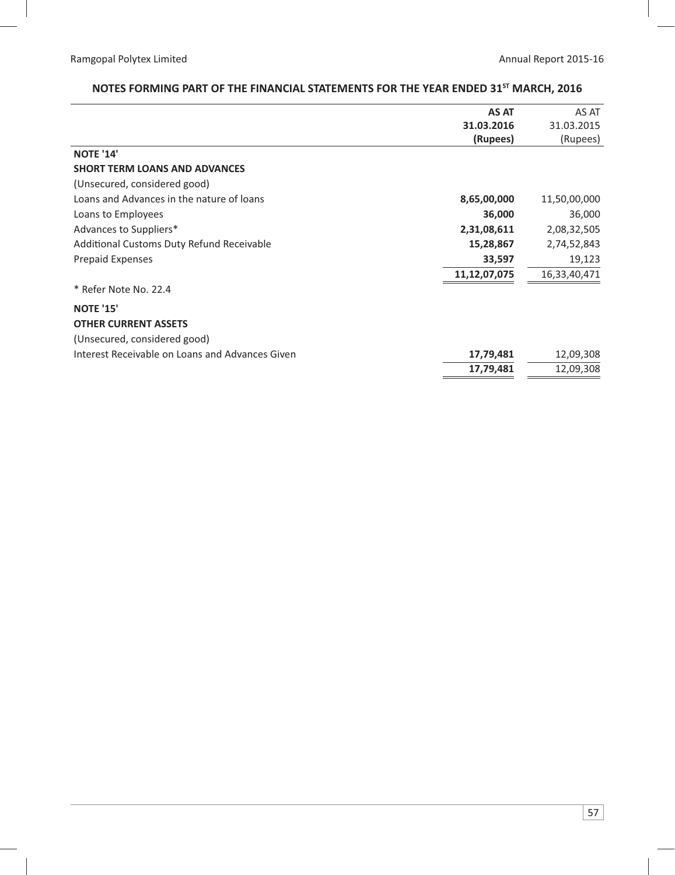## NOTES FORMING PART OF THE FINANCIAL STATEMENTS FOR THE YEAR ENDED 31<sup>ST</sup> MARCH, 2016

|                                                 | <b>AS AT</b> | AS AT        |
|-------------------------------------------------|--------------|--------------|
|                                                 | 31.03.2016   | 31.03.2015   |
|                                                 | (Rupees)     | (Rupees)     |
| <b>NOTE '14'</b>                                |              |              |
| <b>SHORT TERM LOANS AND ADVANCES</b>            |              |              |
| (Unsecured, considered good)                    |              |              |
| Loans and Advances in the nature of loans       | 8,65,00,000  | 11,50,00,000 |
| Loans to Employees                              | 36,000       | 36,000       |
| Advances to Suppliers*                          | 2,31,08,611  | 2,08,32,505  |
| Additional Customs Duty Refund Receivable       | 15,28,867    | 2,74,52,843  |
| <b>Prepaid Expenses</b>                         | 33,597       | 19,123       |
|                                                 | 11,12,07,075 | 16,33,40,471 |
| * Refer Note No. 22.4                           |              |              |
| <b>NOTE '15'</b>                                |              |              |
| <b>OTHER CURRENT ASSETS</b>                     |              |              |
| (Unsecured, considered good)                    |              |              |
| Interest Receivable on Loans and Advances Given | 17,79,481    | 12,09,308    |
|                                                 | 17,79,481    | 12,09,308    |
|                                                 |              |              |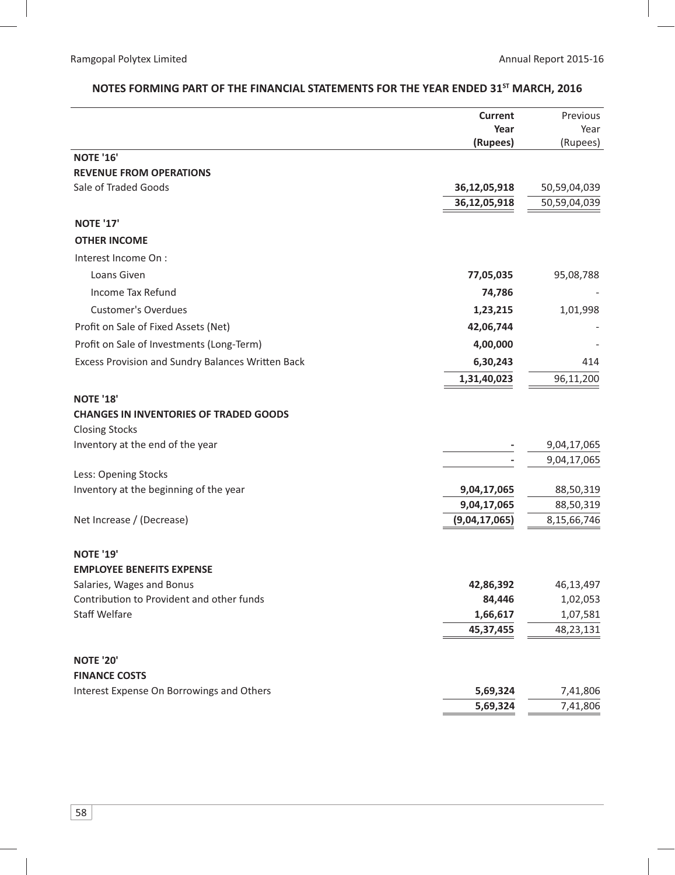### **NOTES FORMING PART OF THE FINANCIAL STATEMENTS FOR THE YEAR ENDED 31ST MARCH, 2016**

|                                                   | <b>Current</b> | Previous     |
|---------------------------------------------------|----------------|--------------|
|                                                   | Year           | Year         |
|                                                   | (Rupees)       | (Rupees)     |
| <b>NOTE '16'</b>                                  |                |              |
| <b>REVENUE FROM OPERATIONS</b>                    |                |              |
| Sale of Traded Goods                              | 36,12,05,918   | 50,59,04,039 |
|                                                   | 36,12,05,918   | 50,59,04,039 |
| <b>NOTE '17'</b>                                  |                |              |
| <b>OTHER INCOME</b>                               |                |              |
| Interest Income On:                               |                |              |
| Loans Given                                       | 77,05,035      | 95,08,788    |
| Income Tax Refund                                 | 74,786         |              |
| <b>Customer's Overdues</b>                        | 1,23,215       | 1,01,998     |
| Profit on Sale of Fixed Assets (Net)              | 42,06,744      |              |
| Profit on Sale of Investments (Long-Term)         | 4,00,000       |              |
| Excess Provision and Sundry Balances Written Back | 6,30,243       | 414          |
|                                                   | 1,31,40,023    | 96,11,200    |
| <b>NOTE '18'</b>                                  |                |              |
| <b>CHANGES IN INVENTORIES OF TRADED GOODS</b>     |                |              |
| <b>Closing Stocks</b>                             |                |              |
| Inventory at the end of the year                  |                | 9,04,17,065  |
|                                                   |                | 9,04,17,065  |
| Less: Opening Stocks                              |                |              |
| Inventory at the beginning of the year            | 9,04,17,065    | 88,50,319    |
|                                                   | 9,04,17,065    | 88,50,319    |
| Net Increase / (Decrease)                         | (9,04,17,065)  | 8,15,66,746  |
| <b>NOTE '19'</b>                                  |                |              |
| <b>EMPLOYEE BENEFITS EXPENSE</b>                  |                |              |
| Salaries, Wages and Bonus                         | 42,86,392      | 46,13,497    |
| Contribution to Provident and other funds         | 84,446         | 1,02,053     |
| <b>Staff Welfare</b>                              | 1,66,617       | 1,07,581     |
|                                                   | 45,37,455      | 48,23,131    |
|                                                   |                |              |
| <b>NOTE '20'</b>                                  |                |              |
| <b>FINANCE COSTS</b>                              |                |              |
| Interest Expense On Borrowings and Others         | 5,69,324       | 7,41,806     |
|                                                   | 5,69,324       | 7,41,806     |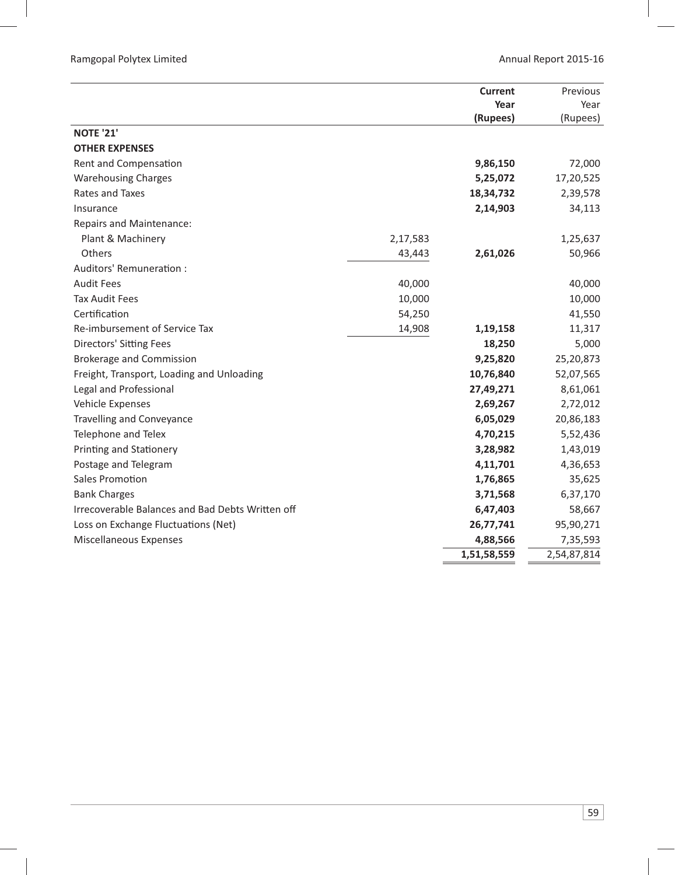|                                                  |          | <b>Current</b> | Previous    |
|--------------------------------------------------|----------|----------------|-------------|
|                                                  |          | Year           | Year        |
|                                                  |          | (Rupees)       | (Rupees)    |
| <b>NOTE '21'</b>                                 |          |                |             |
| <b>OTHER EXPENSES</b>                            |          |                |             |
| Rent and Compensation                            |          | 9,86,150       | 72,000      |
| <b>Warehousing Charges</b>                       |          | 5,25,072       | 17,20,525   |
| Rates and Taxes                                  |          | 18,34,732      | 2,39,578    |
| Insurance                                        |          | 2,14,903       | 34,113      |
| Repairs and Maintenance:                         |          |                |             |
| Plant & Machinery                                | 2,17,583 |                | 1,25,637    |
| Others                                           | 43,443   | 2,61,026       | 50,966      |
| Auditors' Remuneration:                          |          |                |             |
| <b>Audit Fees</b>                                | 40,000   |                | 40,000      |
| <b>Tax Audit Fees</b>                            | 10,000   |                | 10,000      |
| Certification                                    | 54,250   |                | 41,550      |
| Re-imbursement of Service Tax                    | 14,908   | 1,19,158       | 11,317      |
| <b>Directors' Sitting Fees</b>                   |          | 18,250         | 5,000       |
| <b>Brokerage and Commission</b>                  |          | 9,25,820       | 25,20,873   |
| Freight, Transport, Loading and Unloading        |          | 10,76,840      | 52,07,565   |
| Legal and Professional                           |          | 27,49,271      | 8,61,061    |
| Vehicle Expenses                                 |          | 2,69,267       | 2,72,012    |
| <b>Travelling and Conveyance</b>                 |          | 6,05,029       | 20,86,183   |
| <b>Telephone and Telex</b>                       |          | 4,70,215       | 5,52,436    |
| Printing and Stationery                          |          | 3,28,982       | 1,43,019    |
| Postage and Telegram                             |          | 4,11,701       | 4,36,653    |
| <b>Sales Promotion</b>                           |          | 1,76,865       | 35,625      |
| <b>Bank Charges</b>                              |          | 3,71,568       | 6,37,170    |
| Irrecoverable Balances and Bad Debts Written off |          | 6,47,403       | 58,667      |
| Loss on Exchange Fluctuations (Net)              |          | 26,77,741      | 95,90,271   |
| <b>Miscellaneous Expenses</b>                    |          | 4,88,566       | 7,35,593    |
|                                                  |          | 1,51,58,559    | 2,54,87,814 |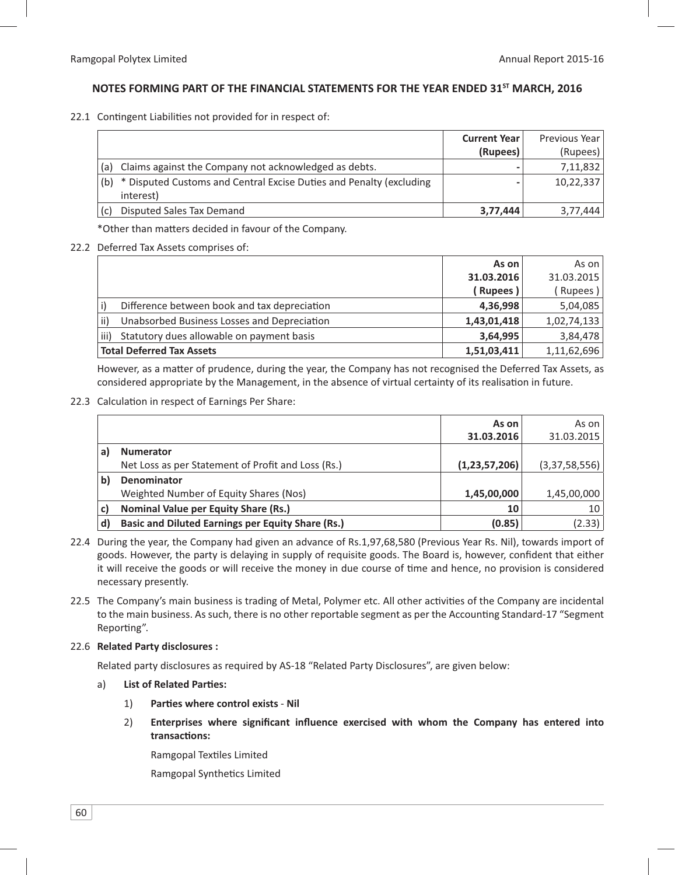### NOTES FORMING PART OF THE FINANCIAL STATEMENTS FOR THE YEAR ENDED 31<sup>5T</sup> MARCH, 2016

22.1 Contingent Liabilities not provided for in respect of:

|     |                                                                     | <b>Current Year</b> | Previous Year |
|-----|---------------------------------------------------------------------|---------------------|---------------|
|     |                                                                     | (Rupees)            | (Rupees)      |
| (a) | Claims against the Company not acknowledged as debts.               |                     | 7,11,832      |
| (b) | * Disputed Customs and Central Excise Duties and Penalty (excluding |                     | 10,22,337     |
|     | interest)                                                           |                     |               |
| (c) | Disputed Sales Tax Demand                                           | 3,77,444            | 3.77.444      |

\*Other than matters decided in favour of the Company.

### 22.2 Deferred Tax Assets comprises of:

|      |                                              | As on       | As on       |
|------|----------------------------------------------|-------------|-------------|
|      |                                              | 31.03.2016  | 31.03.2015  |
|      |                                              | (Rupees)    | (Rupees)    |
|      | Difference between book and tax depreciation | 4,36,998    | 5,04,085    |
| ii)  | Unabsorbed Business Losses and Depreciation  | 1,43,01,418 | 1,02,74,133 |
| iii) | Statutory dues allowable on payment basis    | 3,64,995    | 3,84,478    |
|      | <b>Total Deferred Tax Assets</b>             | 1,51,03,411 | 1,11,62,696 |

However, as a matter of prudence, during the year, the Company has not recognised the Deferred Tax Assets, as considered appropriate by the Management, in the absence of virtual certainty of its realisation in future.

22.3 Calculation in respect of Earnings Per Share:

|    |                                                          | As on            | As on         |
|----|----------------------------------------------------------|------------------|---------------|
|    |                                                          | 31.03.2016       | 31.03.2015    |
| a  | <b>Numerator</b>                                         |                  |               |
|    | Net Loss as per Statement of Profit and Loss (Rs.)       | (1, 23, 57, 206) | (3,37,58,556) |
| b  | <b>Denominator</b>                                       |                  |               |
|    | Weighted Number of Equity Shares (Nos)                   | 1,45,00,000      | 1,45,00,000   |
| c) | <b>Nominal Value per Equity Share (Rs.)</b>              | 10               | 10            |
| d) | <b>Basic and Diluted Earnings per Equity Share (Rs.)</b> | (0.85)           | (2.33)        |

- 22.4 During the year, the Company had given an advance of Rs.1,97,68,580 (Previous Year Rs. Nil), towards import of goods. However, the party is delaying in supply of requisite goods. The Board is, however, confident that either it will receive the goods or will receive the money in due course of time and hence, no provision is considered necessary presently.
- 22.5 The Company's main business is trading of Metal, Polymer etc. All other activities of the Company are incidental to the main business. As such, there is no other reportable segment as per the Accounting Standard-17 "Segment Reporting".

### 22.6 **Related Party disclosures :**

Related party disclosures as required by AS-18 "Related Party Disclosures", are given below:

### a) List of Related Parties:

- 1) Parties where control exists Nil
- 2) Enterprises where significant influence exercised with whom the Company has entered into  $transactions:$

Ramgopal Textiles Limited

Ramgopal Synthetics Limited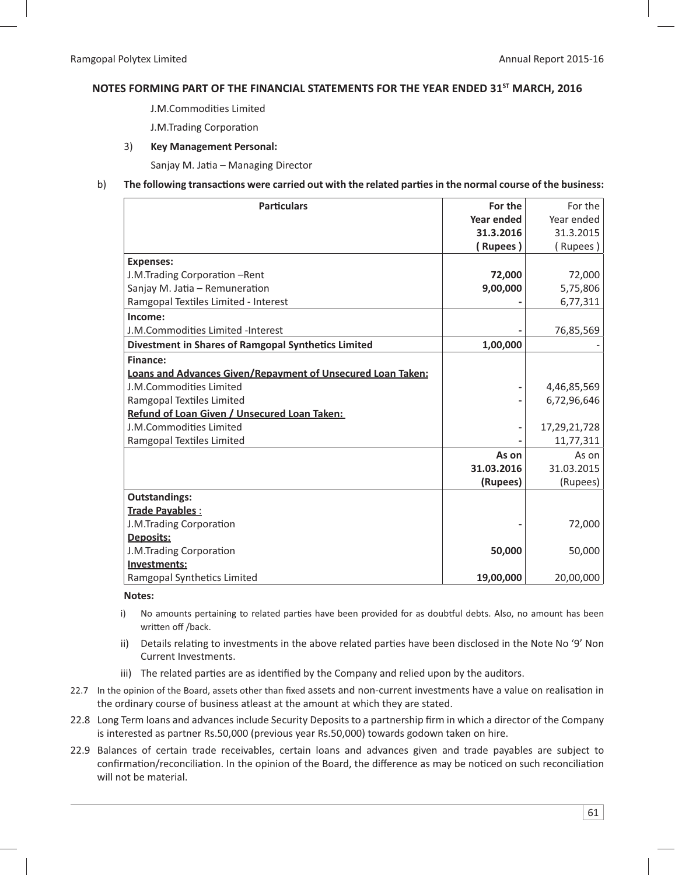### NOTES FORMING PART OF THE FINANCIAL STATEMENTS FOR THE YEAR ENDED 31<sup>5T</sup> MARCH, 2016

J.M.Commodities Limited

J.M.Trading Corporation

### 3) **Key Management Personal:**

Sanjay M. Jatia - Managing Director

### b) The following transactions were carried out with the related parties in the normal course of the business:

| <b>Particulars</b>                                          | For the    | For the      |
|-------------------------------------------------------------|------------|--------------|
|                                                             | Year ended | Year ended   |
|                                                             | 31.3.2016  | 31.3.2015    |
|                                                             | (Rupees)   | (Rupees)     |
| <b>Expenses:</b>                                            |            |              |
| J.M.Trading Corporation -Rent                               | 72,000     | 72,000       |
| Sanjay M. Jatia - Remuneration                              | 9,00,000   | 5,75,806     |
| Ramgopal Textiles Limited - Interest                        |            | 6,77,311     |
| Income:                                                     |            |              |
| <b>J.M.Commodities Limited -Interest</b>                    |            | 76,85,569    |
| Divestment in Shares of Ramgopal Synthetics Limited         | 1,00,000   |              |
| Finance:                                                    |            |              |
| Loans and Advances Given/Repayment of Unsecured Loan Taken: |            |              |
| <b>J.M.Commodities Limited</b>                              |            | 4,46,85,569  |
| Ramgopal Textiles Limited                                   |            | 6,72,96,646  |
| Refund of Loan Given / Unsecured Loan Taken:                |            |              |
| <b>J.M.Commodities Limited</b>                              |            | 17,29,21,728 |
| Ramgopal Textiles Limited                                   |            | 11,77,311    |
|                                                             | As on      | As on        |
|                                                             | 31.03.2016 | 31.03.2015   |
|                                                             | (Rupees)   | (Rupees)     |
| <b>Outstandings:</b>                                        |            |              |
| Trade Payables:                                             |            |              |
| J.M.Trading Corporation                                     |            | 72,000       |
| Deposits:                                                   |            |              |
| J.M.Trading Corporation                                     | 50,000     | 50,000       |
| Investments:                                                |            |              |
| Ramgopal Synthetics Limited                                 | 19,00,000  | 20,00,000    |

### **Notes:**

- i) No amounts pertaining to related parties have been provided for as doubtful debts. Also, no amount has been written off /back.
- ii) Details relating to investments in the above related parties have been disclosed in the Note No '9' Non Current Investments.
- iii) The related parties are as identified by the Company and relied upon by the auditors.
- 22.7 In the opinion of the Board, assets other than fixed assets and non-current investments have a value on realisation in the ordinary course of business atleast at the amount at which they are stated.
- 22.8 Long Term loans and advances include Security Deposits to a partnership firm in which a director of the Company is interested as partner Rs.50,000 (previous year Rs.50,000) towards godown taken on hire.
- 22.9 Balances of certain trade receivables, certain loans and advances given and trade payables are subject to confirmation/reconciliation. In the opinion of the Board, the difference as may be noticed on such reconciliation will not be material.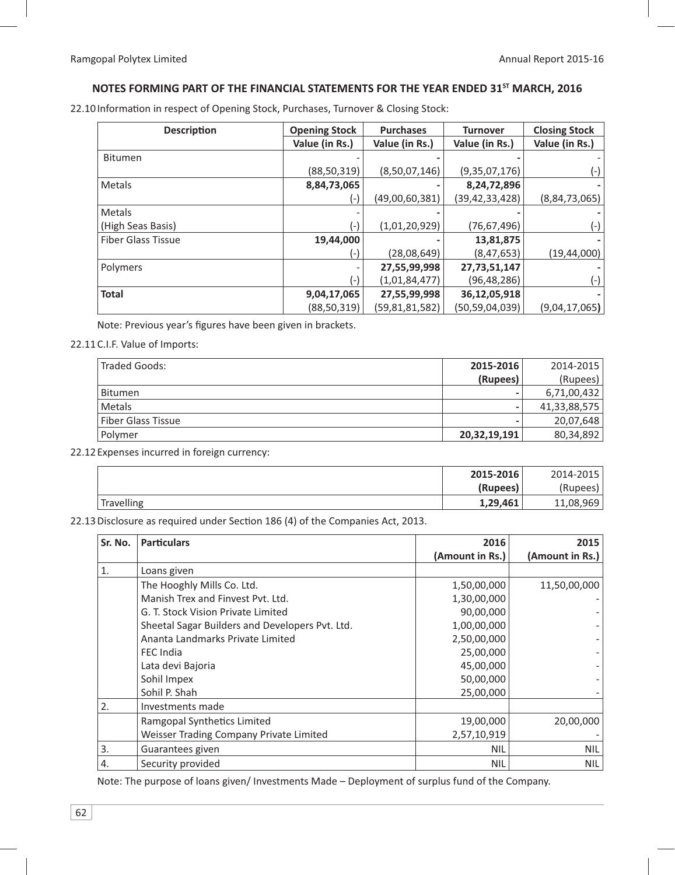### **NOTES FORMING PART OF THE FINANCIAL STATEMENTS FOR THE YEAR ENDED 31ST MARCH, 2016**

22.10 Information in respect of Opening Stock, Purchases, Turnover & Closing Stock:

| <b>Description</b>        | <b>Opening Stock</b> | <b>Purchases</b> | <b>Turnover</b>   | <b>Closing Stock</b>  |
|---------------------------|----------------------|------------------|-------------------|-----------------------|
|                           | Value (in Rs.)       | Value (in Rs.)   | Value (in Rs.)    | Value (in Rs.)        |
| Bitumen                   |                      |                  |                   |                       |
|                           | (88, 50, 319)        | (8,50,07,146)    | (9,35,07,176)     | ( – )                 |
| <b>Metals</b>             | 8,84,73,065          |                  | 8,24,72,896       |                       |
|                           | (-)                  | (49,00,60,381)   | (39, 42, 33, 428) | (8,84,73,065)         |
| <b>Metals</b>             |                      |                  |                   |                       |
| (High Seas Basis)         | (-)                  | (1,01,20,929)    | (76, 67, 496)     |                       |
| <b>Fiber Glass Tissue</b> | 19,44,000            |                  | 13,81,875         |                       |
|                           | (-)                  | (28,08,649)      | (8, 47, 653)      | (19, 44, 000)         |
| Polymers                  |                      | 27,55,99,998     | 27,73,51,147      |                       |
|                           | (-)                  | (1,01,84,477)    | (96, 48, 286)     |                       |
| <b>Total</b>              | 9,04,17,065          | 27,55,99,998     | 36, 12, 05, 918   |                       |
|                           | (88, 50, 319)        | (59,81,81,582)   | (50,59,04,039)    | (9,04,17,065 <b>)</b> |

Note: Previous year's figures have been given in brackets.

### 22.11 C.I.F. Value of Imports:

| Traded Goods:             | 2015-2016                | 2014-2015    |
|---------------------------|--------------------------|--------------|
|                           | (Rupees)                 | (Rupees)     |
| <b>Bitumen</b>            | $\overline{\phantom{a}}$ | 6,71,00,432  |
| <b>Metals</b>             | -                        | 41,33,88,575 |
| <b>Fiber Glass Tissue</b> | -                        | 20,07,648    |
| Polymer                   | 20,32,19,191             | 80,34,892    |

22.12 Expenses incurred in foreign currency:

|            | 2015-2016 | 2014-2015 |
|------------|-----------|-----------|
|            | (Rupees)  | (Rupees)  |
| Travelling | 1,29,461  | 11,08,969 |

22.13 Disclosure as required under Section 186 (4) of the Companies Act, 2013.

| Sr. No. | <b>Particulars</b>                              | 2016            | 2015            |
|---------|-------------------------------------------------|-----------------|-----------------|
|         |                                                 | (Amount in Rs.) | (Amount in Rs.) |
| 1.      | Loans given                                     |                 |                 |
|         | The Hooghly Mills Co. Ltd.                      | 1,50,00,000     | 11,50,00,000    |
|         | Manish Trex and Finvest Pyt. Ltd.               | 1,30,00,000     |                 |
|         | G. T. Stock Vision Private Limited              | 90,00,000       |                 |
|         | Sheetal Sagar Builders and Developers Pvt. Ltd. | 1,00,00,000     |                 |
|         | Ananta Landmarks Private Limited                | 2,50,00,000     |                 |
|         | FEC India                                       | 25,00,000       |                 |
|         | Lata devi Bajoria                               | 45,00,000       |                 |
|         | Sohil Impex                                     | 50,00,000       |                 |
|         | Sohil P. Shah                                   | 25,00,000       |                 |
| 2.      | Investments made                                |                 |                 |
|         | Ramgopal Synthetics Limited                     | 19,00,000       | 20,00,000       |
|         | Weisser Trading Company Private Limited         | 2,57,10,919     |                 |
| 3.      | Guarantees given                                | <b>NIL</b>      | <b>NIL</b>      |
| 4.      | Security provided                               | <b>NIL</b>      | <b>NIL</b>      |

Note: The purpose of loans given/ Investments Made – Deployment of surplus fund of the Company.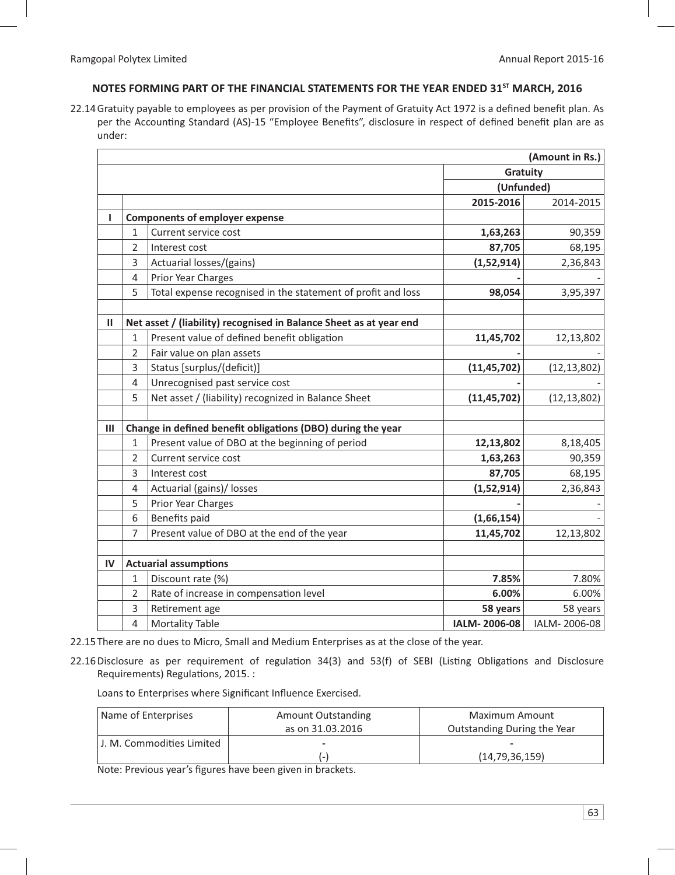### **NOTES FORMING PART OF THE FINANCIAL STATEMENTS FOR THE YEAR ENDED 31ST MARCH, 2016**

22.14 Gratuity payable to employees as per provision of the Payment of Gratuity Act 1972 is a defined benefit plan. As per the Accounting Standard (AS)-15 "Employee Benefits", disclosure in respect of defined benefit plan are as under:

|              | (Amount in Rs.) |                                                                    |               |               |
|--------------|-----------------|--------------------------------------------------------------------|---------------|---------------|
|              | <b>Gratuity</b> |                                                                    |               |               |
|              |                 |                                                                    | (Unfunded)    |               |
|              |                 |                                                                    | 2015-2016     | 2014-2015     |
|              |                 | <b>Components of employer expense</b>                              |               |               |
|              | $\mathbf{1}$    | Current service cost                                               | 1,63,263      | 90,359        |
|              | $\overline{2}$  | Interest cost                                                      | 87,705        | 68,195        |
|              | 3               | Actuarial losses/(gains)                                           | (1,52,914)    | 2,36,843      |
|              | 4               | Prior Year Charges                                                 |               |               |
|              | 5               | Total expense recognised in the statement of profit and loss       | 98,054        | 3,95,397      |
|              |                 |                                                                    |               |               |
| $\mathbf{u}$ |                 | Net asset / (liability) recognised in Balance Sheet as at year end |               |               |
|              | 1               | Present value of defined benefit obligation                        | 11,45,702     | 12,13,802     |
|              | 2               | Fair value on plan assets                                          |               |               |
|              | 3               | Status [surplus/(deficit)]                                         | (11, 45, 702) | (12, 13, 802) |
|              | 4               | Unrecognised past service cost                                     |               |               |
|              | 5               | Net asset / (liability) recognized in Balance Sheet                | (11, 45, 702) | (12, 13, 802) |
|              |                 |                                                                    |               |               |
| III          |                 | Change in defined benefit obligations (DBO) during the year        |               |               |
|              | 1               | Present value of DBO at the beginning of period                    | 12,13,802     | 8,18,405      |
|              | 2               | Current service cost                                               | 1,63,263      | 90,359        |
|              | 3               | Interest cost                                                      | 87,705        | 68,195        |
|              | 4               | Actuarial (gains)/ losses                                          | (1,52,914)    | 2,36,843      |
|              | 5               | Prior Year Charges                                                 |               |               |
|              | 6               | <b>Benefits paid</b>                                               | (1,66,154)    |               |
|              | 7               | Present value of DBO at the end of the year                        | 11,45,702     | 12,13,802     |
|              |                 |                                                                    |               |               |
| IV           |                 | <b>Actuarial assumptions</b>                                       |               |               |
|              | $\mathbf{1}$    | Discount rate (%)                                                  | 7.85%         | 7.80%         |
|              | 2               | Rate of increase in compensation level                             | 6.00%         | 6.00%         |
|              | 3               | Retirement age                                                     | 58 years      | 58 years      |
|              | 4               | <b>Mortality Table</b>                                             | IALM-2006-08  | IALM-2006-08  |

- 22.15 There are no dues to Micro, Small and Medium Enterprises as at the close of the year.
- 22.16 Disclosure as per requirement of regulation 34(3) and 53(f) of SEBI (Listing Obligations and Disclosure Requirements) Regulations, 2015. :

Loans to Enterprises where Significant Influence Exercised.

| Name of Enterprises       | Amount Outstanding | Maximum Amount              |
|---------------------------|--------------------|-----------------------------|
|                           | as on 31.03.2016   | Outstanding During the Year |
| J. M. Commodities Limited |                    |                             |
|                           |                    | (14, 79, 36, 159)           |
| $\mathbf{r}$<br>.         |                    |                             |

Note: Previous year's figures have been given in brackets.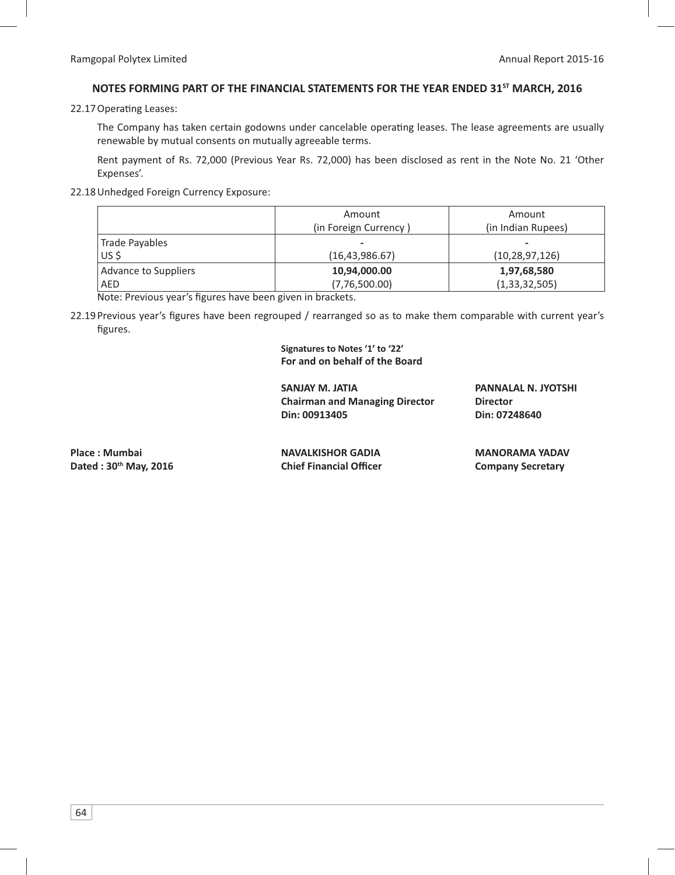### NOTES FORMING PART OF THE FINANCIAL STATEMENTS FOR THE YEAR ENDED 31<sup>5T</sup> MARCH, 2016

22.17 Operating Leases:

The Company has taken certain godowns under cancelable operating leases. The lease agreements are usually renewable by mutual consents on mutually agreeable terms.

 Rent payment of Rs. 72,000 (Previous Year Rs. 72,000) has been disclosed as rent in the Note No. 21 'Other Expenses'.

22.18 Unhedged Foreign Currency Exposure:

|                      | Amount                | Amount             |
|----------------------|-----------------------|--------------------|
|                      | (in Foreign Currency) | (in Indian Rupees) |
| Trade Payables       |                       |                    |
| US\$                 | (16, 43, 986.67)      | (10, 28, 97, 126)  |
| Advance to Suppliers | 10,94,000.00          | 1,97,68,580        |
| AED                  | (7,76,500.00)         | (1, 33, 32, 505)   |

Note: Previous year's figures have been given in brackets.

22.19 Previous year's figures have been regrouped / rearranged so as to make them comparable with current year's figures.

> **Signatures to Notes '1' to '22' For and on behalf of the Board**

**SANJAY M. JATIA PANNALAL N. JYOTSHI Chairman and Managing Director Director Din: 00913405 Din: 07248640**

**Place : Mumbai NAVALKISHOR GADIA MANORAMA YADAV**

Dated : 30<sup>th</sup> May, 2016 **Chief Financial Officer** Company Secretary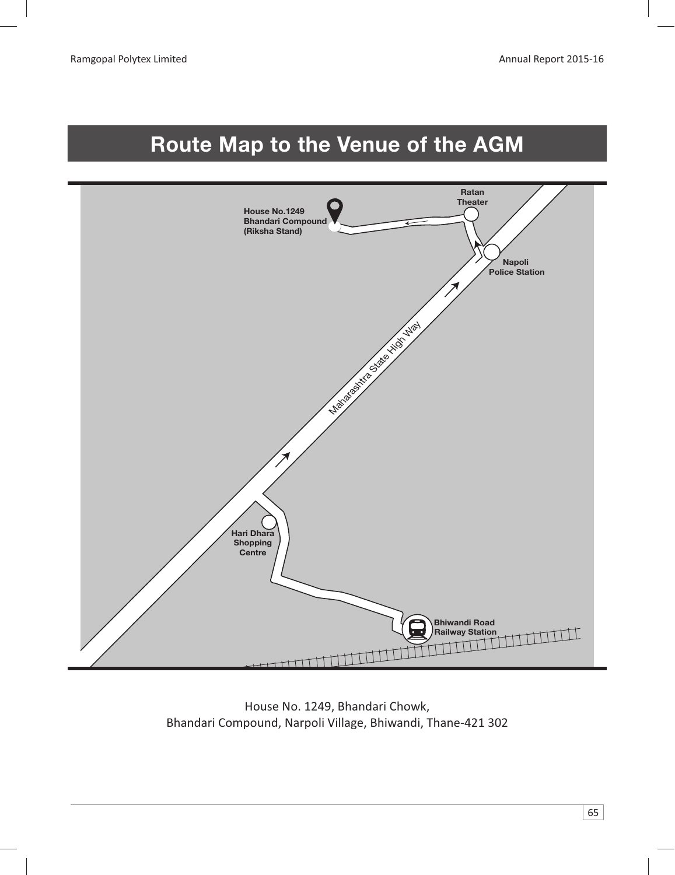# **Route Map to the Venue of the AGM**



House No. 1249, Bhandari Chowk, Bhandari Compound, Narpoli Village, Bhiwandi, Thane-421 302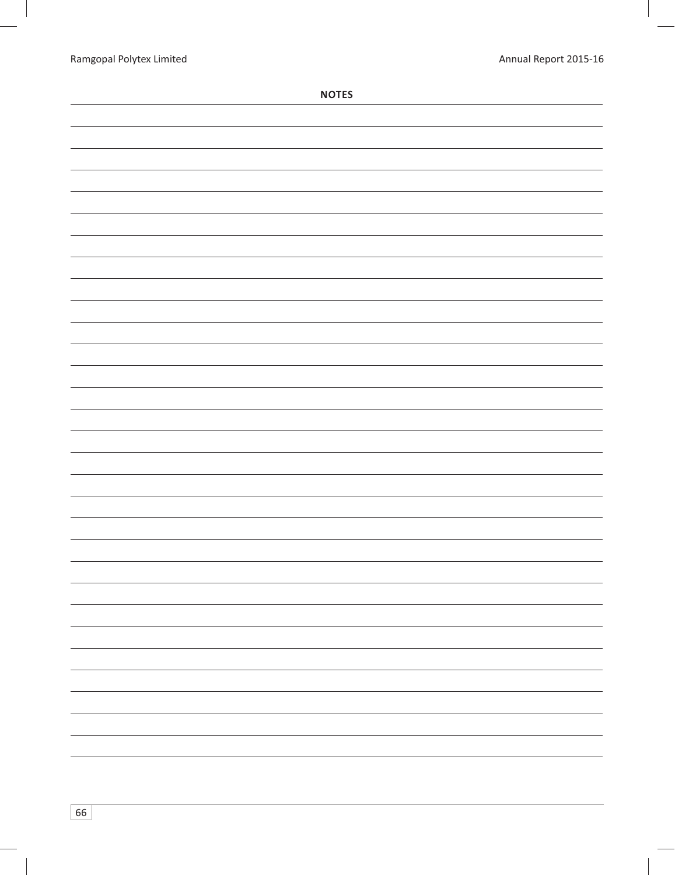**NOTES**

| 1101LJ                   |
|--------------------------|
|                          |
|                          |
|                          |
|                          |
|                          |
|                          |
|                          |
|                          |
|                          |
|                          |
|                          |
|                          |
|                          |
|                          |
|                          |
|                          |
|                          |
|                          |
|                          |
|                          |
|                          |
|                          |
|                          |
|                          |
|                          |
|                          |
|                          |
|                          |
| ۰                        |
| $\overline{\phantom{0}}$ |
|                          |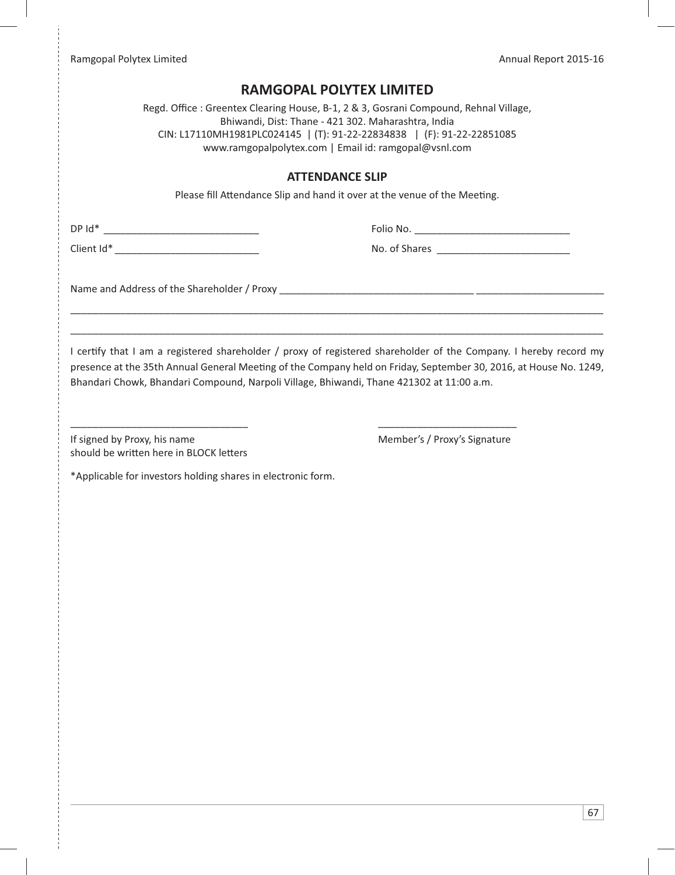| Ramgopal Polytex Limited                                                                                                 | Annual Report 2015-16                                                                                                                                                                                                                                                           |
|--------------------------------------------------------------------------------------------------------------------------|---------------------------------------------------------------------------------------------------------------------------------------------------------------------------------------------------------------------------------------------------------------------------------|
|                                                                                                                          | <b>RAMGOPAL POLYTEX LIMITED</b>                                                                                                                                                                                                                                                 |
|                                                                                                                          | Regd. Office : Greentex Clearing House, B-1, 2 & 3, Gosrani Compound, Rehnal Village,<br>Bhiwandi, Dist: Thane - 421 302. Maharashtra, India<br>CIN: L17110MH1981PLC024145   (T): 91-22-22834838   (F): 91-22-22851085<br>www.ramgopalpolytex.com   Email id: ramgopal@vsnl.com |
|                                                                                                                          | <b>ATTENDANCE SLIP</b>                                                                                                                                                                                                                                                          |
|                                                                                                                          | Please fill Attendance Slip and hand it over at the venue of the Meeting.                                                                                                                                                                                                       |
|                                                                                                                          |                                                                                                                                                                                                                                                                                 |
|                                                                                                                          |                                                                                                                                                                                                                                                                                 |
|                                                                                                                          |                                                                                                                                                                                                                                                                                 |
| Bhandari Chowk, Bhandari Compound, Narpoli Village, Bhiwandi, Thane 421302 at 11:00 a.m.<br>If signed by Proxy, his name | I certify that I am a registered shareholder / proxy of registered shareholder of the Company. I hereby record my<br>presence at the 35th Annual General Meeting of the Company held on Friday, September 30, 2016, at House No. 1249,<br>Member's / Proxy's Signature          |
| should be written here in BLOCK letters<br>*Applicable for investors holding shares in electronic form.                  |                                                                                                                                                                                                                                                                                 |
|                                                                                                                          |                                                                                                                                                                                                                                                                                 |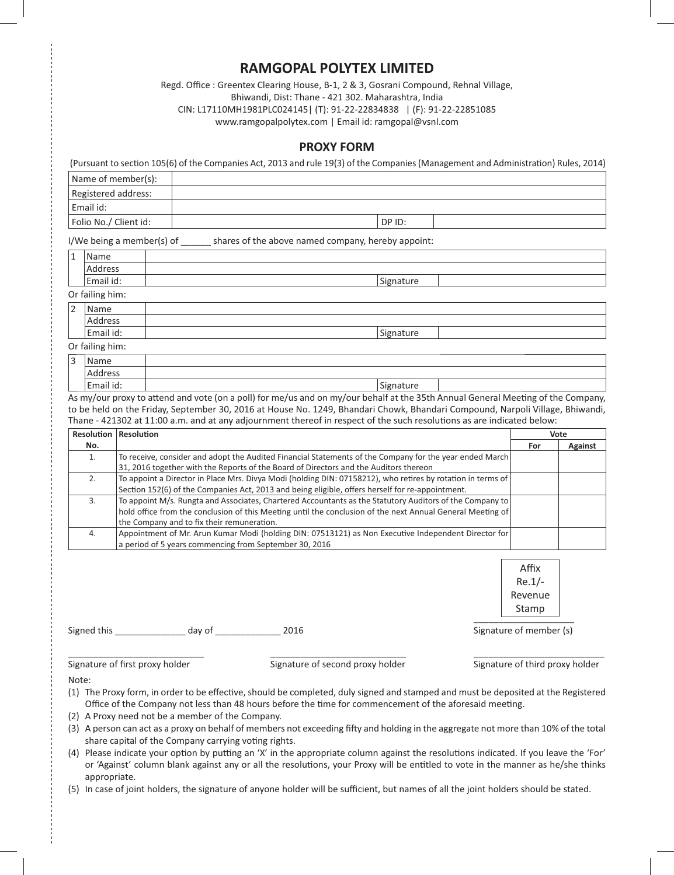### **RAMGOPAL POLYTEX LIMITED**

Regd. Office : Greentex Clearing House, B-1, 2 & 3, Gosrani Compound, Rehnal Village, Bhiwandi, Dist: Thane - 421 302. Maharashtra, India CIN: L17110MH1981PLC024145| (T): 91-22-22834838 | (F): 91-22-22851085 www.ramgopalpolytex.com | Email id: ramgopal@vsnl.com

### **PROXY FORM**

|                                 |                                                                                                                                                                                                                        |                                                                                                                                                                                                  |                                                                                     |  |                                  |  |           | (Pursuant to section 105(6) of the Companies Act, 2013 and rule 19(3) of the Companies (Management and Administration) Rules, 2014)                                                                                                                                                                                                                                                   |                                       |         |  |
|---------------------------------|------------------------------------------------------------------------------------------------------------------------------------------------------------------------------------------------------------------------|--------------------------------------------------------------------------------------------------------------------------------------------------------------------------------------------------|-------------------------------------------------------------------------------------|--|----------------------------------|--|-----------|---------------------------------------------------------------------------------------------------------------------------------------------------------------------------------------------------------------------------------------------------------------------------------------------------------------------------------------------------------------------------------------|---------------------------------------|---------|--|
|                                 | Name of member(s):                                                                                                                                                                                                     |                                                                                                                                                                                                  |                                                                                     |  |                                  |  |           |                                                                                                                                                                                                                                                                                                                                                                                       |                                       |         |  |
|                                 | Registered address:                                                                                                                                                                                                    |                                                                                                                                                                                                  |                                                                                     |  |                                  |  |           |                                                                                                                                                                                                                                                                                                                                                                                       |                                       |         |  |
| Email id:                       |                                                                                                                                                                                                                        |                                                                                                                                                                                                  |                                                                                     |  |                                  |  |           |                                                                                                                                                                                                                                                                                                                                                                                       |                                       |         |  |
| Folio No./ Client id:           |                                                                                                                                                                                                                        |                                                                                                                                                                                                  |                                                                                     |  |                                  |  | DP ID:    |                                                                                                                                                                                                                                                                                                                                                                                       |                                       |         |  |
|                                 |                                                                                                                                                                                                                        |                                                                                                                                                                                                  | I/We being a member(s) of ______ shares of the above named company, hereby appoint: |  |                                  |  |           |                                                                                                                                                                                                                                                                                                                                                                                       |                                       |         |  |
| Name<br>1                       |                                                                                                                                                                                                                        |                                                                                                                                                                                                  |                                                                                     |  |                                  |  |           |                                                                                                                                                                                                                                                                                                                                                                                       |                                       |         |  |
|                                 | Address                                                                                                                                                                                                                |                                                                                                                                                                                                  |                                                                                     |  |                                  |  |           |                                                                                                                                                                                                                                                                                                                                                                                       |                                       |         |  |
|                                 | Email id:                                                                                                                                                                                                              |                                                                                                                                                                                                  |                                                                                     |  |                                  |  | Signature |                                                                                                                                                                                                                                                                                                                                                                                       |                                       |         |  |
| Or failing him:                 |                                                                                                                                                                                                                        |                                                                                                                                                                                                  |                                                                                     |  |                                  |  |           |                                                                                                                                                                                                                                                                                                                                                                                       |                                       |         |  |
| 2<br>Name                       |                                                                                                                                                                                                                        |                                                                                                                                                                                                  |                                                                                     |  |                                  |  |           |                                                                                                                                                                                                                                                                                                                                                                                       |                                       |         |  |
|                                 | Address                                                                                                                                                                                                                |                                                                                                                                                                                                  |                                                                                     |  |                                  |  |           |                                                                                                                                                                                                                                                                                                                                                                                       |                                       |         |  |
|                                 | Email id:                                                                                                                                                                                                              |                                                                                                                                                                                                  |                                                                                     |  |                                  |  | Signature |                                                                                                                                                                                                                                                                                                                                                                                       |                                       |         |  |
| Or failing him:                 |                                                                                                                                                                                                                        |                                                                                                                                                                                                  |                                                                                     |  |                                  |  |           |                                                                                                                                                                                                                                                                                                                                                                                       |                                       |         |  |
| 3<br>Name                       |                                                                                                                                                                                                                        |                                                                                                                                                                                                  |                                                                                     |  |                                  |  |           |                                                                                                                                                                                                                                                                                                                                                                                       |                                       |         |  |
|                                 | Address                                                                                                                                                                                                                |                                                                                                                                                                                                  |                                                                                     |  |                                  |  |           |                                                                                                                                                                                                                                                                                                                                                                                       |                                       |         |  |
| Email id:                       |                                                                                                                                                                                                                        |                                                                                                                                                                                                  |                                                                                     |  |                                  |  | Signature | As my/our proxy to attend and vote (on a poll) for me/us and on my/our behalf at the 35th Annual General Meeting of the Company,                                                                                                                                                                                                                                                      |                                       |         |  |
|                                 |                                                                                                                                                                                                                        |                                                                                                                                                                                                  |                                                                                     |  |                                  |  |           | to be held on the Friday, September 30, 2016 at House No. 1249, Bhandari Chowk, Bhandari Compound, Narpoli Village, Bhiwandi,<br>Thane - 421302 at 11:00 a.m. and at any adjournment thereof in respect of the such resolutions as are indicated below:                                                                                                                               |                                       |         |  |
|                                 | <b>Resolution Resolution</b>                                                                                                                                                                                           |                                                                                                                                                                                                  |                                                                                     |  |                                  |  |           |                                                                                                                                                                                                                                                                                                                                                                                       |                                       | Vote    |  |
| No.<br>1.                       |                                                                                                                                                                                                                        |                                                                                                                                                                                                  |                                                                                     |  |                                  |  |           |                                                                                                                                                                                                                                                                                                                                                                                       | For                                   | Against |  |
|                                 |                                                                                                                                                                                                                        | To receive, consider and adopt the Audited Financial Statements of the Company for the year ended March<br>31, 2016 together with the Reports of the Board of Directors and the Auditors thereon |                                                                                     |  |                                  |  |           |                                                                                                                                                                                                                                                                                                                                                                                       |                                       |         |  |
| 2.                              | To appoint a Director in Place Mrs. Divya Modi (holding DIN: 07158212), who retires by rotation in terms of<br>Section 152(6) of the Companies Act, 2013 and being eligible, offers herself for re-appointment.        |                                                                                                                                                                                                  |                                                                                     |  |                                  |  |           |                                                                                                                                                                                                                                                                                                                                                                                       |                                       |         |  |
| 3.                              | To appoint M/s. Rungta and Associates, Chartered Accountants as the Statutory Auditors of the Company to<br>hold office from the conclusion of this Meeting until the conclusion of the next Annual General Meeting of |                                                                                                                                                                                                  |                                                                                     |  |                                  |  |           |                                                                                                                                                                                                                                                                                                                                                                                       |                                       |         |  |
| 4.                              |                                                                                                                                                                                                                        | the Company and to fix their remuneration.<br>Appointment of Mr. Arun Kumar Modi (holding DIN: 07513121) as Non Executive Independent Director for                                               |                                                                                     |  |                                  |  |           |                                                                                                                                                                                                                                                                                                                                                                                       |                                       |         |  |
|                                 | a period of 5 years commencing from September 30, 2016                                                                                                                                                                 |                                                                                                                                                                                                  |                                                                                     |  |                                  |  |           |                                                                                                                                                                                                                                                                                                                                                                                       |                                       |         |  |
|                                 |                                                                                                                                                                                                                        |                                                                                                                                                                                                  |                                                                                     |  |                                  |  |           |                                                                                                                                                                                                                                                                                                                                                                                       | Affix<br>$Re.1/-$<br>Revenue<br>Stamp |         |  |
|                                 |                                                                                                                                                                                                                        | Signed this _______________ day of ____________                                                                                                                                                  |                                                                                     |  | 2016                             |  |           | Signature of member (s)                                                                                                                                                                                                                                                                                                                                                               |                                       |         |  |
| Signature of first proxy holder |                                                                                                                                                                                                                        |                                                                                                                                                                                                  |                                                                                     |  | Signature of second proxy holder |  |           |                                                                                                                                                                                                                                                                                                                                                                                       | Signature of third proxy holder       |         |  |
| Note:                           |                                                                                                                                                                                                                        |                                                                                                                                                                                                  | (2) A Proxy need not be a member of the Company.                                    |  |                                  |  |           | (1) The Proxy form, in order to be effective, should be completed, duly signed and stamped and must be deposited at the Registered<br>Office of the Company not less than 48 hours before the time for commencement of the aforesaid meeting.<br>(3) A person can act as a proxy on behalf of members not exceeding fifty and holding in the aggregate not more than 10% of the total |                                       |         |  |

share capital of the Company carrying voting rights. (4) Please indicate your option by putting an 'X' in the appropriate column against the resolutions indicated. If you leave the 'For' or 'Against' column blank against any or all the resolutions, your Proxy will be entitled to vote in the manner as he/she thinks appropriate.

(5) In case of joint holders, the signature of anyone holder will be sufficient, but names of all the joint holders should be stated.